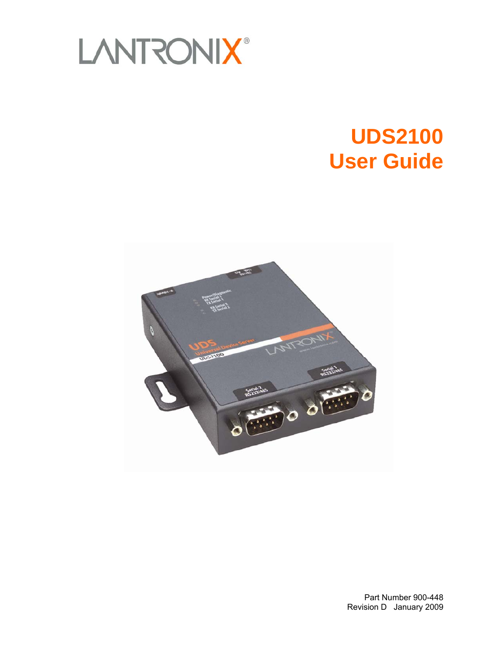

# **UDS2100 User Guide**



Part Number 900-448 Revision D January 2009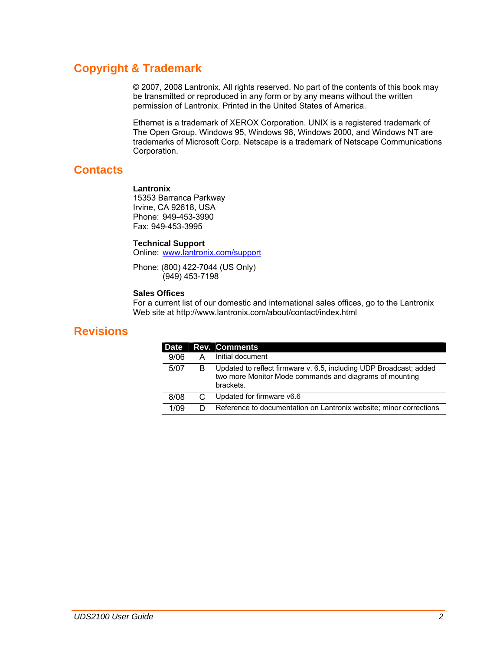## **Copyright & Trademark**

© 2007, 2008 Lantronix. All rights reserved. No part of the contents of this book may be transmitted or reproduced in any form or by any means without the written permission of Lantronix. Printed in the United States of America.

Ethernet is a trademark of XEROX Corporation. UNIX is a registered trademark of The Open Group. Windows 95, Windows 98, Windows 2000, and Windows NT are trademarks of Microsoft Corp. Netscape is a trademark of Netscape Communications Corporation.

## **Contacts**

### **Lantronix**

15353 Barranca Parkway Irvine, CA 92618, USA Phone: 949-453-3990 Fax: 949-453-3995

### **Technical Support**

Online: [www.lantronix.com/support](http://www.lantronix.com/support)

Phone: (800) 422-7044 (US Only) (949) 453-7198

### **Sales Offices**

For a current list of our domestic and international sales offices, go to the Lantronix Web site at http://www.lantronix.com/about/contact/index.html

## **Revisions**

|   | <b>Rev. Comments</b>                                                                                                                       |
|---|--------------------------------------------------------------------------------------------------------------------------------------------|
|   | Initial document                                                                                                                           |
| R | Updated to reflect firmware v. 6.5, including UDP Broadcast; added<br>two more Monitor Mode commands and diagrams of mounting<br>brackets. |
|   | Updated for firmware v6.6                                                                                                                  |
|   | Reference to documentation on Lantronix website; minor corrections                                                                         |
|   |                                                                                                                                            |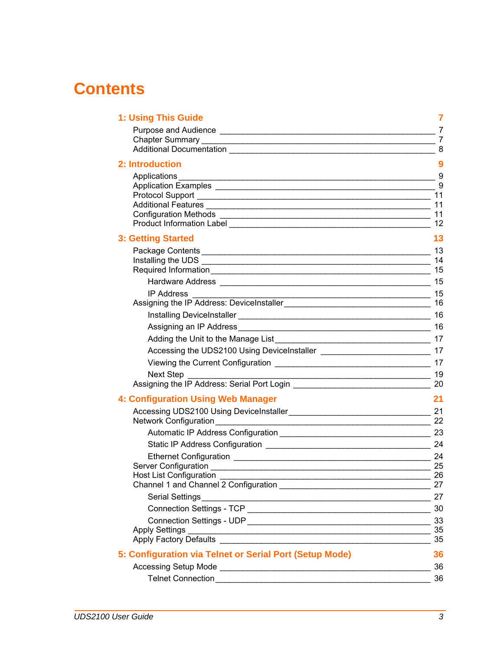## **Contents**

| 1: Using This Guide                                                             | 7                |
|---------------------------------------------------------------------------------|------------------|
|                                                                                 | $\overline{7}$   |
|                                                                                 | $\overline{7}$   |
|                                                                                 |                  |
| 2: Introduction                                                                 | $\boldsymbol{9}$ |
| Applications                                                                    | $-$ 9            |
|                                                                                 | 9                |
|                                                                                 | 11<br>11         |
|                                                                                 | 11               |
|                                                                                 | 12               |
| <b>3: Getting Started</b>                                                       | 13               |
|                                                                                 |                  |
|                                                                                 | 14               |
|                                                                                 | 15               |
|                                                                                 |                  |
| IP Address                                                                      |                  |
|                                                                                 | -16              |
|                                                                                 |                  |
|                                                                                 |                  |
|                                                                                 |                  |
| Accessing the UDS2100 Using DeviceInstaller _________________________________17 |                  |
|                                                                                 |                  |
| Next Step                                                                       |                  |
|                                                                                 |                  |
| <b>4: Configuration Using Web Manager</b>                                       | 21               |
|                                                                                 | 21               |
|                                                                                 |                  |
|                                                                                 |                  |
|                                                                                 |                  |
|                                                                                 | 24               |
|                                                                                 | 25               |
| <b>Host List Configuration</b>                                                  | 26<br>27         |
|                                                                                 | 27               |
|                                                                                 | 30               |
|                                                                                 | 33               |
| Apply Settings                                                                  | 35               |
|                                                                                 | 35               |
| 5: Configuration via Telnet or Serial Port (Setup Mode)                         | 36               |
|                                                                                 | 36               |
|                                                                                 | 36               |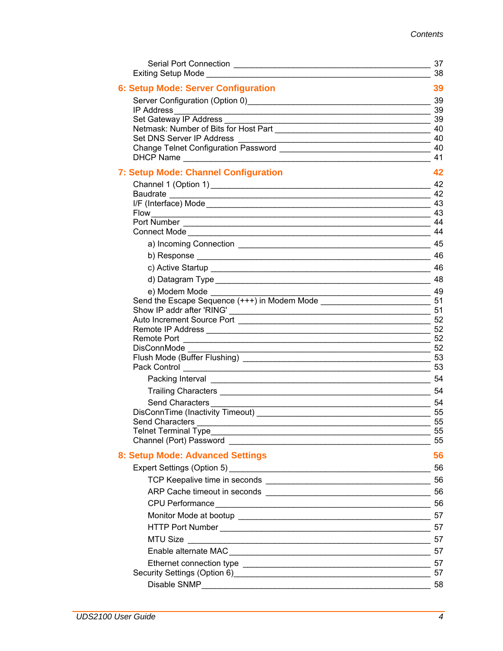|                                                                                                                                           | 37<br>38 |
|-------------------------------------------------------------------------------------------------------------------------------------------|----------|
| 6: Setup Mode: Server Configuration                                                                                                       | 39       |
|                                                                                                                                           |          |
|                                                                                                                                           |          |
| Set Gateway IP Address<br>$\sim$ 39                                                                                                       |          |
|                                                                                                                                           |          |
| Set DNS Server IP Address                                                                                                                 |          |
|                                                                                                                                           | 40<br>41 |
| 7: Setup Mode: Channel Configuration                                                                                                      | 42       |
|                                                                                                                                           | 42       |
|                                                                                                                                           | 42       |
|                                                                                                                                           |          |
|                                                                                                                                           |          |
| Connect Mode                                                                                                                              | 44<br>44 |
|                                                                                                                                           |          |
|                                                                                                                                           | 46       |
|                                                                                                                                           |          |
|                                                                                                                                           |          |
| e) Modem Mode                                                                                                                             |          |
| Send the Escape Sequence (+++) in Modem Mode ___________________________________                                                          | 51       |
|                                                                                                                                           | 51       |
|                                                                                                                                           | 52<br>52 |
|                                                                                                                                           |          |
| 52<br>DisConnMode                                                                                                                         |          |
|                                                                                                                                           |          |
|                                                                                                                                           |          |
|                                                                                                                                           | 54       |
|                                                                                                                                           |          |
| Send Characters<br><u> 54 September - Johann Barnett, mars and state and state and state and state and state and state and state and </u> |          |
|                                                                                                                                           | 55<br>55 |
| Send Characters<br>Telnet Terminal Type<br><u> 1989 - Johann Stoff, amerikansk politiker (* 1908)</u>                                     | 55       |
| Channel (Port) Password <b>Example 2018</b>                                                                                               | 55       |
| 8: Setup Mode: Advanced Settings                                                                                                          | 56       |
|                                                                                                                                           | 56       |
|                                                                                                                                           |          |
|                                                                                                                                           |          |
| CPU Performance 56                                                                                                                        |          |
|                                                                                                                                           |          |
|                                                                                                                                           | 57       |
|                                                                                                                                           |          |
|                                                                                                                                           |          |
|                                                                                                                                           |          |
| Security Settings (Option 6) 47                                                                                                           |          |
|                                                                                                                                           |          |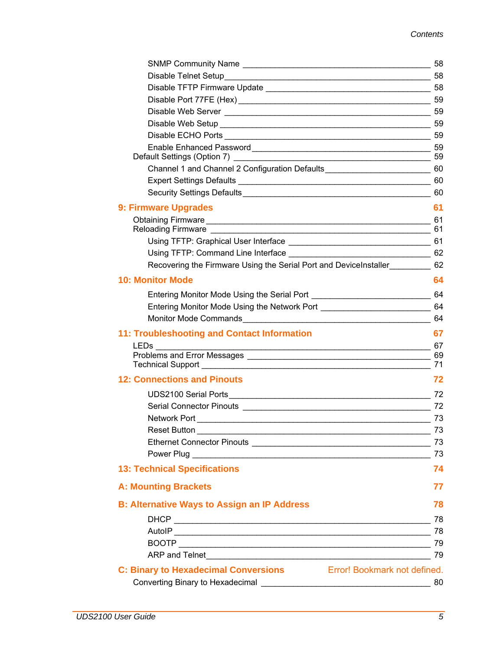| Default Settings (Option 7) [19]                                                    |          |
|-------------------------------------------------------------------------------------|----------|
| Channel 1 and Channel 2 Configuration Defaults_________________________________60   |          |
|                                                                                     |          |
|                                                                                     |          |
| 9: Firmware Upgrades                                                                | 61       |
|                                                                                     |          |
|                                                                                     |          |
|                                                                                     |          |
|                                                                                     |          |
| Recovering the Firmware Using the Serial Port and DeviceInstaller___________ 62     |          |
| <b>10: Monitor Mode</b>                                                             | 64       |
|                                                                                     |          |
| Entering Monitor Mode Using the Network Port ___________________________________ 64 |          |
|                                                                                     |          |
| <b>11: Troubleshooting and Contact Information</b>                                  | 67       |
|                                                                                     |          |
| Technical Support 71                                                                |          |
| <b>12: Connections and Pinouts</b>                                                  | 72       |
|                                                                                     |          |
|                                                                                     | 72       |
|                                                                                     |          |
| Network Port 23 and 23 and 23 and 24 and 25 and 26 and 26 and 26 and 273            |          |
| Reset Button                                                                        | 73       |
|                                                                                     | 73<br>73 |
| <b>13: Technical Specifications</b>                                                 | 74       |
|                                                                                     |          |
| <b>A: Mounting Brackets</b>                                                         | 77       |
| <b>B: Alternative Ways to Assign an IP Address</b>                                  | 78       |
|                                                                                     | 78       |
|                                                                                     | -78      |
|                                                                                     |          |
|                                                                                     | 79       |
| <b>C: Binary to Hexadecimal Conversions</b> Error! Bookmark not defined.            |          |
|                                                                                     | 80       |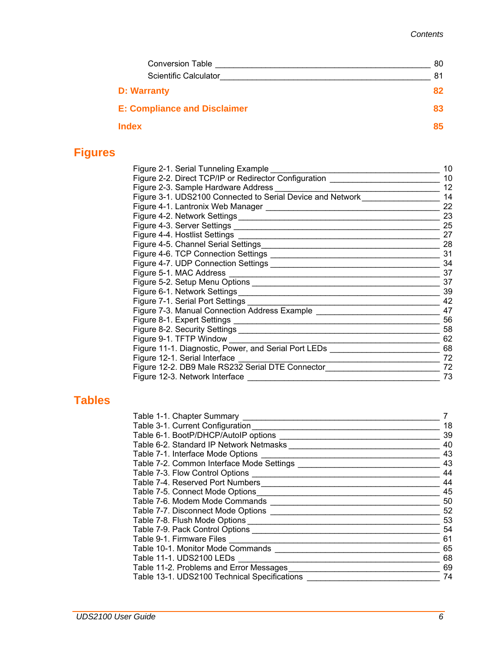| <b>Conversion Table</b>             | 80 |
|-------------------------------------|----|
| <b>Scientific Calculator</b>        | 81 |
| <b>D: Warranty</b>                  | 82 |
| <b>E: Compliance and Disclaimer</b> | 83 |
| <b>Index</b>                        | 85 |

## **Figures**

| Figure 2-1. Serial Tunneling Example                                             | 10 |
|----------------------------------------------------------------------------------|----|
| Figure 2-2. Direct TCP/IP or Redirector Configuration                            | 10 |
| Figure 2-3. Sample Hardware Address __________                                   | 12 |
| Figure 3-1. UDS2100 Connected to Serial Device and Network________               | 14 |
|                                                                                  | 22 |
|                                                                                  | 23 |
|                                                                                  | 25 |
|                                                                                  | 27 |
|                                                                                  | 28 |
|                                                                                  | 31 |
|                                                                                  | 34 |
|                                                                                  | 37 |
|                                                                                  | 37 |
|                                                                                  | 39 |
|                                                                                  | 42 |
| Figure 7-3. Manual Connection Address Example __________________________________ | 47 |
|                                                                                  | 56 |
|                                                                                  | 58 |
| Figure 9-1. TFTP Window _______                                                  | 62 |
| Figure 11-1. Diagnostic, Power, and Serial Port LEDs _____________               | 68 |
| Figure 12-1. Serial Interface __________                                         | 72 |
| Figure 12-2. DB9 Male RS232 Serial DTE Connector                                 | 72 |
| Figure 12-3. Network Interface                                                   | 73 |

## **Tables**

| Table 1-1. Chapter Summary                   |    |
|----------------------------------------------|----|
| Table 3-1. Current Configuration             | 18 |
| Table 6-1. BootP/DHCP/AutoIP options         | 39 |
| Table 6-2. Standard IP Network Netmasks      | 40 |
| Table 7-1. Interface Mode Options            | 43 |
| Table 7-2. Common Interface Mode Settings    | 43 |
| Table 7-3. Flow Control Options              | 44 |
| Table 7-4. Reserved Port Numbers             | 44 |
| Table 7-5. Connect Mode Options              | 45 |
| Table 7-6. Modem Mode Commands               | 50 |
| Table 7-7. Disconnect Mode Options           | 52 |
| Table 7-8. Flush Mode Options                | 53 |
| Table 7-9. Pack Control Options              | 54 |
| Table 9-1. Firmware Files                    | 61 |
| Table 10-1. Monitor Mode Commands            | 65 |
| Table 11-1. UDS2100 LEDs                     | 68 |
| Table 11-2. Problems and Error Messages      | 69 |
| Table 13-1. UDS2100 Technical Specifications | 74 |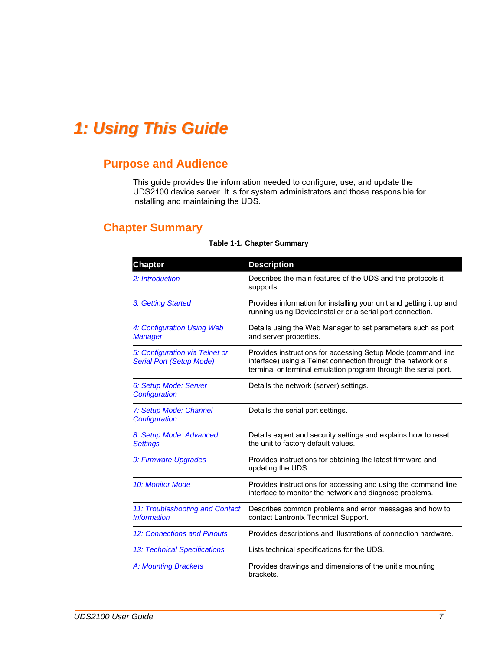## <span id="page-6-0"></span>*1: Using This Guide*

## **Purpose and Audience**

This guide provides the information needed to configure, use, and update the UDS2100 device server. It is for system administrators and those responsible for installing and maintaining the UDS.

## **Chapter Summary**

| <b>Chapter</b>                                                    | <b>Description</b>                                                                                                                                                                               |
|-------------------------------------------------------------------|--------------------------------------------------------------------------------------------------------------------------------------------------------------------------------------------------|
| 2: Introduction                                                   | Describes the main features of the UDS and the protocols it<br>supports.                                                                                                                         |
| 3: Getting Started                                                | Provides information for installing your unit and getting it up and<br>running using DeviceInstaller or a serial port connection.                                                                |
| 4: Configuration Using Web<br><b>Manager</b>                      | Details using the Web Manager to set parameters such as port<br>and server properties.                                                                                                           |
| 5: Configuration via Telnet or<br><b>Serial Port (Setup Mode)</b> | Provides instructions for accessing Setup Mode (command line<br>interface) using a Telnet connection through the network or a<br>terminal or terminal emulation program through the serial port. |
| 6: Setup Mode: Server<br>Configuration                            | Details the network (server) settings.                                                                                                                                                           |
| 7: Setup Mode: Channel<br>Configuration                           | Details the serial port settings.                                                                                                                                                                |
| 8: Setup Mode: Advanced<br><b>Settings</b>                        | Details expert and security settings and explains how to reset<br>the unit to factory default values.                                                                                            |
| 9: Firmware Upgrades                                              | Provides instructions for obtaining the latest firmware and<br>updating the UDS.                                                                                                                 |
| 10: Monitor Mode                                                  | Provides instructions for accessing and using the command line<br>interface to monitor the network and diagnose problems.                                                                        |
| 11: Troubleshooting and Contact<br><b>Information</b>             | Describes common problems and error messages and how to<br>contact Lantronix Technical Support.                                                                                                  |
| 12: Connections and Pinouts                                       | Provides descriptions and illustrations of connection hardware.                                                                                                                                  |
| 13: Technical Specifications                                      | Lists technical specifications for the UDS.                                                                                                                                                      |
| A: Mounting Brackets                                              | Provides drawings and dimensions of the unit's mounting<br>brackets.                                                                                                                             |

#### **Table 1-1. Chapter Summary**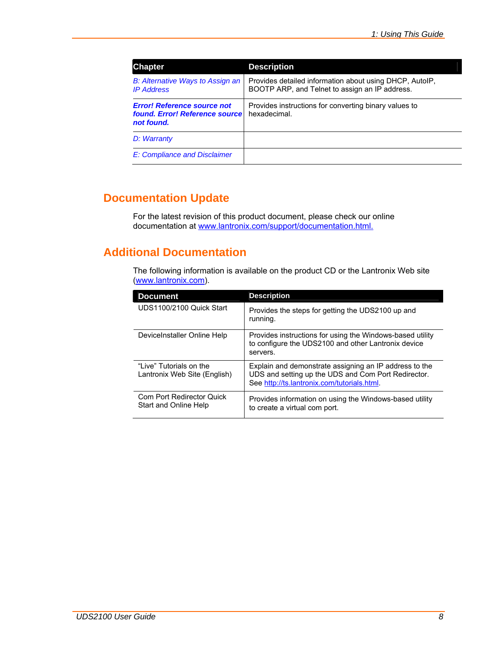<span id="page-7-0"></span>

| <b>Chapter</b>                                                                     | <b>Description</b>                                                                                        |
|------------------------------------------------------------------------------------|-----------------------------------------------------------------------------------------------------------|
| B: Alternative Ways to Assign an<br><b>IP Address</b>                              | Provides detailed information about using DHCP, AutolP,<br>BOOTP ARP, and Telnet to assign an IP address. |
| <b>Error! Reference source not</b><br>found. Error! Reference source<br>not found. | Provides instructions for converting binary values to<br>hexadecimal.                                     |
| D: Warranty                                                                        |                                                                                                           |
| E: Compliance and Disclaimer                                                       |                                                                                                           |

## **Documentation Update**

For the latest revision of this product document, please check our online documentation at [www.lantronix.com/support/documentation.html.](http://www.lantronix.com/support/documentation.html)

## **Additional Documentation**

The following information is available on the product CD or the Lantronix Web site [\(www.lantronix.com](http://www.lantronix.com/)).

| <b>Document</b>                                          | <b>Description</b>                                                                                                                                           |
|----------------------------------------------------------|--------------------------------------------------------------------------------------------------------------------------------------------------------------|
| UDS1100/2100 Quick Start                                 | Provides the steps for getting the UDS2100 up and<br>running.                                                                                                |
| DeviceInstaller Online Help                              | Provides instructions for using the Windows-based utility<br>to configure the UDS2100 and other Lantronix device<br>servers.                                 |
| "I ive" Tutorials on the<br>Lantronix Web Site (English) | Explain and demonstrate assigning an IP address to the<br>UDS and setting up the UDS and Com Port Redirector.<br>See http://ts.lantronix.com/tutorials.html. |
| Com Port Redirector Quick<br>Start and Online Help       | Provides information on using the Windows-based utility<br>to create a virtual com port.                                                                     |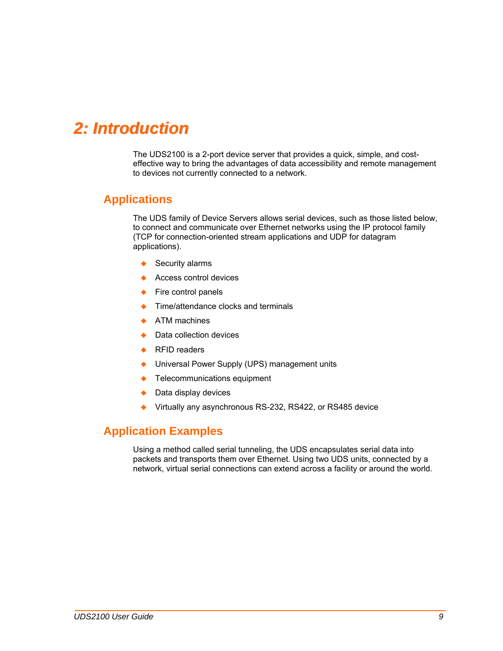## <span id="page-8-1"></span><span id="page-8-0"></span>*2: Introduction*

The UDS2100 is a 2-port device server that provides a quick, simple, and costeffective way to bring the advantages of data accessibility and remote management to devices not currently connected to a network.

## **Applications**

The UDS family of Device Servers allows serial devices, such as those listed below, to connect and communicate over Ethernet networks using the IP protocol family (TCP for connection-oriented stream applications and UDP for datagram applications).

- Security alarms
- ◆ Access control devices
- Fire control panels
- Time/attendance clocks and terminals
- ◆ ATM machines
- ◆ Data collection devices
- **◆** RFID readers
- ◆ Universal Power Supply (UPS) management units
- ◆ Telecommunications equipment
- Data display devices
- Virtually any asynchronous RS-232, RS422, or RS485 device

## **Application Examples**

Using a method called serial tunneling, the UDS encapsulates serial data into packets and transports them over Ethernet. Using two UDS units, connected by a network, virtual serial connections can extend across a facility or around the world.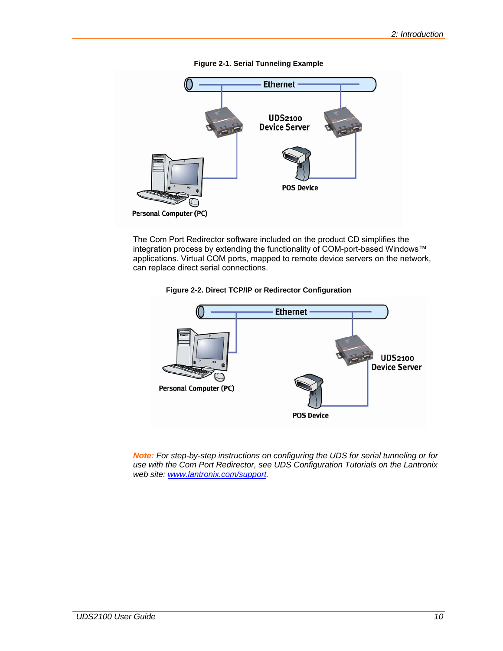<span id="page-9-0"></span>

The Com Port Redirector software included on the product CD simplifies the integration process by extending the functionality of COM-port-based Windows™ applications. Virtual COM ports, mapped to remote device servers on the network, can replace direct serial connections.





*Note: For step-by-step instructions on configuring the UDS for serial tunneling or for use with the Com Port Redirector, see UDS Configuration Tutorials on the Lantronix web site: [www.lantronix.com/support](http://www.lantronix.com/support).*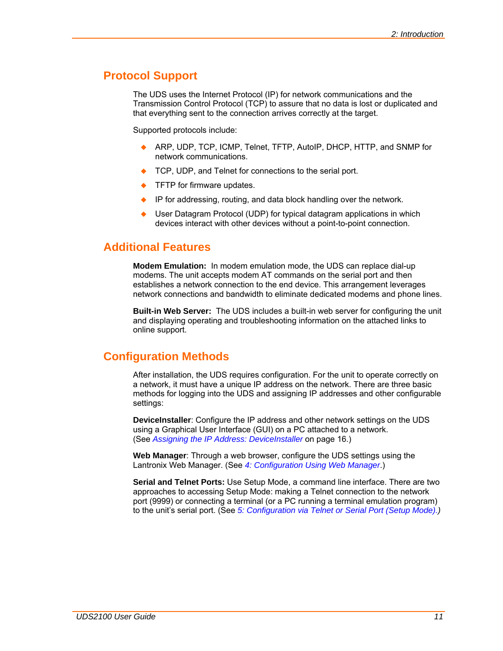## <span id="page-10-0"></span>**Protocol Support**

The UDS uses the Internet Protocol (IP) for network communications and the Transmission Control Protocol (TCP) to assure that no data is lost or duplicated and that everything sent to the connection arrives correctly at the target.

Supported protocols include:

- ARP, UDP, TCP, ICMP, Telnet, TFTP, AutoIP, DHCP, HTTP, and SNMP for network communications.
- TCP, UDP, and Telnet for connections to the serial port.
- TFTP for firmware updates.
- IP for addressing, routing, and data block handling over the network.
- User Datagram Protocol (UDP) for typical datagram applications in which devices interact with other devices without a point-to-point connection.

## **Additional Features**

**Modem Emulation:** In modem emulation mode, the UDS can replace dial-up modems. The unit accepts modem AT commands on the serial port and then establishes a network connection to the end device. This arrangement leverages network connections and bandwidth to eliminate dedicated modems and phone lines.

**Built-in Web Server:** The UDS includes a built-in web server for configuring the unit and displaying operating and troubleshooting information on the attached links to online support.

### **Configuration Methods**

After installation, the UDS requires configuration. For the unit to operate correctly on a network, it must have a unique IP address on the network. There are three basic methods for logging into the UDS and assigning IP addresses and other configurable settings:

**DeviceInstaller**: Configure the IP address and other network settings on the UDS using a Graphical User Interface (GUI) on a PC attached to a network. (See *[Assigning the IP Address: DeviceInstaller](#page-15-1)* on page [16.](#page-15-2))

**Web Manager**: Through a web browser, configure the UDS settings using the Lantronix Web Manager. (See *[4:](#page-20-1) [Configuration Using Web Manager](#page-20-1)*.)

**Serial and Telnet Ports:** Use Setup Mode, a command line interface. There are two approaches to accessing Setup Mode: making a Telnet connection to the network port (9999) or connecting a terminal (or a PC running a terminal emulation program) to the unit's serial port. (See *[5:](#page-35-1) [Configuration via Telnet or Serial Port \(Setup Mode\)](#page-35-1).)*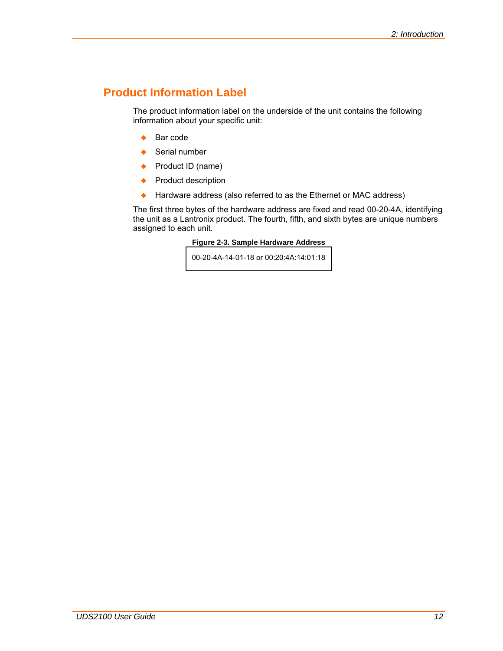## <span id="page-11-0"></span>**Product Information Label**

The product information label on the underside of the unit contains the following information about your specific unit:

- $\triangle$  Bar code
- $\leftarrow$  Serial number
- ◆ Product ID (name)
- ◆ Product description
- ◆ Hardware address (also referred to as the Ethernet or MAC address)

The first three bytes of the hardware address are fixed and read 00-20-4A, identifying the unit as a Lantronix product. The fourth, fifth, and sixth bytes are unique numbers assigned to each unit.

### **Figure 2-3. Sample Hardware Address**

00-20-4A-14-01-18 or 00:20:4A:14:01:18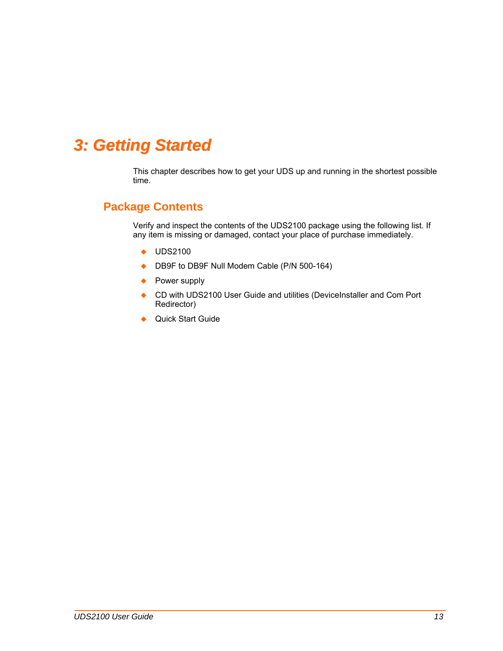## <span id="page-12-1"></span><span id="page-12-0"></span>*3: Getting Started*

This chapter describes how to get your UDS up and running in the shortest possible time.

## **Package Contents**

Verify and inspect the contents of the UDS2100 package using the following list. If any item is missing or damaged, contact your place of purchase immediately.

- ◆ UDS2100
- ◆ DB9F to DB9F Null Modem Cable (P/N 500-164)
- ◆ Power supply
- ◆ CD with UDS2100 User Guide and utilities (DeviceInstaller and Com Port Redirector)
- ◆ Quick Start Guide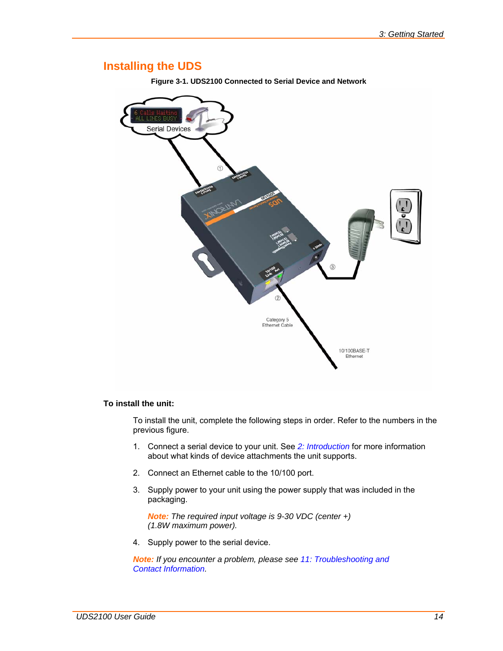## <span id="page-13-0"></span>**Installing the UDS**

**Figure 3-1. UDS2100 Connected to Serial Device and Network** 



### **To install the unit:**

To install the unit, complete the following steps in order. Refer to the numbers in the previous figure.

- 1. Connect a serial device to your unit. See *[2:](#page-8-1) [Introduction](#page-8-1)* for more information about what kinds of device attachments the unit supports.
- 2. Connect an Ethernet cable to the 10/100 port.
- 3. Supply power to your unit using the power supply that was included in the packaging.

*Note: The required input voltage is 9-30 VDC (center +) (1.8W maximum power).* 

4. Supply power to the serial device.

*Note: If you encounter a problem, please see [11:](#page-66-1) [Troubleshooting and](#page-66-1)  [Contact Information](#page-66-1).*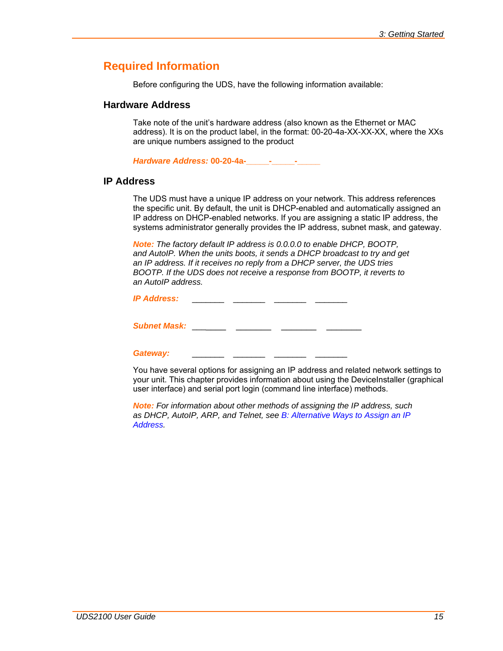## <span id="page-14-0"></span>**Required Information**

Before configuring the UDS, have the following information available:

### <span id="page-14-1"></span>**Hardware Address**

Take note of the unit's hardware address (also known as the Ethernet or MAC address). It is on the product label, in the format: 00-20-4a-XX-XX-XX, where the XXs are unique numbers assigned to the product

*Hardware Address:* **00-20-4a-\_\_\_\_\_-\_\_\_\_\_-\_\_\_\_\_**

### **IP Address**

The UDS must have a unique IP address on your network. This address references the specific unit. By default, the unit is DHCP-enabled and automatically assigned an IP address on DHCP-enabled networks. If you are assigning a static IP address, the systems administrator generally provides the IP address, subnet mask, and gateway.

*Note: The factory default IP address is 0.0.0.0 to enable DHCP, BOOTP, and AutoIP. When the units boots, it sends a DHCP broadcast to try and get an IP address. If it receives no reply from a DHCP server, the UDS tries BOOTP. If the UDS does not receive a response from BOOTP, it reverts to an AutoIP address.* 

*IP Address:* \_\_\_\_\_\_\_ \_\_\_\_\_\_\_ \_\_\_\_\_\_\_ \_\_\_\_\_\_\_

**Subnet Mask:** \_\_\_\_\_\_\_ \_\_\_\_\_\_\_\_ \_\_\_\_\_\_\_ \_\_\_\_\_\_ \_\_

Gateway:

You have several options for assigning an IP address and related network settings to your unit. This chapter provides information about using the DeviceInstaller (graphical user interface) and serial port login (command line interface) methods.

*Note: For information about other methods of assigning the IP address, such as DHCP, AutoIP, ARP, and Telnet, see [B:](#page-77-1) [Alternative Ways to Assign an IP](#page-77-1)  [Address.](#page-77-1)*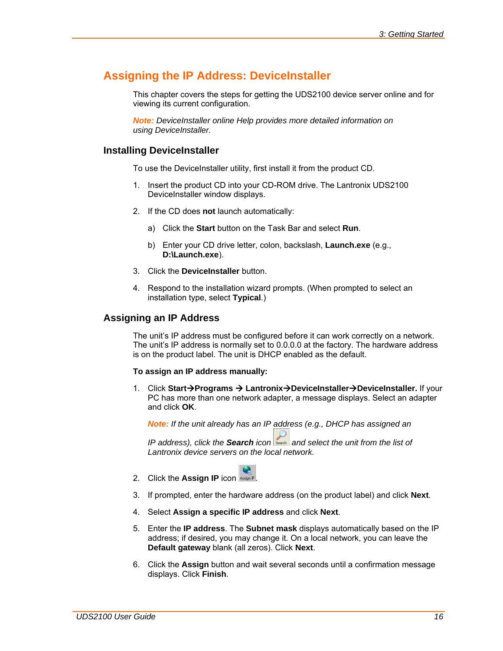## <span id="page-15-1"></span><span id="page-15-0"></span>**Assigning the IP Address: DeviceInstaller**

This chapter covers the steps for getting the UDS2100 device server online and for viewing its current configuration.

*Note: DeviceInstaller online Help provides more detailed information on using DeviceInstaller.* 

### **Installing DeviceInstaller**

To use the DeviceInstaller utility, first install it from the product CD.

- 1. Insert the product CD into your CD-ROM drive. The Lantronix UDS2100 DeviceInstaller window displays.
- 2. If the CD does **not** launch automatically:
	- a) Click the **Start** button on the Task Bar and select **Run**.
	- b) Enter your CD drive letter, colon, backslash, **Launch.exe** (e.g., **D:\Launch.exe**).
- 3. Click the **DeviceInstaller** button.
- 4. Respond to the installation wizard prompts. (When prompted to select an installation type, select **Typical**.)

### <span id="page-15-3"></span>**Assigning an IP Address**

The unit's IP address must be configured before it can work correctly on a network. The unit's IP address is normally set to 0.0.0.0 at the factory. The hardware address is on the product label. The unit is DHCP enabled as the default.

#### **To assign an IP address manually:**

1. Click Start→Programs → Lantronix→DeviceInstaller→DeviceInstaller. If your PC has more than one network adapter, a message displays. Select an adapter and click **OK**.

*Note: If the unit already has an IP address (e.g., DHCP has assigned an* 

*IP address), click the Search icon and select the unit from the list of Lantronix device servers on the local network.* 

- <span id="page-15-2"></span>2. Click the **Assign IP** icon Assign IP
- 3. If prompted, enter the hardware address (on the product label) and click **Next**.
- 4. Select **Assign a specific IP address** and click **Next**.
- 5. Enter the **IP address**. The **Subnet mask** displays automatically based on the IP address; if desired, you may change it. On a local network, you can leave the **Default gateway** blank (all zeros). Click **Next**.
- 6. Click the **Assign** button and wait several seconds until a confirmation message displays. Click **Finish**.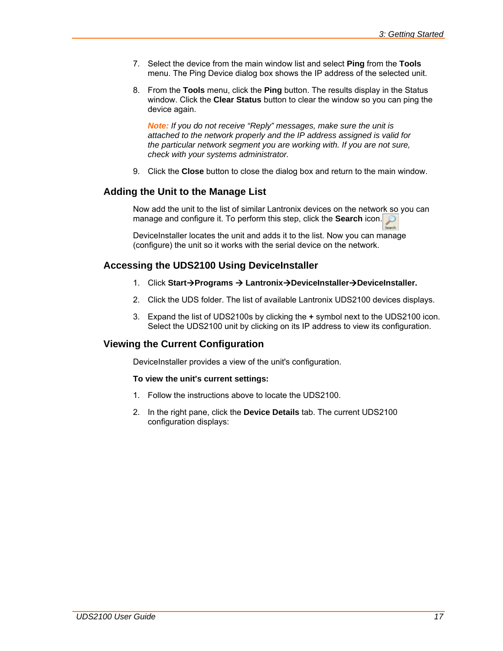- <span id="page-16-0"></span>7. Select the device from the main window list and select **Ping** from the **Tools** menu. The Ping Device dialog box shows the IP address of the selected unit.
- 8. From the **Tools** menu, click the **Ping** button. The results display in the Status window. Click the **Clear Status** button to clear the window so you can ping the device again.

*Note: If you do not receive "Reply" messages, make sure the unit is attached to the network properly and the IP address assigned is valid for the particular network segment you are working with. If you are not sure, check with your systems administrator.* 

9. Click the **Close** button to close the dialog box and return to the main window.

### **Adding the Unit to the Manage List**

Now add the unit to the list of similar Lantronix devices on the network so you can manage and configure it. To perform this step, click the **Search** icon.

DeviceInstaller locates the unit and adds it to the list. Now you can manage (configure) the unit so it works with the serial device on the network.

### **Accessing the UDS2100 Using DeviceInstaller**

- 1. Click Start→Programs → Lantronix→DeviceInstaller→DeviceInstaller.
- 2. Click the UDS folder. The list of available Lantronix UDS2100 devices displays.
- 3. Expand the list of UDS2100s by clicking the **+** symbol next to the UDS2100 icon. Select the UDS2100 unit by clicking on its IP address to view its configuration.

### **Viewing the Current Configuration**

DeviceInstaller provides a view of the unit's configuration.

### **To view the unit's current settings:**

- 1. Follow the instructions above to locate the UDS2100.
- 2. In the right pane, click the **Device Details** tab. The current UDS2100 configuration displays: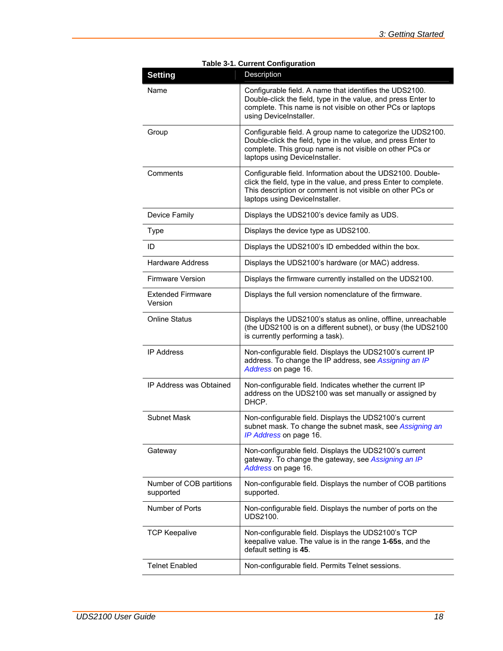<span id="page-17-0"></span>

| <b>Setting</b>                        | Description                                                                                                                                                                                                                    |
|---------------------------------------|--------------------------------------------------------------------------------------------------------------------------------------------------------------------------------------------------------------------------------|
| Name                                  | Configurable field. A name that identifies the UDS2100.<br>Double-click the field, type in the value, and press Enter to<br>complete. This name is not visible on other PCs or laptops<br>using DeviceInstaller.               |
| Group                                 | Configurable field. A group name to categorize the UDS2100.<br>Double-click the field, type in the value, and press Enter to<br>complete. This group name is not visible on other PCs or<br>laptops using DeviceInstaller.     |
| Comments                              | Configurable field. Information about the UDS2100. Double-<br>click the field, type in the value, and press Enter to complete.<br>This description or comment is not visible on other PCs or<br>laptops using DeviceInstaller. |
| Device Family                         | Displays the UDS2100's device family as UDS.                                                                                                                                                                                   |
| <b>Type</b>                           | Displays the device type as UDS2100.                                                                                                                                                                                           |
| ID                                    | Displays the UDS2100's ID embedded within the box.                                                                                                                                                                             |
| <b>Hardware Address</b>               | Displays the UDS2100's hardware (or MAC) address.                                                                                                                                                                              |
| Firmware Version                      | Displays the firmware currently installed on the UDS2100.                                                                                                                                                                      |
| <b>Extended Firmware</b><br>Version   | Displays the full version nomenclature of the firmware.                                                                                                                                                                        |
| <b>Online Status</b>                  | Displays the UDS2100's status as online, offline, unreachable<br>(the UDS2100 is on a different subnet), or busy (the UDS2100<br>is currently performing a task).                                                              |
| <b>IP Address</b>                     | Non-configurable field. Displays the UDS2100's current IP<br>address. To change the IP address, see Assigning an IP<br>Address on page 16.                                                                                     |
| IP Address was Obtained               | Non-configurable field. Indicates whether the current IP<br>address on the UDS2100 was set manually or assigned by<br>DHCP.                                                                                                    |
| Subnet Mask                           | Non-configurable field. Displays the UDS2100's current<br>subnet mask. To change the subnet mask, see Assigning an<br>IP Address on page 16.                                                                                   |
| Gateway                               | Non-configurable field. Displays the UDS2100's current<br>gateway. To change the gateway, see Assigning an IP<br>Address on page 16.                                                                                           |
| Number of COB partitions<br>supported | Non-configurable field. Displays the number of COB partitions<br>supported.                                                                                                                                                    |
| Number of Ports                       | Non-configurable field. Displays the number of ports on the<br><b>UDS2100.</b>                                                                                                                                                 |
| <b>TCP Keepalive</b>                  | Non-configurable field. Displays the UDS2100's TCP<br>keepalive value. The value is in the range 1-65s, and the<br>default setting is 45.                                                                                      |
| <b>Telnet Enabled</b>                 | Non-configurable field. Permits Telnet sessions.                                                                                                                                                                               |

| <b>Table 3-1. Current Configuration</b> |
|-----------------------------------------|
|-----------------------------------------|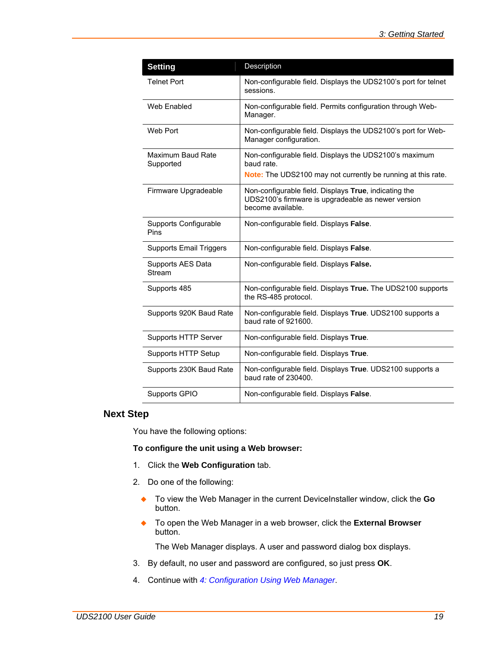<span id="page-18-0"></span>

| <b>Setting</b>                 | Description                                                                                                                          |
|--------------------------------|--------------------------------------------------------------------------------------------------------------------------------------|
| <b>Telnet Port</b>             | Non-configurable field. Displays the UDS2100's port for telnet<br>sessions.                                                          |
| Web Enabled                    | Non-configurable field. Permits configuration through Web-<br>Manager.                                                               |
| Web Port                       | Non-configurable field. Displays the UDS2100's port for Web-<br>Manager configuration.                                               |
| Maximum Baud Rate<br>Supported | Non-configurable field. Displays the UDS2100's maximum<br>baud rate.<br>Note: The UDS2100 may not currently be running at this rate. |
| Firmware Upgradeable           | Non-configurable field. Displays True, indicating the<br>UDS2100's firmware is upgradeable as newer version<br>become available.     |
| Supports Configurable<br>Pins  | Non-configurable field. Displays False.                                                                                              |
| <b>Supports Email Triggers</b> | Non-configurable field. Displays False.                                                                                              |
| Supports AES Data<br>Stream    | Non-configurable field. Displays False.                                                                                              |
| Supports 485                   | Non-configurable field. Displays True. The UDS2100 supports<br>the RS-485 protocol.                                                  |
| Supports 920K Baud Rate        | Non-configurable field. Displays True. UDS2100 supports a<br>baud rate of 921600.                                                    |
| Supports HTTP Server           | Non-configurable field. Displays True.                                                                                               |
| Supports HTTP Setup            | Non-configurable field. Displays True.                                                                                               |
| Supports 230K Baud Rate        | Non-configurable field. Displays True. UDS2100 supports a<br>baud rate of 230400.                                                    |
| Supports GPIO                  | Non-configurable field. Displays False.                                                                                              |

## **Next Step**

You have the following options:

**To configure the unit using a Web browser:** 

- 1. Click the **Web Configuration** tab.
- 2. Do one of the following:
	- To view the Web Manager in the current DeviceInstaller window, click the **Go** button.
	- To open the Web Manager in a web browser, click the **External Browser** button.

The Web Manager displays. A user and password dialog box displays.

- 3. By default, no user and password are configured, so just press **OK**.
- 4. Continue with *[4:](#page-20-1) [Configuration Using Web Manager](#page-20-1)*.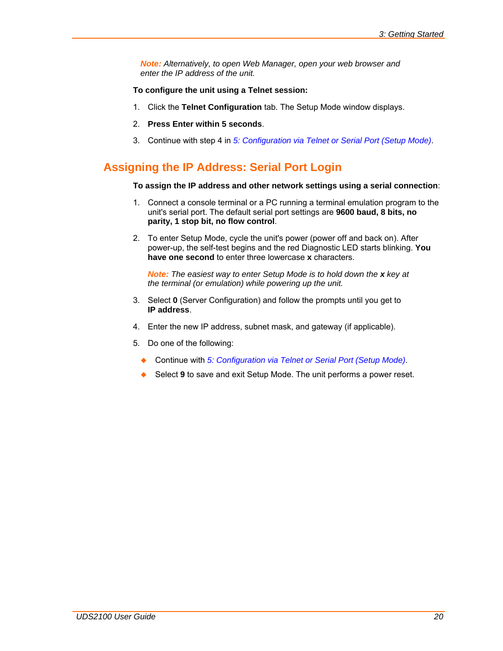<span id="page-19-0"></span>*Note: Alternatively, to open Web Manager, open your web browser and enter the IP address of the unit.* 

### **To configure the unit using a Telnet session:**

- 1. Click the **Telnet Configuration** tab. The Setup Mode window displays.
- 2. **Press Enter within 5 seconds**.
- 3. Continue with step 4 in *[5:](#page-35-1) [Configuration via Telnet or Serial Port \(Setup Mode\)](#page-35-1)*.

## **Assigning the IP Address: Serial Port Login**

### **To assign the IP address and other network settings using a serial connection**:

- 1. Connect a console terminal or a PC running a terminal emulation program to the unit's serial port. The default serial port settings are **9600 baud, 8 bits, no parity, 1 stop bit, no flow control**.
- 2. To enter Setup Mode, cycle the unit's power (power off and back on). After power-up, the self-test begins and the red Diagnostic LED starts blinking. **You have one second** to enter three lowercase **x** characters.

*Note: The easiest way to enter Setup Mode is to hold down the x key at the terminal (or emulation) while powering up the unit.*

- 3. Select **0** (Server Configuration) and follow the prompts until you get to **IP address**.
- 4. Enter the new IP address, subnet mask, and gateway (if applicable).
- 5. Do one of the following:
	- ◆ Continue with [5:](#page-35-1) *[Configuration via Telnet or Serial Port \(Setup Mode\)](#page-35-1)*.
	- ◆ Select 9 to save and exit Setup Mode. The unit performs a power reset.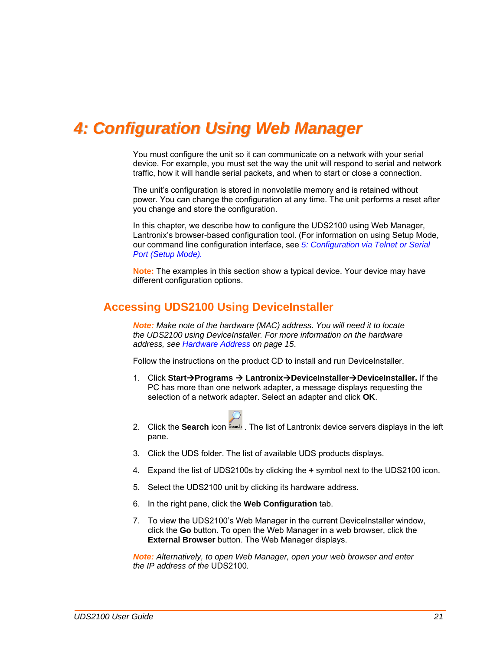## <span id="page-20-1"></span><span id="page-20-0"></span>*4: Configuration Using Web Manager*

You must configure the unit so it can communicate on a network with your serial device. For example, you must set the way the unit will respond to serial and network traffic, how it will handle serial packets, and when to start or close a connection.

The unit's configuration is stored in nonvolatile memory and is retained without power. You can change the configuration at any time. The unit performs a reset after you change and store the configuration.

In this chapter, we describe how to configure the UDS2100 using Web Manager, Lantronix's browser-based configuration tool. (For information on using Setup Mode, our command line configuration interface, see *[5:](#page-35-1) [Configuration via Telnet or Serial](#page-35-1)  [Port \(Setup Mode\).](#page-35-1)* 

**Note:** The examples in this section show a typical device. Your device may have different configuration options.

## **Accessing UDS2100 Using DeviceInstaller**

*Note: Make note of the hardware (MAC) address. You will need it to locate the UDS2100 using DeviceInstaller. For more information on the hardware address, see [Hardware Address](#page-14-1) on page [15](#page-14-1)*.

Follow the instructions on the product CD to install and run DeviceInstaller.

1. Click Start→Programs → Lantronix→DeviceInstaller→DeviceInstaller. If the PC has more than one network adapter, a message displays requesting the selection of a network adapter. Select an adapter and click **OK**.



- 2. Click the **Search** icon **Seach**. The list of Lantronix device servers displays in the left pane.
- 3. Click the UDS folder. The list of available UDS products displays.
- 4. Expand the list of UDS2100s by clicking the **+** symbol next to the UDS2100 icon.
- 5. Select the UDS2100 unit by clicking its hardware address.
- 6. In the right pane, click the **Web Configuration** tab.
- 7. To view the UDS2100's Web Manager in the current DeviceInstaller window, click the **Go** button. To open the Web Manager in a web browser, click the **External Browser** button. The Web Manager displays.

*Note: Alternatively, to open Web Manager, open your web browser and enter the IP address of the* UDS2100*.*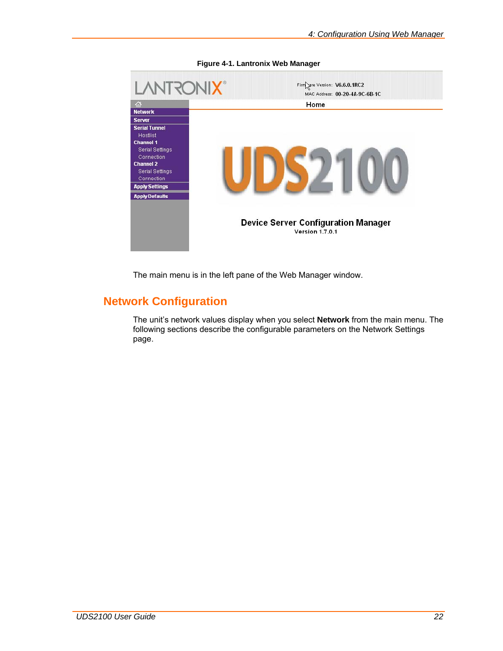<span id="page-21-0"></span>

**Figure 4-1. Lantronix Web Manager** 

The main menu is in the left pane of the Web Manager window.

## **Network Configuration**

The unit's network values display when you select **Network** from the main menu. The following sections describe the configurable parameters on the Network Settings page.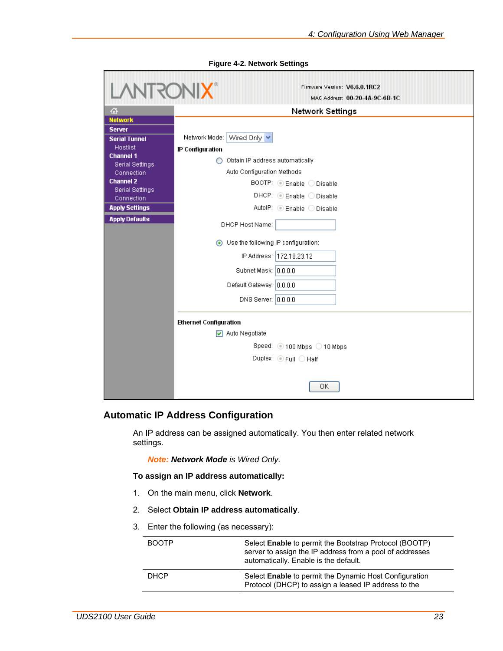<span id="page-22-0"></span>

| <b>LANTRONIX®</b>              |                                       | Firmware Version: V6.6.0.1RC2<br>MAC Address: 00-20-4A-9C-6B-1C |  |
|--------------------------------|---------------------------------------|-----------------------------------------------------------------|--|
|                                |                                       |                                                                 |  |
| 셦<br><b>Network</b>            | Network Settings                      |                                                                 |  |
| <b>Server</b>                  |                                       |                                                                 |  |
| <b>Serial Tunnel</b>           | Network Mode: Wired Only              |                                                                 |  |
| <b>Hostlist</b>                | IP Configuration                      |                                                                 |  |
| <b>Channel 1</b>               | O Obtain IP address automatically     |                                                                 |  |
| Serial Settings                |                                       |                                                                 |  |
| Connection<br><b>Channel 2</b> | Auto Configuration Methods            |                                                                 |  |
| <b>Serial Settings</b>         |                                       | $\overline{BOOTP}$ : $\odot$ Enable $\odot$ Disable             |  |
| Connection                     |                                       | $D HCP:$ $\odot$ Enable $\odot$ Disable                         |  |
| <b>Apply Settings</b>          |                                       | AutolP: C Enable O Disable                                      |  |
| <b>Apply Defaults</b>          | DHCP Host Name:                       |                                                                 |  |
|                                | ◯ Use the following IP configuration: |                                                                 |  |
|                                | IP Address: 172.18.23.12              |                                                                 |  |
|                                | Subnet Mask: 0.0.0.0                  |                                                                 |  |
|                                | Default Gateway: 0.0.0.0              |                                                                 |  |
|                                | DNS Server: 0.0.0.0                   |                                                                 |  |
|                                | <b>Ethernet Configuration</b>         |                                                                 |  |
|                                | $\nabla$ Auto Negotiate               |                                                                 |  |
|                                |                                       | Speed: ◉ 100 Mbps ◯ 10 Mbps                                     |  |
|                                |                                       | Duplex: $\odot$ Full $\bigcirc$ Half                            |  |
|                                |                                       |                                                                 |  |
|                                |                                       | OK                                                              |  |

**Figure 4-2. Network Settings** 

### **Automatic IP Address Configuration**

An IP address can be assigned automatically. You then enter related network settings.

*Note: Network Mode is Wired Only.* 

**To assign an IP address automatically:** 

- 1. On the main menu, click **Network**.
- 2. Select **Obtain IP address automatically**.
- 3. Enter the following (as necessary):

| <b>BOOTP</b> | Select <b>Enable</b> to permit the Bootstrap Protocol (BOOTP)<br>server to assign the IP address from a pool of addresses<br>automatically. Enable is the default. |
|--------------|--------------------------------------------------------------------------------------------------------------------------------------------------------------------|
| <b>DHCP</b>  | Select Enable to permit the Dynamic Host Configuration<br>Protocol (DHCP) to assign a leased IP address to the                                                     |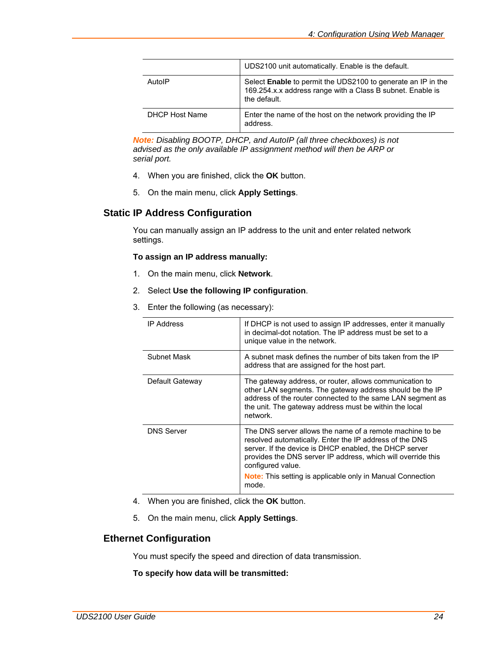<span id="page-23-0"></span>

|                       | UDS2100 unit automatically. Enable is the default.                                                                                                |
|-----------------------|---------------------------------------------------------------------------------------------------------------------------------------------------|
| AutolP                | Select <b>Enable</b> to permit the UDS2100 to generate an IP in the<br>169.254.x.x address range with a Class B subnet. Enable is<br>the default. |
| <b>DHCP Host Name</b> | Enter the name of the host on the network providing the IP<br>address.                                                                            |

*Note: Disabling BOOTP, DHCP, and AutoIP (all three checkboxes) is not advised as the only available IP assignment method will then be ARP or serial port.* 

- 4. When you are finished, click the **OK** button.
- 5. On the main menu, click **Apply Settings**.

### **Static IP Address Configuration**

You can manually assign an IP address to the unit and enter related network settings.

### **To assign an IP address manually:**

- 1. On the main menu, click **Network**.
- 2. Select **Use the following IP configuration**.
- 3. Enter the following (as necessary):

| <b>IP Address</b> | If DHCP is not used to assign IP addresses, enter it manually<br>in decimal-dot notation. The IP address must be set to a<br>unique value in the network.                                                                                                                                                                                        |
|-------------------|--------------------------------------------------------------------------------------------------------------------------------------------------------------------------------------------------------------------------------------------------------------------------------------------------------------------------------------------------|
| Subnet Mask       | A subnet mask defines the number of bits taken from the IP<br>address that are assigned for the host part.                                                                                                                                                                                                                                       |
| Default Gateway   | The gateway address, or router, allows communication to<br>other LAN segments. The gateway address should be the IP<br>address of the router connected to the same LAN segment as<br>the unit. The gateway address must be within the local<br>network.                                                                                          |
| <b>DNS Server</b> | The DNS server allows the name of a remote machine to be<br>resolved automatically. Enter the IP address of the DNS<br>server. If the device is DHCP enabled, the DHCP server<br>provides the DNS server IP address, which will override this<br>configured value.<br><b>Note:</b> This setting is applicable only in Manual Connection<br>mode. |

- 4. When you are finished, click the **OK** button.
- 5. On the main menu, click **Apply Settings**.

### **Ethernet Configuration**

You must specify the speed and direction of data transmission.

**To specify how data will be transmitted:**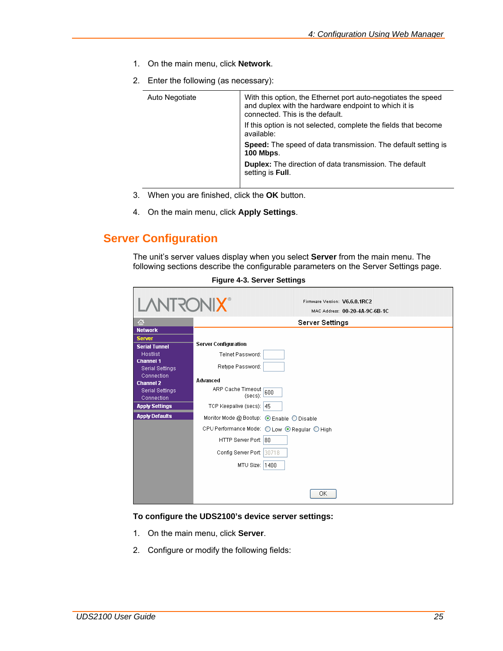- <span id="page-24-0"></span>1. On the main menu, click **Network**.
- 2. Enter the following (as necessary):

| Auto Negotiate | With this option, the Ethernet port auto-negotiates the speed<br>and duplex with the hardware endpoint to which it is<br>connected. This is the default. |
|----------------|----------------------------------------------------------------------------------------------------------------------------------------------------------|
|                | If this option is not selected, complete the fields that become<br>available:                                                                            |
|                | <b>Speed:</b> The speed of data transmission. The default setting is<br><b>100 Mbps.</b>                                                                 |
|                | <b>Duplex:</b> The direction of data transmission. The default<br>setting is Full.                                                                       |
|                |                                                                                                                                                          |

- 3. When you are finished, click the **OK** button.
- 4. On the main menu, click **Apply Settings**.

## **Server Configuration**

The unit's server values display when you select **Server** from the main menu. The following sections describe the configurable parameters on the Server Settings page.

| <b>LANTRONIX®</b>                                       | Firmware Version: V6.6.0.1RC2<br>MAC Address: 00-20-4A-9C-6B-1C |
|---------------------------------------------------------|-----------------------------------------------------------------|
| 샶                                                       | Server Settings                                                 |
| <b>Network</b><br><b>Server</b><br><b>Serial Tunnel</b> | Server Configuration                                            |
| Hostlist<br><b>Channel 1</b>                            | Telnet Password:                                                |
| <b>Serial Settings</b>                                  | Retype Password:                                                |
| Connection<br><b>Channel 2</b>                          | Advanced                                                        |
| <b>Serial Settings</b><br>Connection                    | ARP Cache Timeout 600<br>(secs):                                |
| <b>Apply Settings</b>                                   | TCP Keepalive (secs): 45                                        |
| <b>Apply Defaults</b>                                   | Monitor Mode @ Bootup: ⊙ Enable ◯ Disable                       |
|                                                         | CPU Performance Mode: ○ Low ⊙ Regular ○ High                    |
|                                                         | HTTP Server Port: 80                                            |
|                                                         | Config Server Port: 30718                                       |
|                                                         | MTU Size: 1400                                                  |
|                                                         |                                                                 |
|                                                         | ОК                                                              |

**Figure 4-3. Server Settings** 

#### **To configure the UDS2100's device server settings:**

- 1. On the main menu, click **Server**.
- 2. Configure or modify the following fields: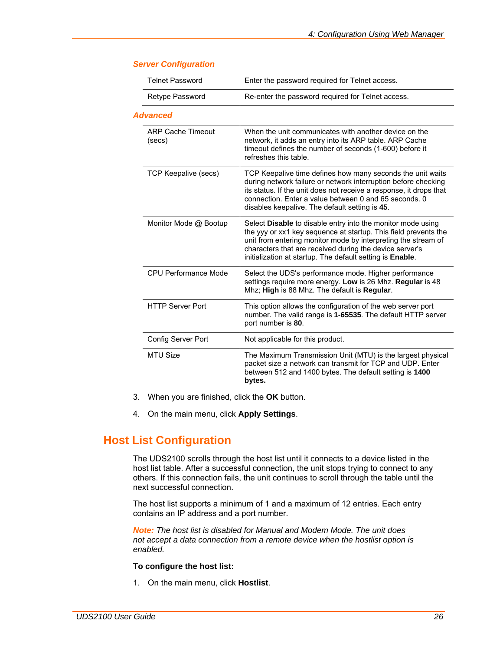| <b>Telnet Password</b>             | Enter the password required for Telnet access.                                                                                                                                                                                                                                                                                 |  |
|------------------------------------|--------------------------------------------------------------------------------------------------------------------------------------------------------------------------------------------------------------------------------------------------------------------------------------------------------------------------------|--|
| Retype Password                    | Re-enter the password required for Telnet access.                                                                                                                                                                                                                                                                              |  |
| <b>Advanced</b>                    |                                                                                                                                                                                                                                                                                                                                |  |
| <b>ARP Cache Timeout</b><br>(secs) | When the unit communicates with another device on the<br>network, it adds an entry into its ARP table. ARP Cache<br>timeout defines the number of seconds (1-600) before it<br>refreshes this table.                                                                                                                           |  |
| TCP Keepalive (secs)               | TCP Keepalive time defines how many seconds the unit waits<br>during network failure or network interruption before checking<br>its status. If the unit does not receive a response, it drops that<br>connection. Enter a value between 0 and 65 seconds. 0<br>disables keepalive. The default setting is 45.                  |  |
| Monitor Mode @ Bootup              | Select <b>Disable</b> to disable entry into the monitor mode using<br>the yyy or xx1 key sequence at startup. This field prevents the<br>unit from entering monitor mode by interpreting the stream of<br>characters that are received during the device server's<br>initialization at startup. The default setting is Enable. |  |
| CPU Performance Mode               | Select the UDS's performance mode. Higher performance<br>settings require more energy. Low is 26 Mhz. Regular is 48<br>Mhz; High is 88 Mhz. The default is Regular.                                                                                                                                                            |  |
| <b>HTTP Server Port</b>            | This option allows the configuration of the web server port<br>number. The valid range is 1-65535. The default HTTP server<br>port number is 80.                                                                                                                                                                               |  |
| Config Server Port                 | Not applicable for this product.                                                                                                                                                                                                                                                                                               |  |
| <b>MTU Size</b>                    | The Maximum Transmission Unit (MTU) is the largest physical<br>packet size a network can transmit for TCP and UDP. Enter<br>between 512 and 1400 bytes. The default setting is 1400<br>bytes.                                                                                                                                  |  |

### <span id="page-25-0"></span>*Server Configuration*

- 3. When you are finished, click the **OK** button.
- 4. On the main menu, click **Apply Settings**.

## **Host List Configuration**

The UDS2100 scrolls through the host list until it connects to a device listed in the host list table. After a successful connection, the unit stops trying to connect to any others. If this connection fails, the unit continues to scroll through the table until the next successful connection.

The host list supports a minimum of 1 and a maximum of 12 entries. Each entry contains an IP address and a port number.

*Note: The host list is disabled for Manual and Modem Mode. The unit does not accept a data connection from a remote device when the hostlist option is enabled.* 

#### **To configure the host list:**

1. On the main menu, click **Hostlist**.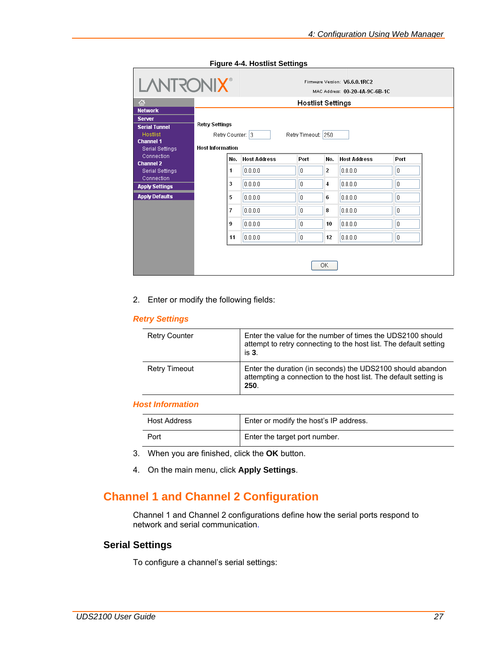<span id="page-26-0"></span>

| 샶                             |                         | <b>Hostlist Settings</b> |                    |                |                     |      |
|-------------------------------|-------------------------|--------------------------|--------------------|----------------|---------------------|------|
| <b>Network</b>                |                         |                          |                    |                |                     |      |
| <b>Server</b>                 |                         |                          |                    |                |                     |      |
| <b>Serial Tunnel</b>          | <b>Retry Settings</b>   |                          |                    |                |                     |      |
| <b>Hostlist</b>               | Retry Counter: 3        |                          | Retry Timeout: 250 |                |                     |      |
| <b>Channel 1</b>              | <b>Host Information</b> |                          |                    |                |                     |      |
| Serial Settings<br>Connection |                         |                          |                    |                |                     |      |
| <b>Channel 2</b>              | No.                     | <b>Host Address</b>      | Port               | No.            | <b>Host Address</b> | Port |
| Serial Settings               | 1                       | 0.0.0.0                  | 0                  | $\overline{2}$ | 0.0.0.0             | ١o   |
| Connection                    |                         |                          |                    |                |                     |      |
| <b>Apply Settings</b>         | 3                       | 0.0.0.0                  | n                  | 4              | 0.0.0.0             | I٥   |
| <b>Apply Defaults</b>         | 5                       | 0.0.0.0                  | 0                  | 6              | 0.0.0.0             | ١o   |
|                               | 7                       | 0.0.0.0                  | 0                  | 8              | 0.0.0.0             | 10   |
|                               | 9                       | 0.0.0.0                  | I٥                 | 10             | 0.0.0.0             | I٥   |
|                               |                         | 0.0.0.0                  | 0                  | 12             | 0.0.0.0             | 10   |

**Figure 4-4. Hostlist Settings** 

2. Enter or modify the following fields:

#### *Retry Settings*

| <b>Retry Counter</b> | Enter the value for the number of times the UDS2100 should<br>attempt to retry connecting to the host list. The default setting<br>is 3. |
|----------------------|------------------------------------------------------------------------------------------------------------------------------------------|
| <b>Retry Timeout</b> | Enter the duration (in seconds) the UDS2100 should abandon<br>attempting a connection to the host list. The default setting is<br>250.   |

### *Host Information*

| <b>Host Address</b> | Enter or modify the host's IP address. |  |
|---------------------|----------------------------------------|--|
| Port                | Enter the target port number.          |  |

- 3. When you are finished, click the **OK** button.
- 4. On the main menu, click **Apply Settings**.

## **Channel 1 and Channel 2 Configuration**

Channel 1 and Channel 2 configurations define how the serial ports respond to network and serial communication.

## **Serial Settings**

To configure a channel's serial settings: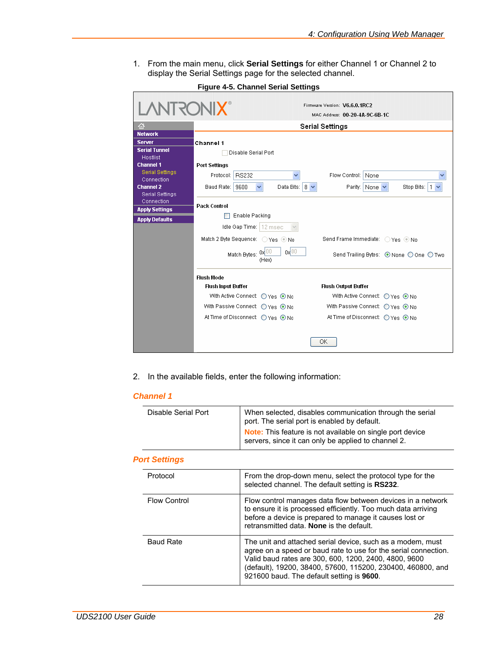<span id="page-27-0"></span>1. From the main menu, click **Serial Settings** for either Channel 1 or Channel 2 to display the Serial Settings page for the selected channel.

| <b>LANTRONIX®</b>                       |                                                   | Firmware Version: V6.6.0.1RC2<br>MAC Address: 00-20-4A-9C-6B-1C |  |  |
|-----------------------------------------|---------------------------------------------------|-----------------------------------------------------------------|--|--|
| 셦                                       | <b>Serial Settings</b>                            |                                                                 |  |  |
| <b>Network</b>                          |                                                   |                                                                 |  |  |
| <b>Server</b>                           | Channel 1                                         |                                                                 |  |  |
| <b>Serial Tunnel</b><br><b>Hostlist</b> | Disable Serial Port                               |                                                                 |  |  |
| <b>Channel 1</b>                        | <b>Port Settings</b>                              |                                                                 |  |  |
| <b>Serial Settings</b><br>Connection    | Protocol: RS232                                   | Flow Control:   None                                            |  |  |
| <b>Channel 2</b>                        | Baud Rate: 9600<br>Data Bits: $8 \vee$            | Parity: None<br>Stop Bits:   1 →                                |  |  |
| <b>Serial Settings</b><br>Connection    |                                                   |                                                                 |  |  |
| <b>Apply Settings</b>                   | <b>Pack Control</b>                               |                                                                 |  |  |
| <b>Apply Defaults</b>                   | Enable Packing                                    |                                                                 |  |  |
|                                         | Idle Gap Time: 12 msec                            |                                                                 |  |  |
|                                         | Match 2 Byte Sequence: ○ Yes ● No                 | Send Frame Immediate: ○ Yes ● No                                |  |  |
|                                         | $0x$ <sub>00</sub><br>Match Bytes: 0x00<br>(Hex)  | Send Trailing Bytes: ⊙ None ○ One ○ Two                         |  |  |
|                                         | <b>Flush Mode</b>                                 |                                                                 |  |  |
|                                         | <b>Flush Input Buffer</b>                         | <b>Flush Output Buffer</b>                                      |  |  |
|                                         | With Active Connect: $\bigcirc$ Yes $\bigcirc$ No | With Active Connect: $\bigcirc$ Yes $\bigcirc$ No               |  |  |
|                                         | With Passive Connect: ○ Yes ⊙ No                  | With Passive Connect: ○ Yes ⊙ No                                |  |  |
|                                         | At Time of Disconnect: ○ Yes ● No.                | At Time of Disconnect: ○ Yes ⊙ No                               |  |  |
|                                         |                                                   | ОK                                                              |  |  |

**Figure 4-5. Channel Serial Settings** 

2. In the available fields, enter the following information:

### *Channel 1*

| Disable Serial Port  | When selected, disables communication through the serial<br>port. The serial port is enabled by default.<br><b>Note:</b> This feature is not available on single port device                                                                                                                       |
|----------------------|----------------------------------------------------------------------------------------------------------------------------------------------------------------------------------------------------------------------------------------------------------------------------------------------------|
|                      | servers, since it can only be applied to channel 2.                                                                                                                                                                                                                                                |
| <b>Port Settings</b> |                                                                                                                                                                                                                                                                                                    |
| Protocol             | From the drop-down menu, select the protocol type for the<br>selected channel. The default setting is RS232.                                                                                                                                                                                       |
| <b>Flow Control</b>  | Flow control manages data flow between devices in a network<br>to ensure it is processed efficiently. Too much data arriving<br>before a device is prepared to manage it causes lost or<br>retransmitted data. None is the default.                                                                |
| <b>Baud Rate</b>     | The unit and attached serial device, such as a modem, must<br>agree on a speed or baud rate to use for the serial connection.<br>Valid baud rates are 300, 600, 1200, 2400, 4800, 9600<br>(default), 19200, 38400, 57600, 115200, 230400, 460800, and<br>921600 baud. The default setting is 9600. |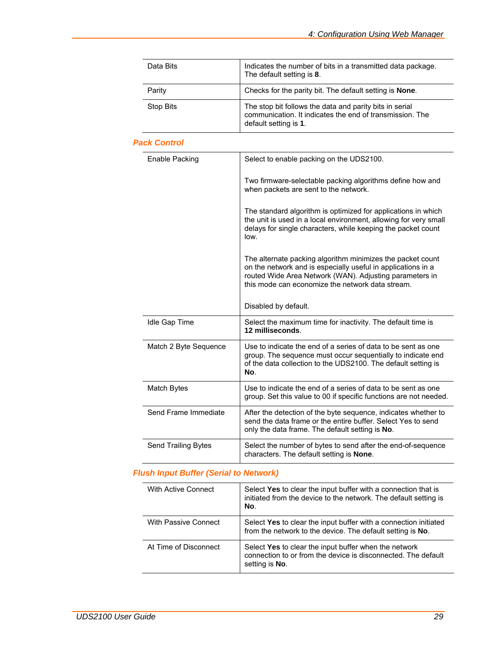| Data Bits        | Indicates the number of bits in a transmitted data package.<br>The default setting is 8.                                                     |
|------------------|----------------------------------------------------------------------------------------------------------------------------------------------|
| Parity           | Checks for the parity bit. The default setting is <b>None</b> .                                                                              |
| <b>Stop Bits</b> | The stop bit follows the data and parity bits in serial<br>communication. It indicates the end of transmission. The<br>default setting is 1. |

### *Pack Control*

| Enable Packing             | Select to enable packing on the UDS2100.                                                                                                                                                                                                  |
|----------------------------|-------------------------------------------------------------------------------------------------------------------------------------------------------------------------------------------------------------------------------------------|
|                            | Two firmware-selectable packing algorithms define how and<br>when packets are sent to the network.                                                                                                                                        |
|                            | The standard algorithm is optimized for applications in which<br>the unit is used in a local environment, allowing for very small<br>delays for single characters, while keeping the packet count<br>low.                                 |
|                            | The alternate packing algorithm minimizes the packet count<br>on the network and is especially useful in applications in a<br>routed Wide Area Network (WAN). Adjusting parameters in<br>this mode can economize the network data stream. |
|                            | Disabled by default.                                                                                                                                                                                                                      |
| Idle Gap Time              | Select the maximum time for inactivity. The default time is<br>12 milliseconds.                                                                                                                                                           |
| Match 2 Byte Sequence      | Use to indicate the end of a series of data to be sent as one<br>group. The sequence must occur sequentially to indicate end<br>of the data collection to the UDS2100. The default setting is<br>No.                                      |
| Match Bytes                | Use to indicate the end of a series of data to be sent as one<br>group. Set this value to 00 if specific functions are not needed.                                                                                                        |
| Send Frame Immediate       | After the detection of the byte sequence, indicates whether to<br>send the data frame or the entire buffer. Select Yes to send<br>only the data frame. The default setting is No.                                                         |
| <b>Send Trailing Bytes</b> | Select the number of bytes to send after the end-of-sequence<br>characters. The default setting is <b>None</b> .                                                                                                                          |

## *Flush Input Buffer (Serial to Network)*

| With Active Connect   | Select Yes to clear the input buffer with a connection that is<br>initiated from the device to the network. The default setting is<br>No. |
|-----------------------|-------------------------------------------------------------------------------------------------------------------------------------------|
| With Passive Connect  | Select Yes to clear the input buffer with a connection initiated<br>from the network to the device. The default setting is No.            |
| At Time of Disconnect | Select Yes to clear the input buffer when the network<br>connection to or from the device is disconnected. The default<br>setting is No.  |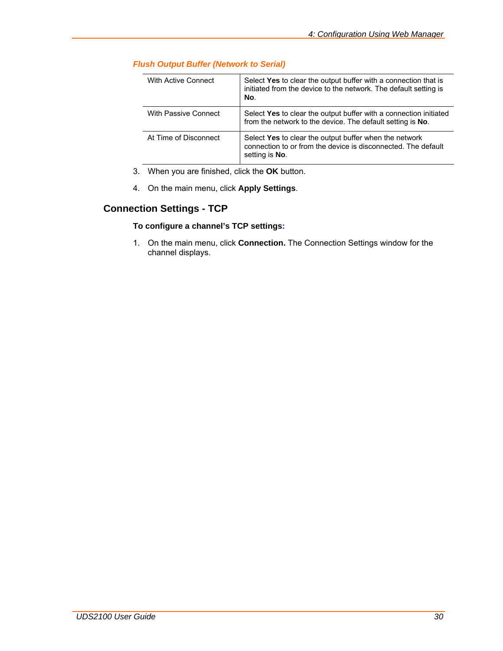| With Active Connect   | Select Yes to clear the output buffer with a connection that is<br>initiated from the device to the network. The default setting is<br>No. |
|-----------------------|--------------------------------------------------------------------------------------------------------------------------------------------|
| With Passive Connect  | Select Yes to clear the output buffer with a connection initiated<br>from the network to the device. The default setting is No.            |
| At Time of Disconnect | Select Yes to clear the output buffer when the network<br>connection to or from the device is disconnected. The default<br>setting is No.  |

### <span id="page-29-0"></span>*Flush Output Buffer (Network to Serial)*

- 3. When you are finished, click the **OK** button.
- 4. On the main menu, click **Apply Settings**.

## **Connection Settings - TCP**

### **To configure a channel's TCP settings:**

1. On the main menu, click **Connection.** The Connection Settings window for the channel displays.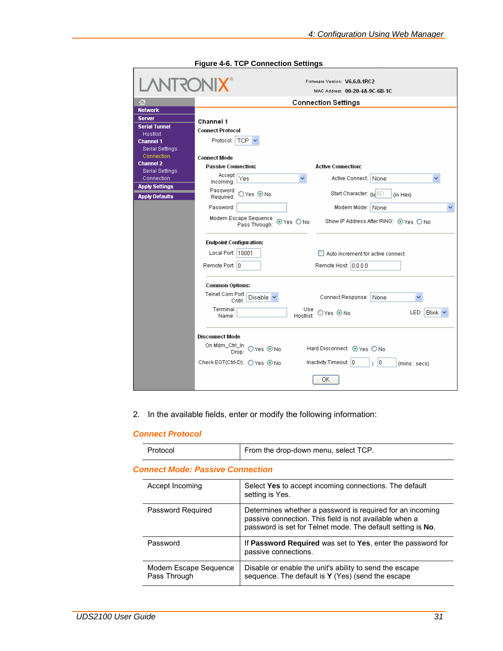<span id="page-30-0"></span>

| VIKO                                                                                                                                                                      | Firmware Version: V6.6.0.1RC2<br>MAC Address: 00-20-4A-9C-6B-1C                                                                                                                                   |
|---------------------------------------------------------------------------------------------------------------------------------------------------------------------------|---------------------------------------------------------------------------------------------------------------------------------------------------------------------------------------------------|
| 셦                                                                                                                                                                         | <b>Connection Settings</b>                                                                                                                                                                        |
| <b>Network</b>                                                                                                                                                            |                                                                                                                                                                                                   |
| <b>Server</b><br><b>Serial Tunnel</b><br>Hostlist<br><b>Channel 1</b><br><b>Serial Settings</b><br>Connection<br><b>Channel 2</b><br><b>Serial Settings</b><br>Connection | Channel 1<br><b>Connect Protocol</b><br>Protocol:   TCP N<br><b>Connect Mode</b><br><b>Passive Connection:</b><br><b>Active Connection:</b><br>Accept<br>Yes<br>Active Connect: None<br>Incoming: |
| <b>Apply Settings</b>                                                                                                                                                     | Password<br>Start Character: 0x 0D<br>OYes ⊙No                                                                                                                                                    |
| <b>Apply Defaults</b>                                                                                                                                                     | (in Hex)<br>Required:                                                                                                                                                                             |
|                                                                                                                                                                           | Password:<br>Modem Mode: None<br>Modem Escape Sequence<br>Show IP Address After RING: ⊙ Yes ○ No<br>⊙Yes ONo<br>Pass Through:                                                                     |
|                                                                                                                                                                           | <b>Endpoint Configuration:</b><br>Local Port:   10001<br>Auto increment for active connect<br>Remote Port: 0<br>Remote Host: 0.0.0.0                                                              |
|                                                                                                                                                                           | <b>Common Options:</b><br>Teinet Com Port<br><b>Disable</b><br>Connect Response:<br>None<br>Cntrl:<br>Terminal<br>Use<br>LED: Blink<br>$OYes$ $@$ No<br>Hostlist:<br>Name:                        |
|                                                                                                                                                                           | <b>Disconnect Mode</b><br>On Mdm_Ctrl_In<br>Hard Disconnect: ⊙ Yes ○ No<br>Drop: O Yes @ No<br>Inactivity Timeout: 0<br>Check EOT(Ctrl-D): ○ Yes ⊙ No<br> 0 <br>÷<br>(mins : secs)<br>OK          |

**Figure 4-6. TCP Connection Settings** 

2. In the available fields, enter or modify the following information:

### *Connect Protocol*

| Protocol                                | From the drop-down menu, select TCP.                                                                                                                                               |
|-----------------------------------------|------------------------------------------------------------------------------------------------------------------------------------------------------------------------------------|
| <b>Connect Mode: Passive Connection</b> |                                                                                                                                                                                    |
| Accept Incoming                         | Select Yes to accept incoming connections. The default<br>setting is Yes.                                                                                                          |
| Password Required                       | Determines whether a password is required for an incoming<br>passive connection. This field is not available when a<br>password is set for Telnet mode. The default setting is No. |
| Password                                | If Password Required was set to Yes, enter the password for<br>passive connections.                                                                                                |
| Modem Escape Sequence<br>Pass Through   | Disable or enable the unit's ability to send the escape<br>sequence. The default is Y (Yes) (send the escape                                                                       |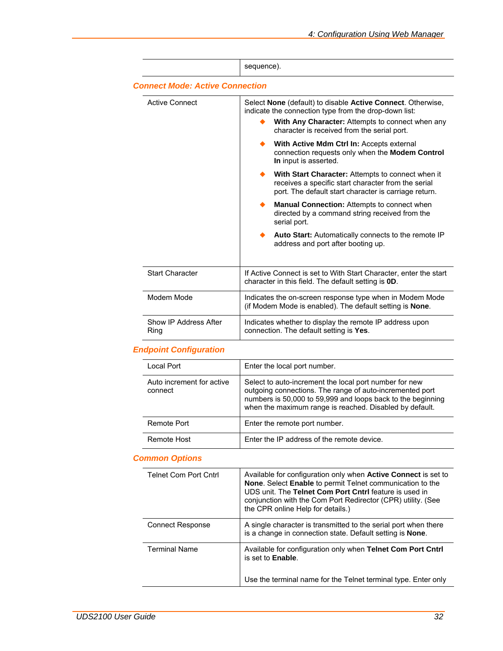|                                        | sequence).                                                                                                                                                                                                              |
|----------------------------------------|-------------------------------------------------------------------------------------------------------------------------------------------------------------------------------------------------------------------------|
| <b>Connect Mode: Active Connection</b> |                                                                                                                                                                                                                         |
| Active Connect                         | Select None (default) to disable Active Connect. Otherwise,<br>indicate the connection type from the drop-down list:<br>With Any Character: Attempts to connect when any<br>character is received from the serial port. |
|                                        | With Active Mdm Ctrl In: Accepts external<br>connection requests only when the Modem Control<br>In input is asserted.                                                                                                   |
|                                        | With Start Character: Attempts to connect when it<br>receives a specific start character from the serial<br>port. The default start character is carriage return.                                                       |
|                                        | <b>Manual Connection:</b> Attempts to connect when<br>directed by a command string received from the<br>serial port.                                                                                                    |
|                                        | Auto Start: Automatically connects to the remote IP<br>address and port after booting up.                                                                                                                               |
| <b>Start Character</b>                 | If Active Connect is set to With Start Character, enter the start<br>character in this field. The default setting is <b>0D</b> .                                                                                        |
| Modem Mode                             | Indicates the on-screen response type when in Modem Mode<br>(if Modem Mode is enabled). The default setting is <b>None</b> .                                                                                            |
| Show IP Address After<br>Ring          | Indicates whether to display the remote IP address upon<br>connection. The default setting is Yes.                                                                                                                      |

## *Endpoint Configuration*

| Local Port                           | Enter the local port number.                                                                                                                                                                                                                 |
|--------------------------------------|----------------------------------------------------------------------------------------------------------------------------------------------------------------------------------------------------------------------------------------------|
| Auto increment for active<br>connect | Select to auto-increment the local port number for new<br>outgoing connections. The range of auto-incremented port<br>numbers is 50,000 to 59,999 and loops back to the beginning<br>when the maximum range is reached. Disabled by default. |
| Remote Port                          | Enter the remote port number.                                                                                                                                                                                                                |
| Remote Host                          | Enter the IP address of the remote device.                                                                                                                                                                                                   |

## *Common Options*

| <b>Telnet Com Port Cntrl</b> | Available for configuration only when <b>Active Connect</b> is set to<br>None. Select Enable to permit Telnet communication to the<br>UDS unit. The Telnet Com Port Cntrl feature is used in<br>conjunction with the Com Port Redirector (CPR) utility. (See<br>the CPR online Help for details.) |
|------------------------------|---------------------------------------------------------------------------------------------------------------------------------------------------------------------------------------------------------------------------------------------------------------------------------------------------|
| <b>Connect Response</b>      | A single character is transmitted to the serial port when there<br>is a change in connection state. Default setting is <b>None</b> .                                                                                                                                                              |
| <b>Terminal Name</b>         | Available for configuration only when Telnet Com Port Cntrl<br>is set to <b>Enable</b> .                                                                                                                                                                                                          |
|                              | Use the terminal name for the Telnet terminal type. Enter only                                                                                                                                                                                                                                    |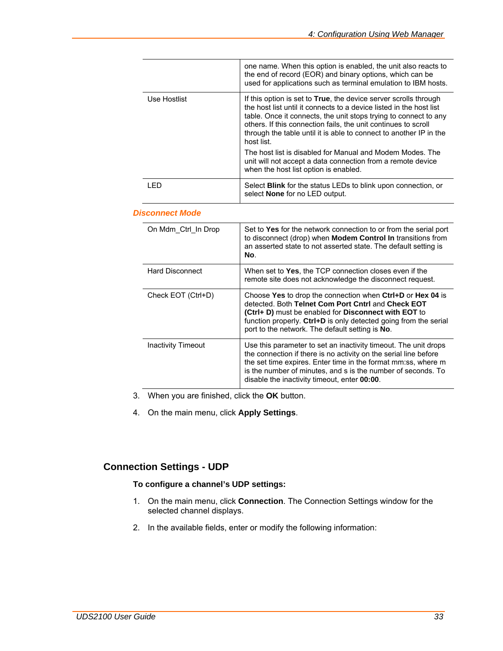<span id="page-32-0"></span>

|              | one name. When this option is enabled, the unit also reacts to<br>the end of record (EOR) and binary options, which can be<br>used for applications such as terminal emulation to IBM hosts.                                                                                                                                                                              |
|--------------|---------------------------------------------------------------------------------------------------------------------------------------------------------------------------------------------------------------------------------------------------------------------------------------------------------------------------------------------------------------------------|
| Use Hostlist | If this option is set to <b>True</b> , the device server scrolls through<br>the host list until it connects to a device listed in the host list<br>table. Once it connects, the unit stops trying to connect to any<br>others. If this connection fails, the unit continues to scroll<br>through the table until it is able to connect to another IP in the<br>host list. |
|              | The host list is disabled for Manual and Modem Modes. The<br>unit will not accept a data connection from a remote device<br>when the host list option is enabled.                                                                                                                                                                                                         |
| I FD         | Select <b>Blink</b> for the status LEDs to blink upon connection, or<br>select <b>None</b> for no LED output.                                                                                                                                                                                                                                                             |

#### *Disconnect Mode*

| On Mdm_Ctrl_In Drop    | Set to Yes for the network connection to or from the serial port<br>to disconnect (drop) when <b>Modem Control In</b> transitions from<br>an asserted state to not asserted state. The default setting is<br>No.                                                                                                     |
|------------------------|----------------------------------------------------------------------------------------------------------------------------------------------------------------------------------------------------------------------------------------------------------------------------------------------------------------------|
| <b>Hard Disconnect</b> | When set to Yes, the TCP connection closes even if the<br>remote site does not acknowledge the disconnect request.                                                                                                                                                                                                   |
| Check EOT (Ctrl+D)     | Choose Yes to drop the connection when Ctrl+D or Hex 04 is<br>detected. Both Telnet Com Port Cntrl and Check EOT<br>(Ctrl+ D) must be enabled for Disconnect with EOT to<br>function properly. Ctrl+D is only detected going from the serial<br>port to the network. The default setting is No.                      |
| Inactivity Timeout     | Use this parameter to set an inactivity timeout. The unit drops<br>the connection if there is no activity on the serial line before<br>the set time expires. Enter time in the format mm:ss, where m<br>is the number of minutes, and s is the number of seconds. To<br>disable the inactivity timeout, enter 00:00. |

- 3. When you are finished, click the **OK** button.
- 4. On the main menu, click **Apply Settings**.

## **Connection Settings - UDP**

### **To configure a channel's UDP settings:**

- 1. On the main menu, click **Connection**. The Connection Settings window for the selected channel displays.
- 2. In the available fields, enter or modify the following information: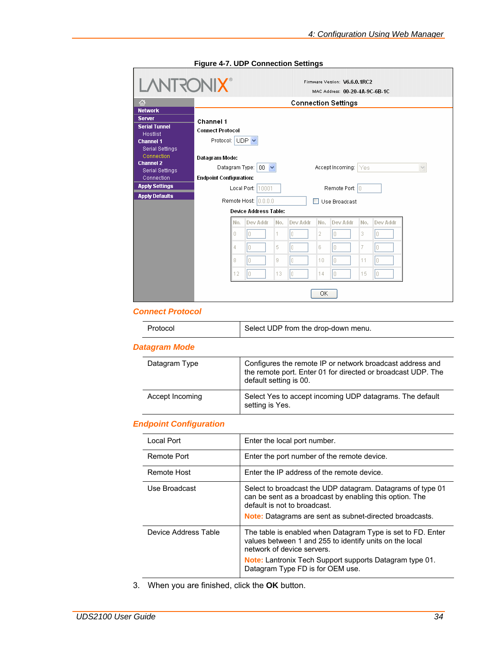<span id="page-33-0"></span>

|                                                                                                                                                                                         |                                                                                                             | <b>LANTRONIX®</b> |                            |     |          |                | MAC Address: 00-20-4A-9C-6B-1C |     |              |  |
|-----------------------------------------------------------------------------------------------------------------------------------------------------------------------------------------|-------------------------------------------------------------------------------------------------------------|-------------------|----------------------------|-----|----------|----------------|--------------------------------|-----|--------------|--|
| 샶<br><b>Network</b>                                                                                                                                                                     | <b>Connection Settings</b>                                                                                  |                   |                            |     |          |                |                                |     |              |  |
| <b>Server</b><br><b>Serial Tunnel</b><br><b>Hostlist</b><br><b>Channel 1</b><br><b>Serial Settings</b><br><b>Connection</b><br><b>Channel 2</b><br><b>Serial Settings</b><br>Connection | Channel 1<br><b>Connect Protocol</b><br>Protocol: UDP V<br>Datagram Mode:<br><b>Endpoint Configuration:</b> |                   | Datagram Type: $ 00  \vee$ |     |          |                | Accept Incoming: Yes           |     | $\checkmark$ |  |
| <b>Apply Settings</b>                                                                                                                                                                   |                                                                                                             |                   | Local Port: 10001          |     |          |                | Remote Port: 0                 |     |              |  |
| <b>Apply Defaults</b>                                                                                                                                                                   |                                                                                                             |                   | Remote Host: 0.0.0.0       |     |          |                | Use Broadcast                  |     |              |  |
|                                                                                                                                                                                         | Device Address Table:                                                                                       |                   |                            |     |          |                |                                |     |              |  |
|                                                                                                                                                                                         |                                                                                                             | No.               | Dev Addr                   | No. | Dev Addr | No.            | Dev Addr                       | No. | Dev Addr     |  |
|                                                                                                                                                                                         |                                                                                                             | O                 | Iо                         | 1   | Iо       | $\overline{2}$ | Io.                            | 3   | I۵           |  |
|                                                                                                                                                                                         |                                                                                                             | 4                 | lo.                        | 5   | I۵       | 6              | Io.                            | 7   | In.          |  |
|                                                                                                                                                                                         |                                                                                                             | 8                 | n                          | 9   | In.      | 10             | I٥                             | 11  | In           |  |
|                                                                                                                                                                                         |                                                                                                             | 12                | lo.                        | 13  | Iо       | 14             | lo.                            | 15  | IO.          |  |

**Figure 4-7. UDP Connection Settings** 

### *Connect Protocol*

|  | Protocol | Select UDP from the drop-down menu. |
|--|----------|-------------------------------------|
|--|----------|-------------------------------------|

### *Datagram Mode*

| Datagram Type   | Configures the remote IP or network broadcast address and<br>the remote port. Enter 01 for directed or broadcast UDP. The<br>default setting is 00. |
|-----------------|-----------------------------------------------------------------------------------------------------------------------------------------------------|
| Accept Incoming | Select Yes to accept incoming UDP datagrams. The default<br>setting is Yes.                                                                         |

### *Endpoint Configuration*

| Local Port           | Enter the local port number.                                                                                                                                                                                                                               |
|----------------------|------------------------------------------------------------------------------------------------------------------------------------------------------------------------------------------------------------------------------------------------------------|
| Remote Port          | Enter the port number of the remote device.                                                                                                                                                                                                                |
| Remote Host          | Enter the IP address of the remote device.                                                                                                                                                                                                                 |
| Use Broadcast        | Select to broadcast the UDP datagram. Datagrams of type 01<br>can be sent as a broadcast by enabling this option. The<br>default is not to broadcast.<br><b>Note:</b> Datagrams are sent as subnet-directed broadcasts.                                    |
| Device Address Table | The table is enabled when Datagram Type is set to FD. Enter<br>values between 1 and 255 to identify units on the local<br>network of device servers.<br><b>Note:</b> Lantronix Tech Support supports Datagram type 01.<br>Datagram Type FD is for OEM use. |

3. When you are finished, click the **OK** button.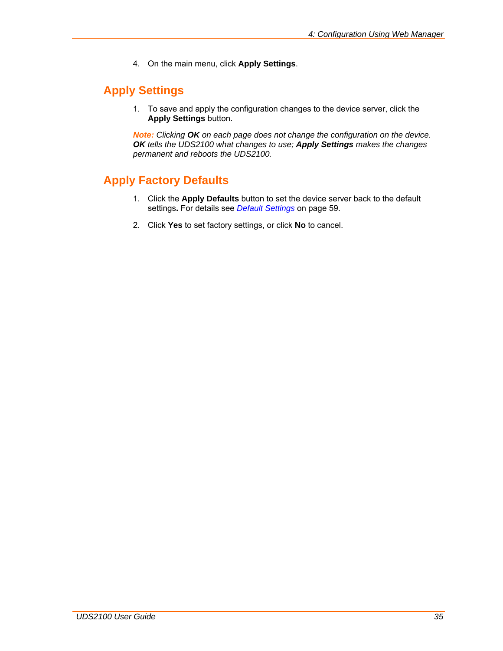4. On the main menu, click **Apply Settings**.

## <span id="page-34-0"></span>**Apply Settings**

1. To save and apply the configuration changes to the device server, click the **Apply Settings** button.

*Note: Clicking OK on each page does not change the configuration on the device. OK tells the UDS2100 what changes to use; Apply Settings makes the changes permanent and reboots the UDS2100.* 

## **Apply Factory Defaults**

- 1. Click the **Apply Defaults** button to set the device server back to the default settings**.** For details see *[Default Settings](#page-58-1)* on page [59.](#page-58-1)
- 2. Click **Yes** to set factory settings, or click **No** to cancel.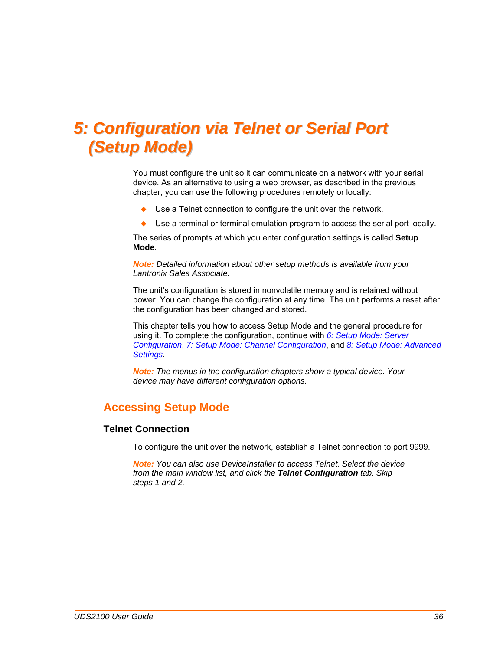## <span id="page-35-1"></span><span id="page-35-0"></span>*5: Configuration via Telnet or Serial Port (Setup Mode)*

You must configure the unit so it can communicate on a network with your serial device. As an alternative to using a web browser, as described in the previous chapter, you can use the following procedures remotely or locally:

- Use a Telnet connection to configure the unit over the network.
- Use a terminal or terminal emulation program to access the serial port locally.

The series of prompts at which you enter configuration settings is called **Setup Mode**.

*Note: Detailed information about other setup methods is available from your Lantronix Sales Associate.* 

The unit's configuration is stored in nonvolatile memory and is retained without power. You can change the configuration at any time. The unit performs a reset after the configuration has been changed and stored.

This chapter tells you how to access Setup Mode and the general procedure for using it. To complete the configuration, continue with *[6:](#page-38-1) [Setup Mode: Server](#page-38-1)  [Configuration](#page-38-1)*, *[7:](#page-41-1) [Setup Mode: Channel Configuration](#page-41-1)*, and *[8:](#page-55-1) [Setup Mode: Advanced](#page-55-1)  [Settings](#page-55-1)*.

*Note: The menus in the configuration chapters show a typical device. Your device may have different configuration options.* 

## **Accessing Setup Mode**

### **Telnet Connection**

To configure the unit over the network, establish a Telnet connection to port 9999.

*Note: You can also use DeviceInstaller to access Telnet. Select the device from the main window list, and click the Telnet Configuration tab. Skip steps 1 and 2.*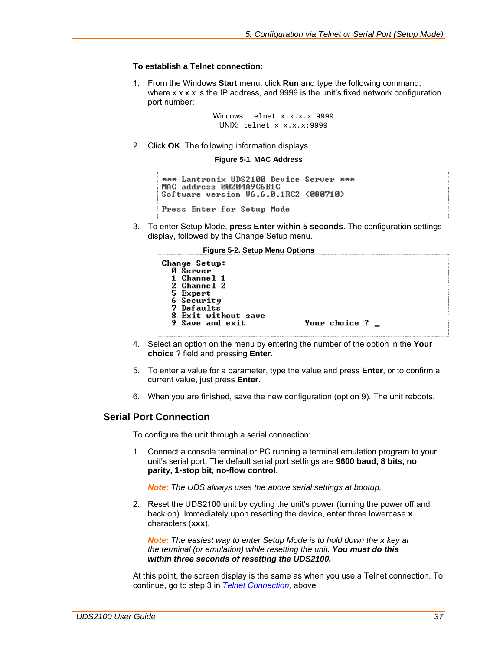#### **To establish a Telnet connection:**

1. From the Windows **Start** menu, click **Run** and type the following command, where x.x.x.x is the IP address, and 9999 is the unit's fixed network configuration port number:

> Windows: telnet x.x.x.x 9999 UNIX: telnet x.x.x.x:9999

2. Click **OK**. The following information displays.

**Figure 5-1. MAC Address** 

```
*** Lantronix UDS2100 Device Server ***
MAC address 00204A9C6B1C
Software version 06.6.0.1RC2 (080710)
Press Enter for Setup Mode
```
3. To enter Setup Mode, **press Enter within 5 seconds**. The configuration settings display, followed by the Change Setup menu.

**Figure 5-2. Setup Menu Options** 

```
Change Setup:
  Ø Šerver
  1 Channel 1
  2 Channel 25 Expert
  6 Security<br>7 Defaults
  8 Exit without save
  9 Save and exit
                                 Your choice ? _
```
- 4. Select an option on the menu by entering the number of the option in the **Your choice** ? field and pressing **Enter**.
- 5. To enter a value for a parameter, type the value and press **Enter**, or to confirm a current value, just press **Enter**.
- 6. When you are finished, save the new configuration (option 9). The unit reboots.

### <span id="page-36-0"></span>**Serial Port Connection**

To configure the unit through a serial connection:

1. Connect a console terminal or PC running a terminal emulation program to your unit's serial port. The default serial port settings are **9600 baud, 8 bits, no parity, 1-stop bit, no-flow control**.

*Note: The UDS always uses the above serial settings at bootup.* 

2. Reset the UDS2100 unit by cycling the unit's power (turning the power off and back on). Immediately upon resetting the device, enter three lowercase **x** characters (**xxx**).

*Note: The easiest way to enter Setup Mode is to hold down the x key at the terminal (or emulation) while resetting the unit. You must do this within three seconds of resetting the UDS2100.*

At this point, the screen display is the same as when you use a Telnet connection. To continue, go to step 3 in *[Telnet Connection](#page-35-0),* above*.*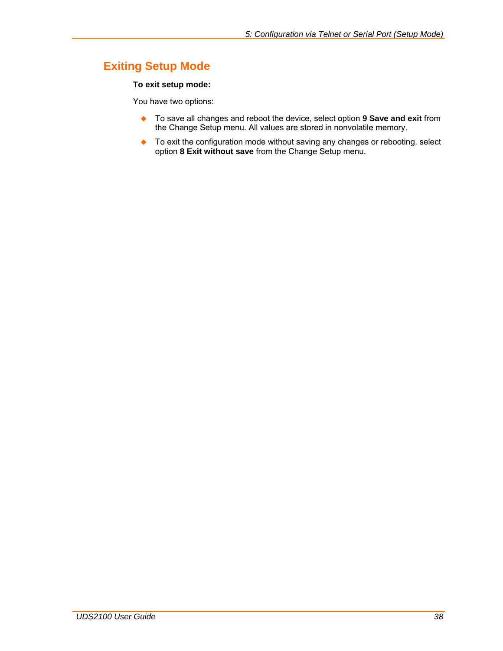# **Exiting Setup Mode**

#### **To exit setup mode:**

You have two options:

- To save all changes and reboot the device, select option **9 Save and exit** from the Change Setup menu. All values are stored in nonvolatile memory.
- ◆ To exit the configuration mode without saving any changes or rebooting. select option **8 Exit without save** from the Change Setup menu.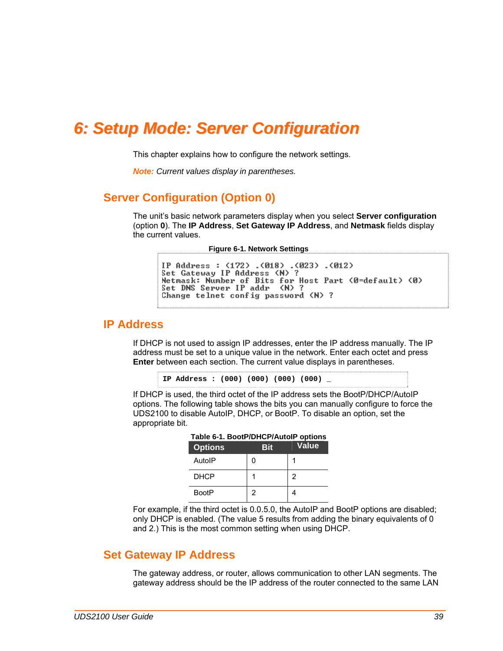# *6: Setup Mode: Server Configuration*

This chapter explains how to configure the network settings.

*Note: Current values display in parentheses.* 

### **Server Configuration (Option 0)**

The unit's basic network parameters display when you select **Server configuration**  (option **0**). The **IP Address**, **Set Gateway IP Address**, and **Netmask** fields display the current values.

**Figure 6-1. Network Settings** 

```
IP Address : (172) .(018) .(023) .(012)<br>Set Gateway IP Address (N) ?
Netmask: Number of Bits for Host Part (0=default) (0)
Set DNS Server IP addr (N) ?
Change telnet config password (N) ?
```
### **IP Address**

If DHCP is not used to assign IP addresses, enter the IP address manually. The IP address must be set to a unique value in the network. Enter each octet and press **Enter** between each section. The current value displays in parentheses.

**IP Address : (000) (000) (000) (000) \_** 

If DHCP is used, the third octet of the IP address sets the BootP/DHCP/AutoIP options. The following table shows the bits you can manually configure to force the UDS2100 to disable AutoIP, DHCP, or BootP. To disable an option, set the appropriate bit.

| Table 6-1. BootP/DHCP/AutolP options<br><b>Options</b> | Bit | <b>Value</b> |
|--------------------------------------------------------|-----|--------------|
| AutolP                                                 | ი   |              |
| <b>DHCP</b>                                            |     | 2            |
| <b>BootP</b>                                           | 2   |              |

For example, if the third octet is 0.0.5.0, the AutoIP and BootP options are disabled; only DHCP is enabled. (The value 5 results from adding the binary equivalents of 0 and 2.) This is the most common setting when using DHCP.

### **Set Gateway IP Address**

The gateway address, or router, allows communication to other LAN segments. The gateway address should be the IP address of the router connected to the same LAN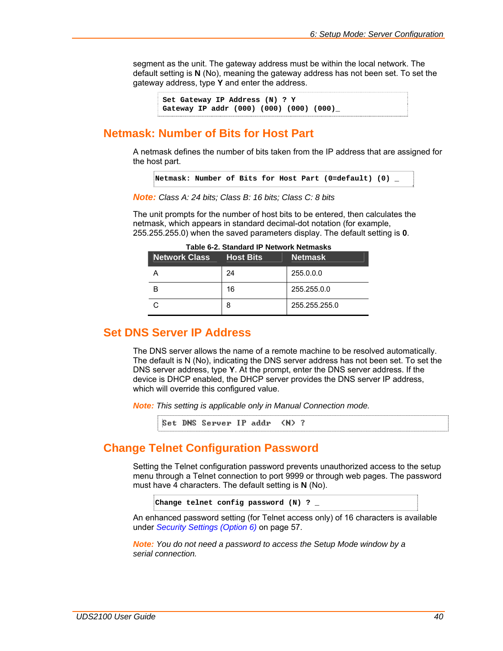segment as the unit. The gateway address must be within the local network. The default setting is **N** (No), meaning the gateway address has not been set. To set the gateway address, type **Y** and enter the address.

**Set Gateway IP Address (N) ? Y Gateway IP addr (000) (000) (000) (000)\_** 

### **Netmask: Number of Bits for Host Part**

A netmask defines the number of bits taken from the IP address that are assigned for the host part.

```
Netmask: Number of Bits for Host Part (0=default) (0) _
```
*Note: Class A: 24 bits; Class B: 16 bits; Class C: 8 bits*

The unit prompts for the number of host bits to be entered, then calculates the netmask, which appears in standard decimal-dot notation (for example, 255.255.255.0) when the saved parameters display. The default setting is **0**.

| <b>Network Class Host Bits</b> |    | <b>Netmask</b> |
|--------------------------------|----|----------------|
|                                | 24 | 255.0.0.0      |
|                                | 16 | 255.255.0.0    |
|                                | 8  | 255.255.255.0  |

**Table 6-2. Standard IP Network Netmasks** 

### **Set DNS Server IP Address**

The DNS server allows the name of a remote machine to be resolved automatically. The default is N (No), indicating the DNS server address has not been set. To set the DNS server address, type **Y**. At the prompt, enter the DNS server address. If the device is DHCP enabled, the DHCP server provides the DNS server IP address, which will override this configured value.

*Note: This setting is applicable only in Manual Connection mode.*

Set DNS Server IP addr (N) ?

## **Change Telnet Configuration Password**

Setting the Telnet configuration password prevents unauthorized access to the setup menu through a Telnet connection to port 9999 or through web pages. The password must have 4 characters. The default setting is **N** (No).

```
Change telnet config password (N) ? _
```
An enhanced password setting (for Telnet access only) of 16 characters is available under *[Security Settings \(Option 6\)](#page-56-0)* on page [57](#page-56-0).

*Note: You do not need a password to access the Setup Mode window by a serial connection.*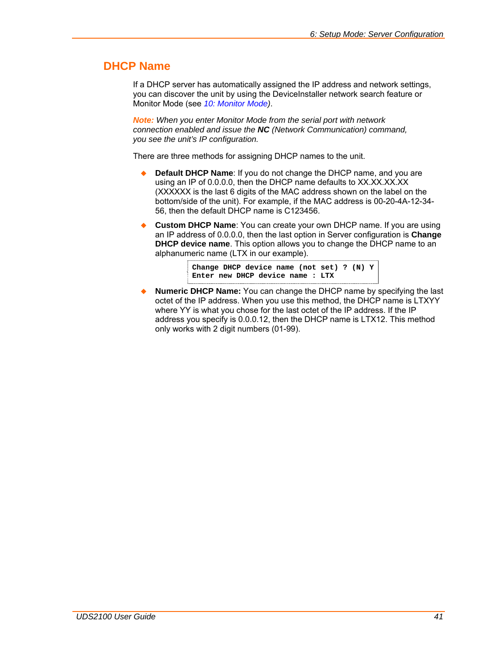## **DHCP Name**

If a DHCP server has automatically assigned the IP address and network settings, you can discover the unit by using the DeviceInstaller network search feature or Monitor Mode (see *[10:](#page-63-0) [Monitor Mode\)](#page-63-0)*.

*Note: When you enter Monitor Mode from the serial port with network connection enabled and issue the NC (Network Communication) command, you see the unit's IP configuration.* 

There are three methods for assigning DHCP names to the unit.

- **Default DHCP Name**: If you do not change the DHCP name, and you are using an IP of 0.0.0.0, then the DHCP name defaults to XX.XX.XX.XX (XXXXXX is the last 6 digits of the MAC address shown on the label on the bottom/side of the unit). For example, if the MAC address is 00-20-4A-12-34- 56, then the default DHCP name is C123456.
- **Custom DHCP Name**: You can create your own DHCP name. If you are using an IP address of 0.0.0.0, then the last option in Server configuration is **Change DHCP device name**. This option allows you to change the DHCP name to an alphanumeric name (LTX in our example).

**Change DHCP device name (not set) ? (N) Y Enter new DHCP device name : LTX** 

 **Numeric DHCP Name:** You can change the DHCP name by specifying the last octet of the IP address. When you use this method, the DHCP name is LTXYY where YY is what you chose for the last octet of the IP address. If the IP address you specify is 0.0.0.12, then the DHCP name is LTX12. This method only works with 2 digit numbers (01-99).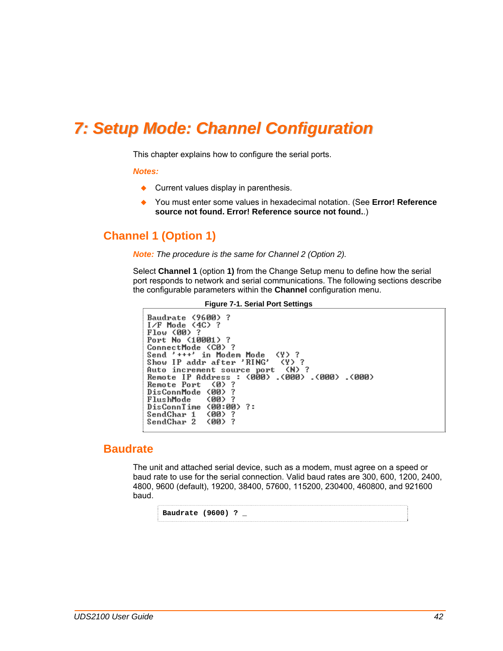# *7: Setup Mode: Channel Configuration*

This chapter explains how to configure the serial ports.

#### *Notes:*

- ◆ Current values display in parenthesis.
- You must enter some values in hexadecimal notation. (See **Error! Reference source not found. Error! Reference source not found.**.)

## **Channel 1 (Option 1)**

*Note: The procedure is the same for Channel 2 (Option 2).* 

Select **Channel 1** (option **1)** from the Change Setup menu to define how the serial port responds to network and serial communications. The following sections describe the configurable parameters within the **Channel** configuration menu.

```
Figure 7-1. Serial Port Settings 
Baudrate (9600) ?
I/F Mode \langle 4C \rangle ?
Flow (00)
                -2
Port No (10001) ?
ConnectMode (C0) ?
Send '+++' in Modem Mode<br>Show IP addr after 'RING'
                                           \langle \Psi \rangle ?
                                            (Y) ?
snow ir addr after "RING" (Y) ?<br>Auto increment source port (N) ?<br>Remote IP Address : (000) .(000) .(000) .(000)<br>Remote Port (0) ?
DisConnMode (00) ?
                            \overline{?}FlushMode
                    (00)
                    (00:00) ?:
DisConnTime
SendChar 1
                    (00) ?
SendChar 2
                    (00) ?
```
### **Baudrate**

The unit and attached serial device, such as a modem, must agree on a speed or baud rate to use for the serial connection. Valid baud rates are 300, 600, 1200, 2400, 4800, 9600 (default), 19200, 38400, 57600, 115200, 230400, 460800, and 921600 baud.

**Baudrate (9600) ? \_**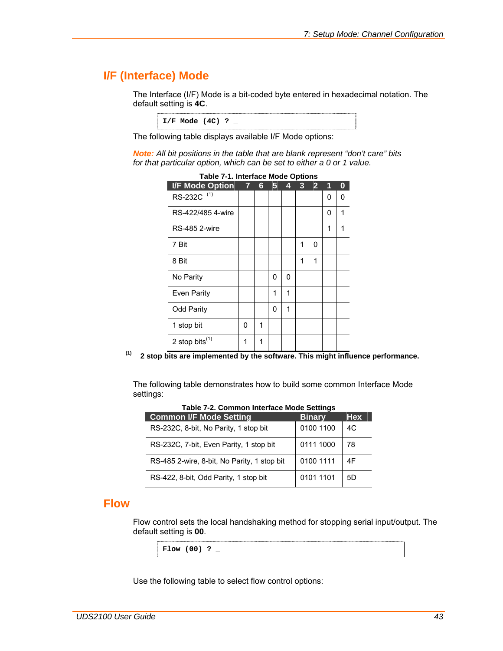## **I/F (Interface) Mode**

ı

The Interface (I/F) Mode is a bit-coded byte entered in hexadecimal notation. The default setting is **4C**.

**I/F Mode (4C) ? \_** 

The following table displays available I/F Mode options:

*Note: All bit positions in the table that are blank represent "don't care" bits for that particular option, which can be set to either a 0 or 1 value.* 

| <b>Table 7-1. Interface Mode Options</b> |                |                      |   |   |              |                |   |   |
|------------------------------------------|----------------|----------------------|---|---|--------------|----------------|---|---|
| <b>I/F Mode Option</b>                   | $\overline{7}$ | $\ddot{\bm{\theta}}$ | 5 | 4 | $\mathbf{3}$ | $\overline{2}$ | 1 | 0 |
| RS-232C <sup>(1)</sup>                   |                |                      |   |   |              |                | 0 | 0 |
| RS-422/485 4-wire                        |                |                      |   |   |              |                | 0 | 1 |
| <b>RS-485 2-wire</b>                     |                |                      |   |   |              |                | 1 | 1 |
| 7 Bit                                    |                |                      |   |   | 1            | 0              |   |   |
| 8 Bit                                    |                |                      |   |   | 1            | 1              |   |   |
| No Parity                                |                |                      | 0 | 0 |              |                |   |   |
| Even Parity                              |                |                      | 1 | 1 |              |                |   |   |
| <b>Odd Parity</b>                        |                |                      | 0 | 1 |              |                |   |   |
| 1 stop bit                               | 0              | 1                    |   |   |              |                |   |   |
| 2 stop bits $^{(1)}$                     | 1              | 1                    |   |   |              |                |   |   |

**(1) 2 stop bits are implemented by the software. This might influence performance.** 

The following table demonstrates how to build some common Interface Mode settings:

| Taple T-4. Common milenace mode octange     |               |            |  |  |
|---------------------------------------------|---------------|------------|--|--|
| <b>Common I/F Mode Setting</b>              | <b>Binary</b> | <b>Hex</b> |  |  |
| RS-232C, 8-bit, No Parity, 1 stop bit       | 0100 1100     | 4C         |  |  |
| RS-232C, 7-bit, Even Parity, 1 stop bit     | 0111 1000     | 78         |  |  |
| RS-485 2-wire, 8-bit, No Parity, 1 stop bit | 0100 1111     | 4F         |  |  |
| RS-422, 8-bit, Odd Parity, 1 stop bit       | 0101 1101     | 5D         |  |  |

**Table 7-2. Common Interface Mode Settings** 

### **Flow**

Flow control sets the local handshaking method for stopping serial input/output. The default setting is **00**.

**Flow (00) ? \_** 

Use the following table to select flow control options: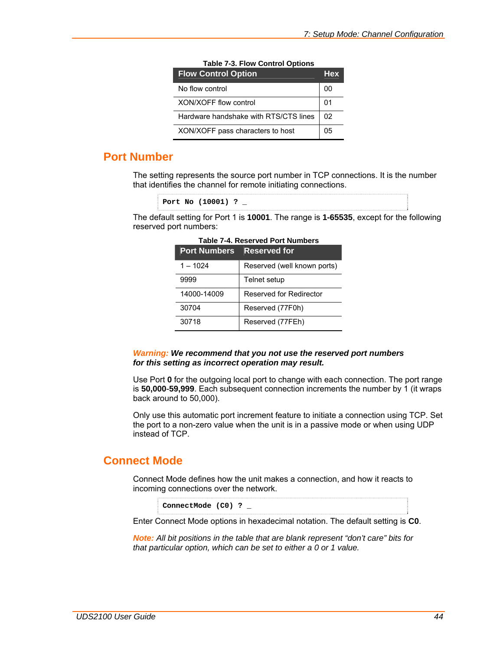| <b>Flow Control Option</b>            | <b>Hex</b> |
|---------------------------------------|------------|
| No flow control                       | 00         |
| XON/XOFF flow control                 | 01         |
| Hardware handshake with RTS/CTS lines | 02         |
| XON/XOFF pass characters to host      | 05         |

#### **Table 7-3. Flow Control Options**

### **Port Number**

The setting represents the source port number in TCP connections. It is the number that identifies the channel for remote initiating connections.

```
Port No (10001) ? _
```
The default setting for Port 1 is **10001**. The range is **1-65535**, except for the following reserved port numbers:

| <b>Port Numbers</b> | <b>Reserved for</b>         |
|---------------------|-----------------------------|
| $1 - 1024$          | Reserved (well known ports) |
| 9999                | Telnet setup                |
| 14000-14009         | Reserved for Redirector     |
| 30704               | Reserved (77F0h)            |
| 30718               | Reserved (77FEh)            |

**Table 7-4. Reserved Port Numbers** 

#### *Warning: We recommend that you not use the reserved port numbers for this setting as incorrect operation may result.*

Use Port **0** for the outgoing local port to change with each connection. The port range is **50,000**-**59,999**. Each subsequent connection increments the number by 1 (it wraps back around to 50,000).

Only use this automatic port increment feature to initiate a connection using TCP. Set the port to a non-zero value when the unit is in a passive mode or when using UDP instead of TCP.

## <span id="page-43-0"></span>**Connect Mode**

Connect Mode defines how the unit makes a connection, and how it reacts to incoming connections over the network.

**ConnectMode (C0) ? \_** 

Enter Connect Mode options in hexadecimal notation. The default setting is **C0**.

*Note: All bit positions in the table that are blank represent "don't care" bits for that particular option, which can be set to either a 0 or 1 value.*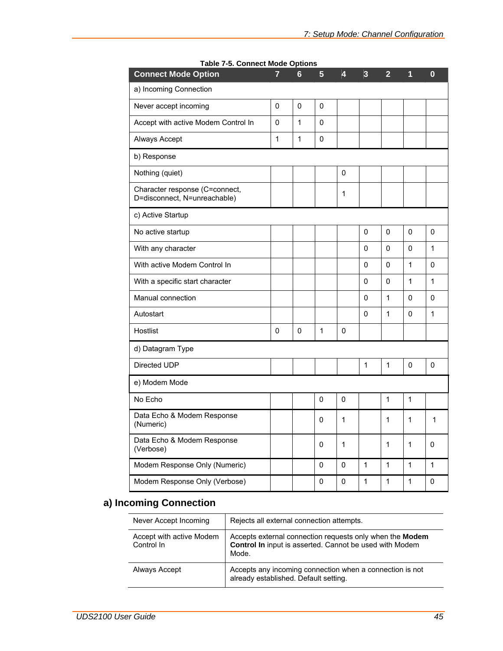| <b>Connect Mode Option</b>                                     | 7 | 6            | 5           | 4            | 3 | $\overline{2}$ | 1            | $\bf{0}$     |
|----------------------------------------------------------------|---|--------------|-------------|--------------|---|----------------|--------------|--------------|
| a) Incoming Connection                                         |   |              |             |              |   |                |              |              |
| Never accept incoming                                          | 0 | 0            | 0           |              |   |                |              |              |
| Accept with active Modem Control In                            | 0 | 1            | 0           |              |   |                |              |              |
| Always Accept                                                  | 1 | $\mathbf{1}$ | $\mathbf 0$ |              |   |                |              |              |
| b) Response                                                    |   |              |             |              |   |                |              |              |
| Nothing (quiet)                                                |   |              |             | 0            |   |                |              |              |
| Character response (C=connect,<br>D=disconnect, N=unreachable) |   |              |             | 1            |   |                |              |              |
| c) Active Startup                                              |   |              |             |              |   |                |              |              |
| No active startup                                              |   |              |             |              | 0 | 0              | $\mathbf 0$  | 0            |
| With any character                                             |   |              |             |              | 0 | 0              | 0            | $\mathbf{1}$ |
| With active Modem Control In                                   |   |              |             |              | 0 | 0              | $\mathbf{1}$ | $\mathbf 0$  |
| With a specific start character                                |   |              |             |              | 0 | 0              | $\mathbf{1}$ | 1            |
| Manual connection                                              |   |              |             |              | 0 | 1              | $\Omega$     | 0            |
| Autostart                                                      |   |              |             |              | 0 | 1              | 0            | 1            |
| Hostlist                                                       | 0 | 0            | 1           | 0            |   |                |              |              |
| d) Datagram Type                                               |   |              |             |              |   |                |              |              |
| Directed UDP                                                   |   |              |             |              | 1 | 1              | 0            | 0            |
| e) Modem Mode                                                  |   |              |             |              |   |                |              |              |
| No Echo                                                        |   |              | 0           | 0            |   | 1              | $\mathbf{1}$ |              |
| Data Echo & Modem Response<br>(Numeric)                        |   |              | 0           | $\mathbf{1}$ |   | $\mathbf{1}$   | 1            | 1            |
| Data Echo & Modem Response<br>(Verbose)                        |   |              | 0           | $\mathbf{1}$ |   | 1              | 1            | 0            |
| Modem Response Only (Numeric)                                  |   |              | 0           | 0            | 1 | $\mathbf{1}$   | $\mathbf{1}$ | 1            |
| Modem Response Only (Verbose)                                  |   |              | 0           | 0            | 1 | 1              | 1            | 0            |

**Table 7-5. Connect Mode Options** 

### **a) Incoming Connection**

| Never Accept Incoming                  | Rejects all external connection attempts.                                                                                           |
|----------------------------------------|-------------------------------------------------------------------------------------------------------------------------------------|
| Accept with active Modem<br>Control In | Accepts external connection requests only when the Modem<br><b>Control In</b> input is asserted. Cannot be used with Modem<br>Mode. |
| Always Accept                          | Accepts any incoming connection when a connection is not<br>already established. Default setting.                                   |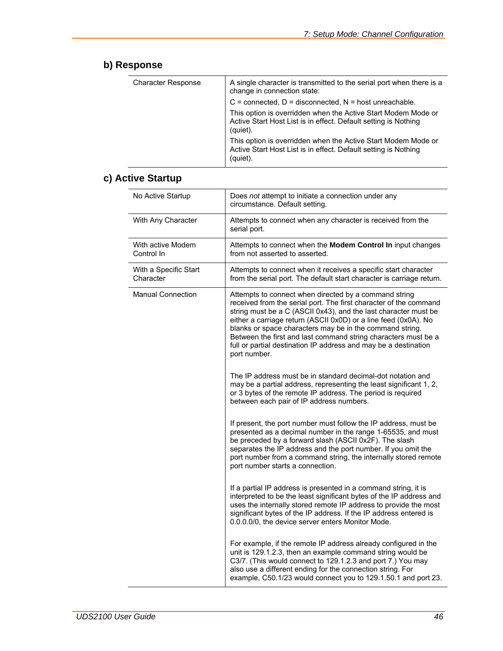# **b) Response**

| A single character is transmitted to the serial port when there is a<br>change in connection state:                                          |
|----------------------------------------------------------------------------------------------------------------------------------------------|
| $C =$ connected, $D =$ disconnected, $N =$ host unreachable.                                                                                 |
| This option is overridden when the Active Start Modem Mode or<br>Active Start Host List is in effect. Default setting is Nothing<br>(quiet). |
| This option is overridden when the Active Start Modem Mode or<br>Active Start Host List is in effect. Default setting is Nothing<br>(quiet). |
|                                                                                                                                              |

# **c) Active Startup**

| No Active Startup                  | Does not attempt to initiate a connection under any<br>circumstance. Default setting.                                                                                                                                                                                                                                                                                                                                                                                             |
|------------------------------------|-----------------------------------------------------------------------------------------------------------------------------------------------------------------------------------------------------------------------------------------------------------------------------------------------------------------------------------------------------------------------------------------------------------------------------------------------------------------------------------|
| With Any Character                 | Attempts to connect when any character is received from the<br>serial port.                                                                                                                                                                                                                                                                                                                                                                                                       |
| With active Modem<br>Control In    | Attempts to connect when the Modem Control In input changes<br>from not asserted to asserted.                                                                                                                                                                                                                                                                                                                                                                                     |
| With a Specific Start<br>Character | Attempts to connect when it receives a specific start character<br>from the serial port. The default start character is carriage return.                                                                                                                                                                                                                                                                                                                                          |
| <b>Manual Connection</b>           | Attempts to connect when directed by a command string<br>received from the serial port. The first character of the command<br>string must be a C (ASCII 0x43), and the last character must be<br>either a carriage return (ASCII 0x0D) or a line feed (0x0A). No<br>blanks or space characters may be in the command string.<br>Between the first and last command string characters must be a<br>full or partial destination IP address and may be a destination<br>port number. |
|                                    | The IP address must be in standard decimal-dot notation and<br>may be a partial address, representing the least significant 1, 2,<br>or 3 bytes of the remote IP address. The period is required<br>between each pair of IP address numbers.                                                                                                                                                                                                                                      |
|                                    | If present, the port number must follow the IP address, must be<br>presented as a decimal number in the range 1-65535, and must<br>be preceded by a forward slash (ASCII 0x2F). The slash<br>separates the IP address and the port number. If you omit the<br>port number from a command string, the internally stored remote<br>port number starts a connection.                                                                                                                 |
|                                    | If a partial IP address is presented in a command string, it is<br>interpreted to be the least significant bytes of the IP address and<br>uses the internally stored remote IP address to provide the most<br>significant bytes of the IP address. If the IP address entered is<br>0.0.0.0/0, the device server enters Monitor Mode.                                                                                                                                              |
|                                    | For example, if the remote IP address already configured in the<br>unit is 129.1.2.3, then an example command string would be<br>C3/7. (This would connect to 129.1.2.3 and port 7.) You may<br>also use a different ending for the connection string. For<br>example, C50.1/23 would connect you to 129.1.50.1 and port 23.                                                                                                                                                      |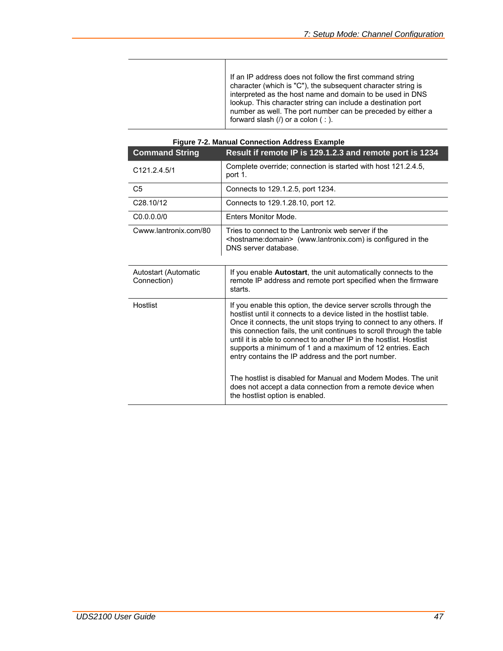If an IP address does not follow the first command string character (which is "C"), the subsequent character string is interpreted as the host name and domain to be used in DNS lookup. This character string can include a destination port number as well. The port number can be preceded by either a forward slash  $($ ) or a colon  $($  :  $)$ .

| <b>Command String</b>               | Result if remote IP is 129.1.2.3 and remote port is 1234                                                                                                                                                                                                                                                                                                                                                                                                                                                                                                                                                                                               |
|-------------------------------------|--------------------------------------------------------------------------------------------------------------------------------------------------------------------------------------------------------------------------------------------------------------------------------------------------------------------------------------------------------------------------------------------------------------------------------------------------------------------------------------------------------------------------------------------------------------------------------------------------------------------------------------------------------|
| C121.2.4.5/1                        | Complete override; connection is started with host 121.2.4.5,<br>port 1.                                                                                                                                                                                                                                                                                                                                                                                                                                                                                                                                                                               |
| C <sub>5</sub>                      | Connects to 129.1.2.5, port 1234.                                                                                                                                                                                                                                                                                                                                                                                                                                                                                                                                                                                                                      |
| C <sub>28.10</sub> /12              | Connects to 129.1.28.10, port 12.                                                                                                                                                                                                                                                                                                                                                                                                                                                                                                                                                                                                                      |
| C <sub>0.0.0.0/0</sub>              | Enters Monitor Mode.                                                                                                                                                                                                                                                                                                                                                                                                                                                                                                                                                                                                                                   |
| Cwww.lantronix.com/80               | Tries to connect to the Lantronix web server if the<br><hostname:domain> (www.lantronix.com) is configured in the<br/>DNS server database.</hostname:domain>                                                                                                                                                                                                                                                                                                                                                                                                                                                                                           |
| Autostart (Automatic<br>Connection) | If you enable <b>Autostart</b> , the unit automatically connects to the<br>remote IP address and remote port specified when the firmware<br>starts.                                                                                                                                                                                                                                                                                                                                                                                                                                                                                                    |
| Hostlist                            | If you enable this option, the device server scrolls through the<br>hostlist until it connects to a device listed in the hostlist table.<br>Once it connects, the unit stops trying to connect to any others. If<br>this connection fails, the unit continues to scroll through the table<br>until it is able to connect to another IP in the hostlist. Hostlist<br>supports a minimum of 1 and a maximum of 12 entries. Each<br>entry contains the IP address and the port number.<br>The hostlist is disabled for Manual and Modem Modes. The unit<br>does not accept a data connection from a remote device when<br>the hostlist option is enabled. |

#### **Figure 7-2. Manual Connection Address Example**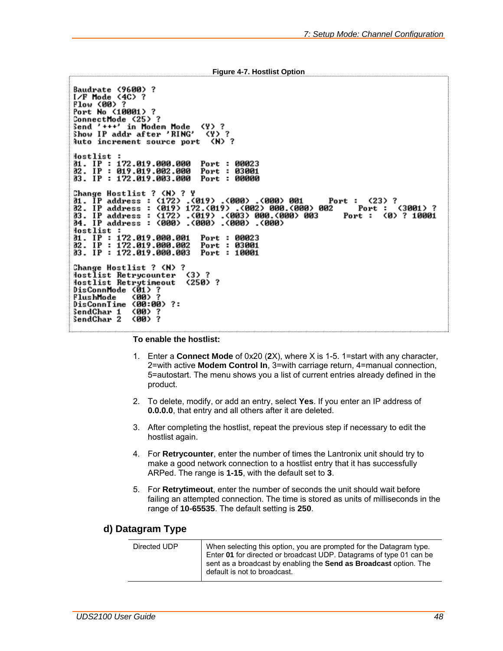```
Figure 4-7. Hostlist Option
```

```
Baudrate (9600) ?
I∕F Mode ⟨4C⟩ ?
Flow (00) ?<br>Plow (00) ?<br>Port No (10001) ?
ConnectMode <25> ?<br>Send '+++' in Modem Mode <4> ?<br>Show IP addr after 'RING' <4>
                                          (Y)?
Auto increment source port (N) ?
lostlist :
10stiist :<br>31. IP : 172.019.000.000 Port : 00023<br>32. IP : 412.019.002.000 Port : 03001
03. IP: 172.019.003.000 Port: 00000
Change Hostlist ? <N> ? Y
31. IP address : (172) .(019) .(000) .(000) 001<br>31. IP address : (019) 172.(019) .(002) 000.(000) 002<br>33. IP address : (172) .(019) .(003) 000.(000) 003<br>34. IP address : (000) .(000) .(000) .(000)
                                                                                   Port: (23) ?
                                                                                            Port:(3001)?
                                                                                        Port : (0) ? 10001
{{\small \textsf{lostlist}}}\;01. IP: 172.019.000.001
                                         Port : 00023
02. IP : 172.019.000.002
                                         Port : 03001
03. IP: 172.019.000.003
                                         Port: 10001
Change Hostlist ? <N> ?
lostlist Retrycounter
                                    (3) ?
Hostlist Retrytimeout<br>DisConnMode (01) ?
                                    (250) ?
FlushMode
                   (00) ?
DisConnTime (00:00) ?:
SendChar 1<br>SendChar 2
                   (80)
                          ?
                   (00) ?
```
**To enable the hostlist:** 

- 1. Enter a **Connect Mode** of 0x20 (**2**X), where X is 1-5. 1=start with any character, 2=with active **Modem Control In**, 3=with carriage return, 4=manual connection, 5=autostart. The menu shows you a list of current entries already defined in the product.
- 2. To delete, modify, or add an entry, select **Yes**. If you enter an IP address of **0.0.0.0**, that entry and all others after it are deleted.
- 3. After completing the hostlist, repeat the previous step if necessary to edit the hostlist again.
- 4. For **Retrycounter**, enter the number of times the Lantronix unit should try to make a good network connection to a hostlist entry that it has successfully ARPed. The range is **1-15**, with the default set to **3**.
- 5. For **Retrytimeout**, enter the number of seconds the unit should wait before failing an attempted connection. The time is stored as units of milliseconds in the range of **10-65535**. The default setting is **250**.

### **d) Datagram Type**

| Directed UDP | When selecting this option, you are prompted for the Datagram type.<br>Enter 01 for directed or broadcast UDP. Datagrams of type 01 can be<br>sent as a broadcast by enabling the Send as Broadcast option. The |
|--------------|-----------------------------------------------------------------------------------------------------------------------------------------------------------------------------------------------------------------|
|              | default is not to broadcast.                                                                                                                                                                                    |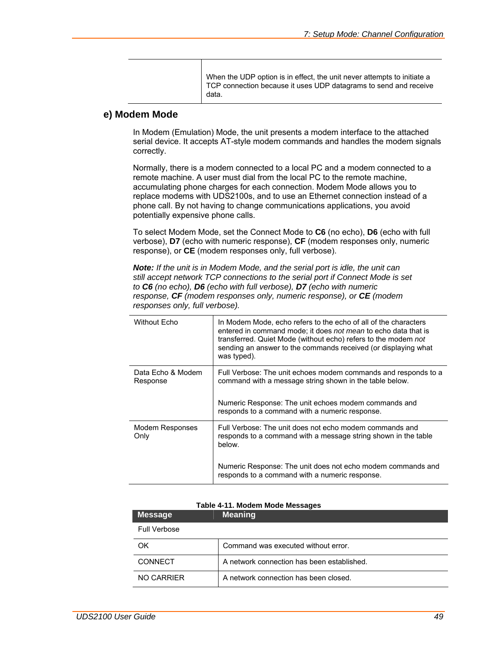When the UDP option is in effect, the unit never attempts to initiate a TCP connection because it uses UDP datagrams to send and receive data.

### **e) Modem Mode**

In Modem (Emulation) Mode, the unit presents a modem interface to the attached serial device. It accepts AT-style modem commands and handles the modem signals correctly.

Normally, there is a modem connected to a local PC and a modem connected to a remote machine. A user must dial from the local PC to the remote machine, accumulating phone charges for each connection. Modem Mode allows you to replace modems with UDS2100s, and to use an Ethernet connection instead of a phone call. By not having to change communications applications, you avoid potentially expensive phone calls.

To select Modem Mode, set the Connect Mode to **C6** (no echo), **D6** (echo with full verbose), **D7** (echo with numeric response), **CF** (modem responses only, numeric response), or **CE** (modem responses only, full verbose).

*Note: If the unit is in Modem Mode, and the serial port is idle, the unit can still accept network TCP connections to the serial port if Connect Mode is set to C6 (no echo), D6 (echo with full verbose), D7 (echo with numeric response, CF (modem responses only, numeric response), or CE (modem responses only, full verbose).* 

| <b>Without Echo</b>           | In Modem Mode, echo refers to the echo of all of the characters<br>entered in command mode; it does not mean to echo data that is<br>transferred. Quiet Mode (without echo) refers to the modem not<br>sending an answer to the commands received (or displaying what<br>was typed). |
|-------------------------------|--------------------------------------------------------------------------------------------------------------------------------------------------------------------------------------------------------------------------------------------------------------------------------------|
| Data Echo & Modem<br>Response | Full Verbose: The unit echoes modem commands and responds to a<br>command with a message string shown in the table below.<br>Numeric Response: The unit echoes modem commands and<br>responds to a command with a numeric response.                                                  |
| Modem Responses<br>Only       | Full Verbose: The unit does not echo modem commands and<br>responds to a command with a message string shown in the table<br>below.<br>Numeric Response: The unit does not echo modem commands and<br>responds to a command with a numeric response.                                 |

#### **Table 4-11. Modem Mode Messages**

| <b>Message</b>      | <b>Meaning</b>                             |
|---------------------|--------------------------------------------|
| <b>Full Verbose</b> |                                            |
| OK                  | Command was executed without error.        |
| <b>CONNECT</b>      | A network connection has been established. |
| NO CARRIER          | A network connection has been closed.      |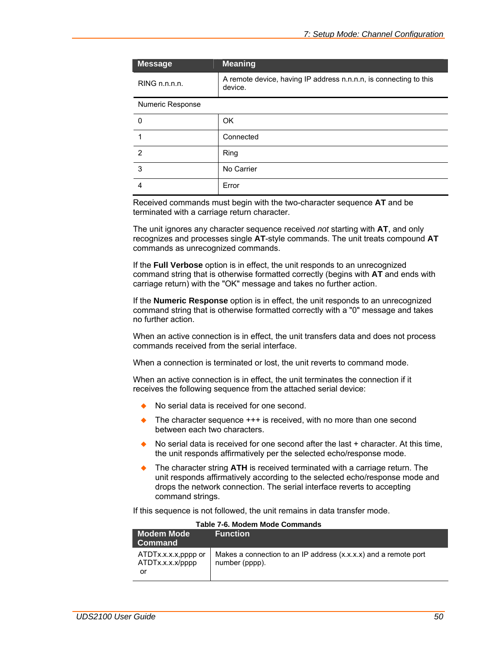| <b>Message</b>   | <b>Meaning</b>                                                               |
|------------------|------------------------------------------------------------------------------|
| RING n.n.n.n.    | A remote device, having IP address n.n.n.n, is connecting to this<br>device. |
| Numeric Response |                                                                              |
| 0                | OK                                                                           |
|                  | Connected                                                                    |
| $\mathfrak{p}$   | Ring                                                                         |
| 3                | No Carrier                                                                   |
|                  | Error                                                                        |

Received commands must begin with the two-character sequence **AT** and be terminated with a carriage return character.

The unit ignores any character sequence received *not* starting with **AT**, and only recognizes and processes single **AT**-style commands. The unit treats compound **AT** commands as unrecognized commands.

If the **Full Verbose** option is in effect, the unit responds to an unrecognized command string that is otherwise formatted correctly (begins with **AT** and ends with carriage return) with the "OK" message and takes no further action.

If the **Numeric Response** option is in effect, the unit responds to an unrecognized command string that is otherwise formatted correctly with a "0" message and takes no further action.

When an active connection is in effect, the unit transfers data and does not process commands received from the serial interface.

When a connection is terminated or lost, the unit reverts to command mode.

When an active connection is in effect, the unit terminates the connection if it receives the following sequence from the attached serial device:

- No serial data is received for one second.
- $\bullet$  The character sequence  $++$  is received, with no more than one second between each two characters.
- $\bullet$  No serial data is received for one second after the last  $+$  character. At this time, the unit responds affirmatively per the selected echo/response mode.
- The character string **ATH** is received terminated with a carriage return. The unit responds affirmatively according to the selected echo/response mode and drops the network connection. The serial interface reverts to accepting command strings.

If this sequence is not followed, the unit remains in data transfer mode.

|                                               | Table T-0. MOUCHT MOUG OUTHING NO                                                 |
|-----------------------------------------------|-----------------------------------------------------------------------------------|
| <b>Modem Mode</b>                             | <b>Function</b>                                                                   |
| Command                                       |                                                                                   |
| ATDTx.x.x.x.pppp or<br>ATDTx.x.x.x/pppp<br>or | Makes a connection to an IP address (x.x.x.x) and a remote port<br>number (pppp). |

**Table 7-6. Modem Mode Commands**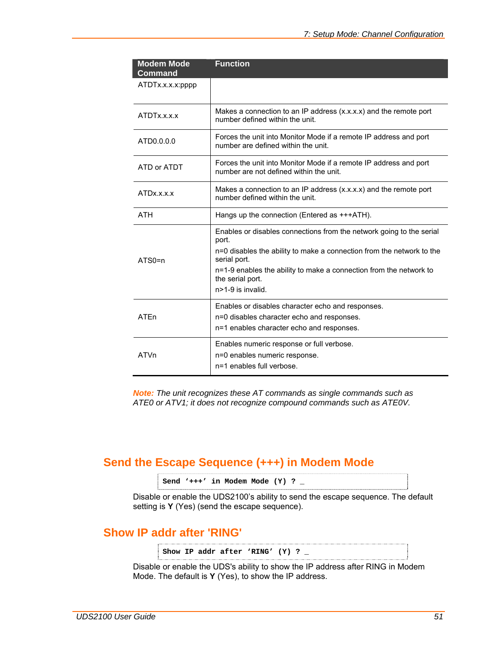| <b>Modem Mode</b><br><b>Command</b> | <b>Function</b>                                                                                              |
|-------------------------------------|--------------------------------------------------------------------------------------------------------------|
| ATDTx.x.x.x:pppp                    |                                                                                                              |
| ATDTx.x.x.x                         | Makes a connection to an IP address (x.x.x.x) and the remote port<br>number defined within the unit.         |
| ATD0.0.0.0                          | Forces the unit into Monitor Mode if a remote IP address and port<br>number are defined within the unit.     |
| ATD or ATDT                         | Forces the unit into Monitor Mode if a remote IP address and port<br>number are not defined within the unit. |
| ATDx.x.x.x                          | Makes a connection to an IP address (x.x.x.x) and the remote port<br>number defined within the unit.         |
| <b>ATH</b>                          | Hangs up the connection (Entered as +++ATH).                                                                 |
|                                     | Enables or disables connections from the network going to the serial<br>port.                                |
| $ATSO=n$                            | n=0 disables the ability to make a connection from the network to the<br>serial port.                        |
|                                     | n=1-9 enables the ability to make a connection from the network to<br>the serial port.<br>n>1-9 is invalid.  |
|                                     | Enables or disables character echo and responses.                                                            |
| ATEn                                | n=0 disables character echo and responses.<br>n=1 enables character echo and responses.                      |
| <b>ATVn</b>                         | Enables numeric response or full verbose.<br>n=0 enables numeric response.                                   |
|                                     | n=1 enables full verbose.                                                                                    |

*Note: The unit recognizes these AT commands as single commands such as ATE0 or ATV1; it does not recognize compound commands such as ATE0V.* 

## **Send the Escape Sequence (+++) in Modem Mode**

```
Send '+++' in Modem Mode (Y) ? _
```
Disable or enable the UDS2100's ability to send the escape sequence. The default setting is **Y** (Yes) (send the escape sequence).

## **Show IP addr after 'RING'**

**Show IP addr after 'RING' (Y) ? \_** 

Disable or enable the UDS's ability to show the IP address after RING in Modem Mode. The default is **Y** (Yes), to show the IP address.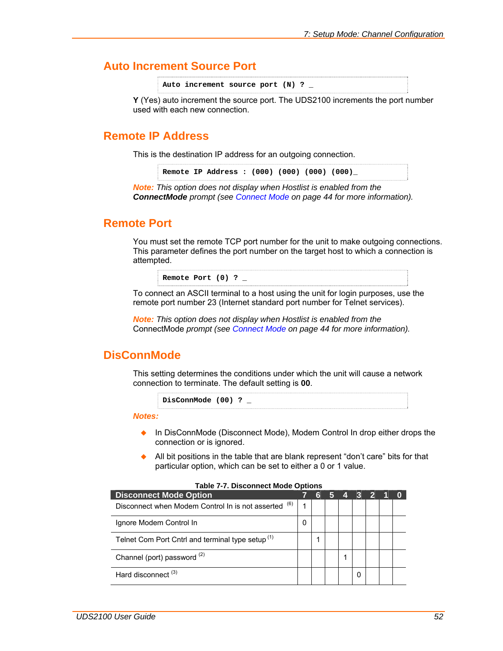### **Auto Increment Source Port**

Auto increment source port (N) ?

**Y** (Yes) auto increment the source port. The UDS2100 increments the port number used with each new connection.

### **Remote IP Address**

This is the destination IP address for an outgoing connection.

**Remote IP Address : (000) (000) (000) (000)\_** 

*Note: This option does not display when Hostlist is enabled from the ConnectMode prompt (see [Connect Mode](#page-43-0) on page [44](#page-43-0) for more information).* 

### **Remote Port**

You must set the remote TCP port number for the unit to make outgoing connections. This parameter defines the port number on the target host to which a connection is attempted.

**Remote Port (0) ? \_** 

To connect an ASCII terminal to a host using the unit for login purposes, use the remote port number 23 (Internet standard port number for Telnet services).

*Note: This option does not display when Hostlist is enabled from the*  ConnectMode *prompt (see [Connect Mode](#page-43-0) on page [44](#page-43-0) for more information).* 

### **DisConnMode**

This setting determines the conditions under which the unit will cause a network connection to terminate. The default setting is **00**.

```
DisConnMode (00) ? _
```
*Notes:* 

- ◆ In DisConnMode (Disconnect Mode), Modem Control In drop either drops the connection or is ignored.
- All bit positions in the table that are blank represent "don't care" bits for that particular option, which can be set to either a 0 or 1 value.

| <b>Disconnect Mode Option</b>                                | 6 |  | 3 | $\overline{2}$ |  |
|--------------------------------------------------------------|---|--|---|----------------|--|
| (6)<br>Disconnect when Modem Control In is not asserted      |   |  |   |                |  |
| Ignore Modem Control In                                      |   |  |   |                |  |
| Telnet Com Port Cntrl and terminal type setup <sup>(1)</sup> |   |  |   |                |  |
| Channel (port) password (2)                                  |   |  |   |                |  |
| Hard disconnect <sup>(3)</sup>                               |   |  | 0 |                |  |

#### **Table 7-7. Disconnect Mode Options**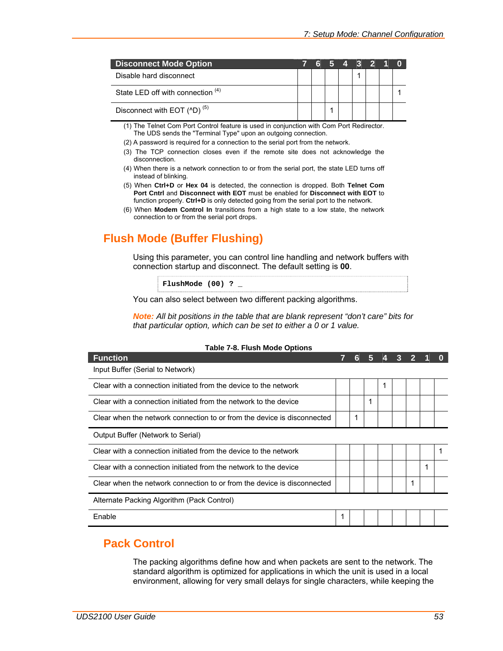| <b>Disconnect Mode Option</b>           | -6 | 5 4 3 2 1 0 |  |  |  |
|-----------------------------------------|----|-------------|--|--|--|
| Disable hard disconnect                 |    |             |  |  |  |
| State LED off with connection (4)       |    |             |  |  |  |
| Disconnect with EOT (^D) <sup>(5)</sup> |    |             |  |  |  |

(1) The Telnet Com Port Control feature is used in conjunction with Com Port Redirector. The UDS sends the "Terminal Type" upon an outgoing connection.

(2) A password is required for a connection to the serial port from the network.

- (3) The TCP connection closes even if the remote site does not acknowledge the disconnection.
- (4) When there is a network connection to or from the serial port, the state LED turns off instead of blinking.
- (5) When **Ctrl+D** or **Hex 04** is detected, the connection is dropped. Both **Telnet Com Port Cntrl** and **Disconnect with EOT** must be enabled for **Disconnect with EOT** to function properly. **Ctrl+D** is only detected going from the serial port to the network.
- (6) When **Modem Control In** transitions from a high state to a low state, the network connection to or from the serial port drops.

# **Flush Mode (Buffer Flushing)**

Using this parameter, you can control line handling and network buffers with connection startup and disconnect. The default setting is **00**.

**FlushMode (00) ? \_** 

You can also select between two different packing algorithms.

*Note: All bit positions in the table that are blank represent "don't care" bits for that particular option, which can be set to either a 0 or 1 value.* 

| <b>Function</b>                                                         | 17 |   | 5 |  |   |  |
|-------------------------------------------------------------------------|----|---|---|--|---|--|
| Input Buffer (Serial to Network)                                        |    |   |   |  |   |  |
| Clear with a connection initiated from the device to the network        |    |   |   |  |   |  |
| Clear with a connection initiated from the network to the device        |    |   | 1 |  |   |  |
| Clear when the network connection to or from the device is disconnected |    | 1 |   |  |   |  |
| Output Buffer (Network to Serial)                                       |    |   |   |  |   |  |
| Clear with a connection initiated from the device to the network        |    |   |   |  |   |  |
| Clear with a connection initiated from the network to the device        |    |   |   |  | 1 |  |
| Clear when the network connection to or from the device is disconnected |    |   |   |  |   |  |
| Alternate Packing Algorithm (Pack Control)                              |    |   |   |  |   |  |
| Enable                                                                  | 1  |   |   |  |   |  |

#### **Table 7-8. Flush Mode Options**

### <span id="page-52-0"></span>**Pack Control**

The packing algorithms define how and when packets are sent to the network. The standard algorithm is optimized for applications in which the unit is used in a local environment, allowing for very small delays for single characters, while keeping the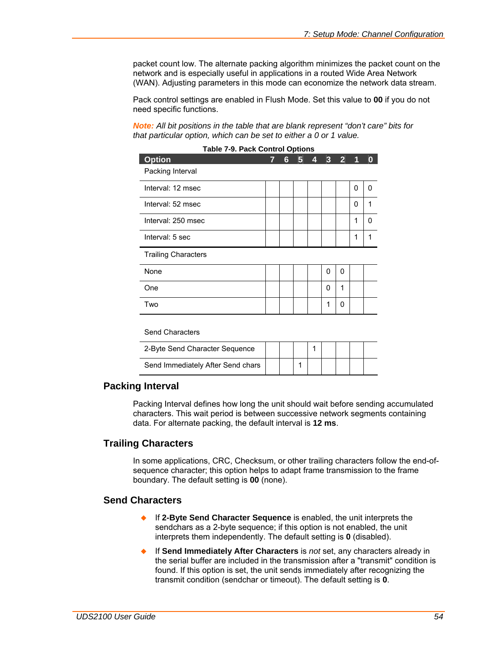packet count low. The alternate packing algorithm minimizes the packet count on the network and is especially useful in applications in a routed Wide Area Network (WAN). Adjusting parameters in this mode can economize the network data stream.

Pack control settings are enabled in Flush Mode. Set this value to **00** if you do not need specific functions.

*Note: All bit positions in the table that are blank represent "don't care" bits for that particular option, which can be set to either a 0 or 1 value.* 

| <b>Table 7-9. Pack Control Options</b><br><b>Option</b> | 7 | 6 | 5 | 4 | 3 | $\overline{2}$ |   |   |
|---------------------------------------------------------|---|---|---|---|---|----------------|---|---|
| Packing Interval                                        |   |   |   |   |   |                |   |   |
| Interval: 12 msec                                       |   |   |   |   |   |                | 0 | 0 |
| Interval: 52 msec                                       |   |   |   |   |   |                | 0 | 1 |
| Interval: 250 msec                                      |   |   |   |   |   |                | 1 | O |
| Interval: 5 sec                                         |   |   |   |   |   |                | 1 | 1 |
| <b>Trailing Characters</b>                              |   |   |   |   |   |                |   |   |
| None                                                    |   |   |   |   | 0 | 0              |   |   |
| One                                                     |   |   |   |   | 0 | 1              |   |   |
| Two                                                     |   |   |   |   | 1 | 0              |   |   |
|                                                         |   |   |   |   |   |                |   |   |

| Table 7-0 Pack Control Ontione |  |
|--------------------------------|--|

#### Send Characters

| 2-Byte Send Character Sequence    |  |  |  |  |
|-----------------------------------|--|--|--|--|
| Send Immediately After Send chars |  |  |  |  |

### **Packing Interval**

Packing Interval defines how long the unit should wait before sending accumulated characters. This wait period is between successive network segments containing data. For alternate packing, the default interval is **12 ms**.

#### **Trailing Characters**

In some applications, CRC, Checksum, or other trailing characters follow the end-ofsequence character; this option helps to adapt frame transmission to the frame boundary. The default setting is **00** (none).

### **Send Characters**

- If **2-Byte Send Character Sequence** is enabled, the unit interprets the sendchars as a 2-byte sequence; if this option is not enabled, the unit interprets them independently. The default setting is **0** (disabled).
- If **Send Immediately After Characters** is *not* set, any characters already in the serial buffer are included in the transmission after a "transmit" condition is found. If this option is set, the unit sends immediately after recognizing the transmit condition (sendchar or timeout). The default setting is **0**.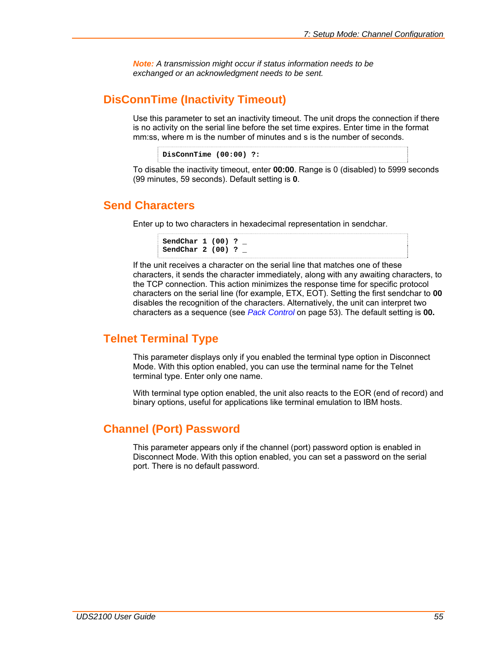*Note: A transmission might occur if status information needs to be exchanged or an acknowledgment needs to be sent.* 

### **DisConnTime (Inactivity Timeout)**

Use this parameter to set an inactivity timeout. The unit drops the connection if there is no activity on the serial line before the set time expires. Enter time in the format mm:ss, where m is the number of minutes and s is the number of seconds.

```
DisConnTime (00:00) ?:
```
To disable the inactivity timeout, enter **00:00**. Range is 0 (disabled) to 5999 seconds (99 minutes, 59 seconds). Default setting is **0**.

## **Send Characters**

Enter up to two characters in hexadecimal representation in sendchar.

```
SendChar 1 (00) ? _ 
SendChar 2 (00) ? _
```
If the unit receives a character on the serial line that matches one of these characters, it sends the character immediately, along with any awaiting characters, to the TCP connection. This action minimizes the response time for specific protocol characters on the serial line (for example, ETX, EOT). Setting the first sendchar to **00** disables the recognition of the characters. Alternatively, the unit can interpret two characters as a sequence (see *[Pack Control](#page-52-0)* on page [53\)](#page-52-0). The default setting is **00.**

## **Telnet Terminal Type**

This parameter displays only if you enabled the terminal type option in Disconnect Mode. With this option enabled, you can use the terminal name for the Telnet terminal type. Enter only one name.

With terminal type option enabled, the unit also reacts to the EOR (end of record) and binary options, useful for applications like terminal emulation to IBM hosts.

## **Channel (Port) Password**

This parameter appears only if the channel (port) password option is enabled in Disconnect Mode. With this option enabled, you can set a password on the serial port. There is no default password.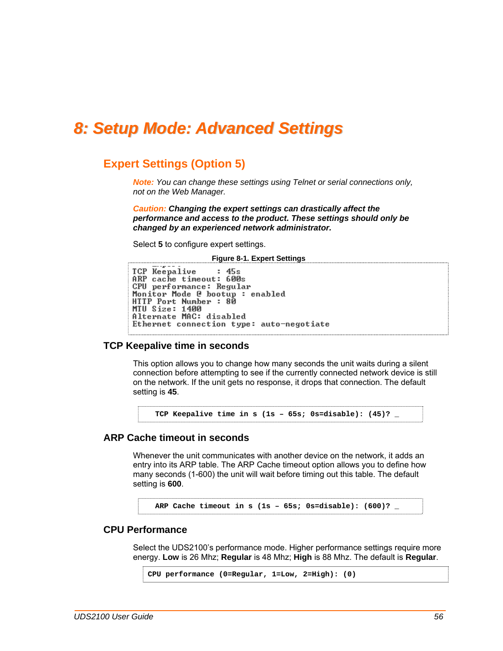# *8: Setup Mode: Advanced Settings*

### **Expert Settings (Option 5)**

*Note: You can change these settings using Telnet or serial connections only, not on the Web Manager.* 

*Caution: Changing the expert settings can drastically affect the performance and access to the product. These settings should only be changed by an experienced network administrator.* 

Select **5** to configure expert settings.

**Figure 8-1. Expert Settings** 

```
TCP Keepalive
                      : 45sARP cache timeout: 600s
CPU performance: Regular<br>Monitor Mode @ bootup : enabled
HTTP Port Number : 80<br>MTU Size: 1400
Alternate MAC: disabled
Ethernet connection type: auto-negotiate
```
#### **TCP Keepalive time in seconds**

This option allows you to change how many seconds the unit waits during a silent connection before attempting to see if the currently connected network device is still on the network. If the unit gets no response, it drops that connection. The default setting is **45**.

**TCP Keepalive time in s (1s – 65s; 0s=disable): (45)? \_** 

### **ARP Cache timeout in seconds**

Whenever the unit communicates with another device on the network, it adds an entry into its ARP table. The ARP Cache timeout option allows you to define how many seconds (1-600) the unit will wait before timing out this table. The default setting is **600**.

**ARP Cache timeout in s (1s – 65s; 0s=disable): (600)? \_** 

#### **CPU Performance**

Select the UDS2100's performance mode. Higher performance settings require more energy. **Low** is 26 Mhz; **Regular** is 48 Mhz; **High** is 88 Mhz. The default is **Regular**.

```
CPU performance (0=Regular, 1=Low, 2=High): (0)
```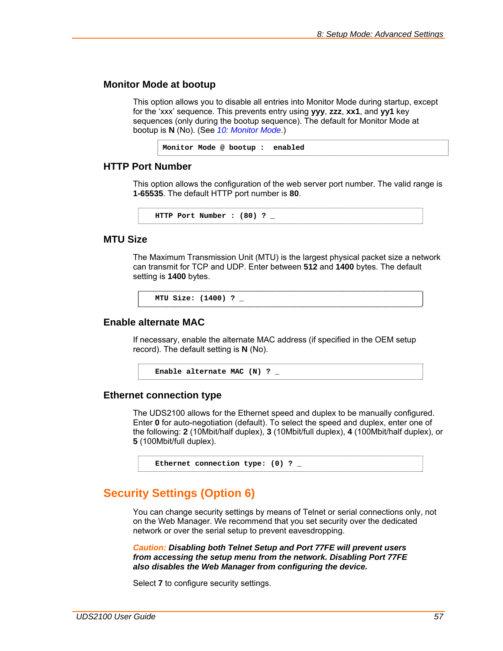#### **Monitor Mode at bootup**

This option allows you to disable all entries into Monitor Mode during startup, except for the 'xxx' sequence. This prevents entry using **yyy**, **zzz**, **xx1**, and **yy1** key sequences (only during the bootup sequence). The default for Monitor Mode at bootup is **N** (No). (See *[10:](#page-63-0) [Monitor Mode](#page-63-0)*.)

**Monitor Mode @ bootup : enabled** 

### **HTTP Port Number**

This option allows the configuration of the web server port number. The valid range is **1-65535**. The default HTTP port number is **80**.

```
HTTP Port Number : (80) ? _
```
#### **MTU Size**

The Maximum Transmission Unit (MTU) is the largest physical packet size a network can transmit for TCP and UDP. Enter between **512** and **1400** bytes. The default setting is **1400** bytes.

```
MTU Size: (1400) ? _
```
### **Enable alternate MAC**

If necessary, enable the alternate MAC address (if specified in the OEM setup record). The default setting is **N** (No).

```
Enable alternate MAC (N) ? _
```
#### **Ethernet connection type**

The UDS2100 allows for the Ethernet speed and duplex to be manually configured. Enter **0** for auto-negotiation (default). To select the speed and duplex, enter one of the following: **2** (10Mbit/half duplex), **3** (10Mbit/full duplex), **4** (100Mbit/half duplex), or **5** (100Mbit/full duplex).

```
Ethernet connection type: (0) ? _
```
### <span id="page-56-0"></span>**Security Settings (Option 6)**

You can change security settings by means of Telnet or serial connections only, not on the Web Manager. We recommend that you set security over the dedicated network or over the serial setup to prevent eavesdropping.

*Caution: Disabling both Telnet Setup and Port 77FE will prevent users from accessing the setup menu from the network. Disabling Port 77FE also disables the Web Manager from configuring the device.* 

Select **7** to configure security settings.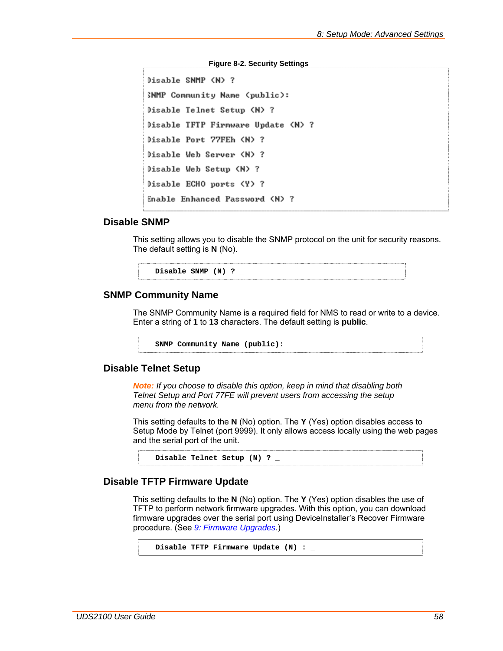#### **Figure 8-2. Security Settings**

```
Disable SNMP (N) ?
SNMP Community Name (public):
Disable Telnet Setup (N) ?
Disable TFTP Firmware Update (N) ?
Disable Port 77FEh (N) ?
Disable Web Server (N) ?
Disable Web Setup (N) ?
Disable ECHO ports (Y) ?
Enable Enhanced Password (N) ?
```
#### **Disable SNMP**

This setting allows you to disable the SNMP protocol on the unit for security reasons. The default setting is **N** (No).

**Disable SNMP (N) ? \_** 

#### **SNMP Community Name**

The SNMP Community Name is a required field for NMS to read or write to a device. Enter a string of **1** to **13** characters. The default setting is **public**.

**SNMP Community Name (public): \_** 

#### **Disable Telnet Setup**

*Note: If you choose to disable this option, keep in mind that disabling both Telnet Setup and Port 77FE will prevent users from accessing the setup menu from the network.* 

This setting defaults to the **N** (No) option. The **Y** (Yes) option disables access to Setup Mode by Telnet (port 9999). It only allows access locally using the web pages and the serial port of the unit.

**Disable Telnet Setup (N) ? \_** 

#### **Disable TFTP Firmware Update**

This setting defaults to the **N** (No) option. The **Y** (Yes) option disables the use of TFTP to perform network firmware upgrades. With this option, you can download firmware upgrades over the serial port using DeviceInstaller's Recover Firmware procedure. (See *[9:](#page-60-0) [Firmware Upgrades](#page-60-0)*.)

```
Disable TFTP Firmware Update (N) : _
```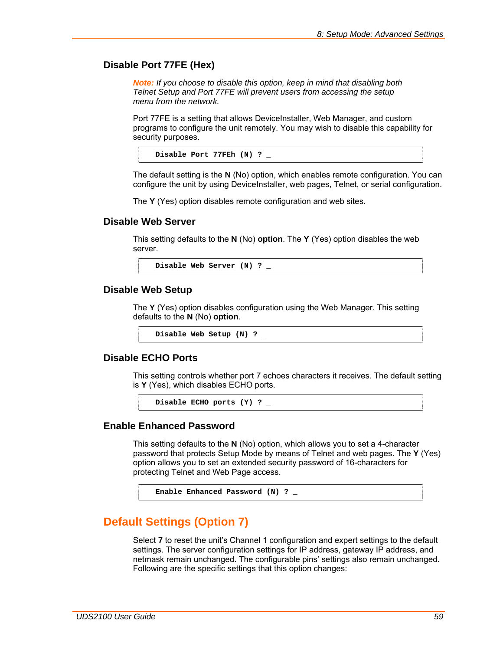#### **Disable Port 77FE (Hex)**

*Note: If you choose to disable this option, keep in mind that disabling both Telnet Setup and Port 77FE will prevent users from accessing the setup menu from the network.* 

Port 77FE is a setting that allows DeviceInstaller, Web Manager, and custom programs to configure the unit remotely. You may wish to disable this capability for security purposes.

**Disable Port 77FEh (N) ? \_** 

The default setting is the **N** (No) option, which enables remote configuration. You can configure the unit by using DeviceInstaller, web pages, Telnet, or serial configuration.

The **Y** (Yes) option disables remote configuration and web sites.

#### **Disable Web Server**

This setting defaults to the **N** (No) **option**. The **Y** (Yes) option disables the web server.

**Disable Web Server (N) ? \_** 

#### **Disable Web Setup**

The **Y** (Yes) option disables configuration using the Web Manager. This setting defaults to the **N** (No) **option**.

**Disable Web Setup (N) ? \_** 

#### **Disable ECHO Ports**

This setting controls whether port 7 echoes characters it receives. The default setting is **Y** (Yes), which disables ECHO ports.

**Disable ECHO ports (Y) ? \_** 

### **Enable Enhanced Password**

This setting defaults to the **N** (No) option, which allows you to set a 4-character password that protects Setup Mode by means of Telnet and web pages. The **Y** (Yes) option allows you to set an extended security password of 16-characters for protecting Telnet and Web Page access.

**Enable Enhanced Password (N) ? \_** 

### **Default Settings (Option 7)**

Select **7** to reset the unit's Channel 1 configuration and expert settings to the default settings. The server configuration settings for IP address, gateway IP address, and netmask remain unchanged. The configurable pins' settings also remain unchanged. Following are the specific settings that this option changes: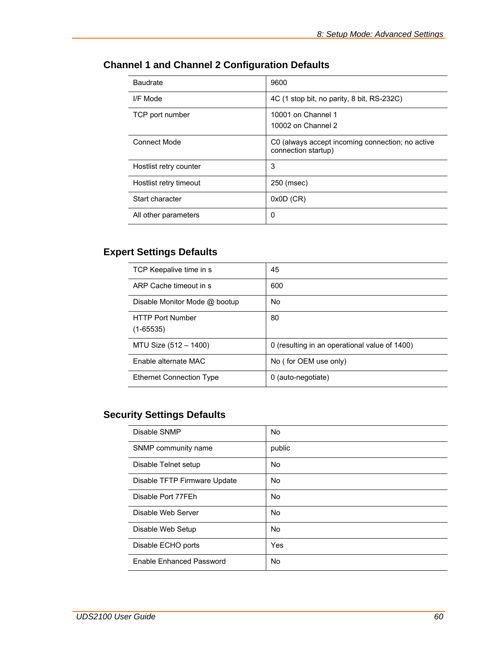| Baudrate               | 9600                                                                    |
|------------------------|-------------------------------------------------------------------------|
| I/F Mode               | 4C (1 stop bit, no parity, 8 bit, RS-232C)                              |
| TCP port number        | 10001 on Channel 1<br>10002 on Channel 2                                |
| <b>Connect Mode</b>    | C0 (always accept incoming connection; no active<br>connection startup) |
| Hostlist retry counter | 3                                                                       |
| Hostlist retry timeout | 250 (msec)                                                              |
| Start character        | $0x0D$ (CR)                                                             |
| All other parameters   | 0                                                                       |

# **Channel 1 and Channel 2 Configuration Defaults**

# **Expert Settings Defaults**

| TCP Keepalive time in s                  | 45                                            |
|------------------------------------------|-----------------------------------------------|
| ARP Cache timeout in s                   | 600                                           |
| Disable Monitor Mode @ bootup            | No                                            |
| <b>HTTP Port Number</b><br>$(1 - 65535)$ | 80                                            |
| MTU Size (512 - 1400)                    | 0 (resulting in an operational value of 1400) |
| Enable alternate MAC                     | No (for OEM use only)                         |
| <b>Ethernet Connection Type</b>          | 0 (auto-negotiate)                            |

# **Security Settings Defaults**

| Disable SNMP                 | No        |
|------------------------------|-----------|
| SNMP community name          | public    |
| Disable Telnet setup         | No        |
| Disable TFTP Firmware Update | <b>No</b> |
| Disable Port 77FEh           | <b>No</b> |
| Disable Web Server           | <b>No</b> |
| Disable Web Setup            | <b>No</b> |
| Disable ECHO ports           | Yes       |
| Enable Enhanced Password     | <b>No</b> |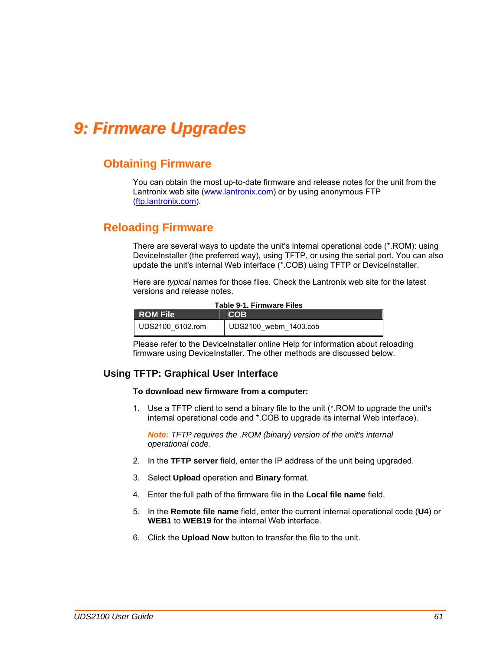# <span id="page-60-0"></span>*9: Firmware Upgrades*

### **Obtaining Firmware**

You can obtain the most up-to-date firmware and release notes for the unit from the Lantronix web site (www.lantronix.com) or by using anonymous FTP [\(ftp.lantronix.com\)](ftp://ftp.lantronix.com/).

### **Reloading Firmware**

There are several ways to update the unit's internal operational code (\*.ROM): using DeviceInstaller (the preferred way), using TFTP, or using the serial port. You can also update the unit's internal Web interface (\*.COB) using TFTP or DeviceInstaller.

Here are *typical* names for those files. Check the Lantronix web site for the latest versions and release notes.

| Table 9-1. Firmware Files |                       |  |
|---------------------------|-----------------------|--|
| <b>ROM File</b>           | COB                   |  |
| UDS2100 6102.rom          | UDS2100 webm 1403.cob |  |

Please refer to the DeviceInstaller online Help for information about reloading firmware using DeviceInstaller. The other methods are discussed below.

### **Using TFTP: Graphical User Interface**

#### **To download new firmware from a computer:**

1. Use a TFTP client to send a binary file to the unit (\*.ROM to upgrade the unit's internal operational code and \*.COB to upgrade its internal Web interface).

*Note: TFTP requires the .ROM (binary) version of the unit's internal operational code.* 

- 2. In the **TFTP server** field, enter the IP address of the unit being upgraded.
- 3. Select **Upload** operation and **Binary** format.
- 4. Enter the full path of the firmware file in the **Local file name** field.
- 5. In the **Remote file name** field, enter the current internal operational code (**U4**) or **WEB1** to **WEB19** for the internal Web interface.
- 6. Click the **Upload Now** button to transfer the file to the unit.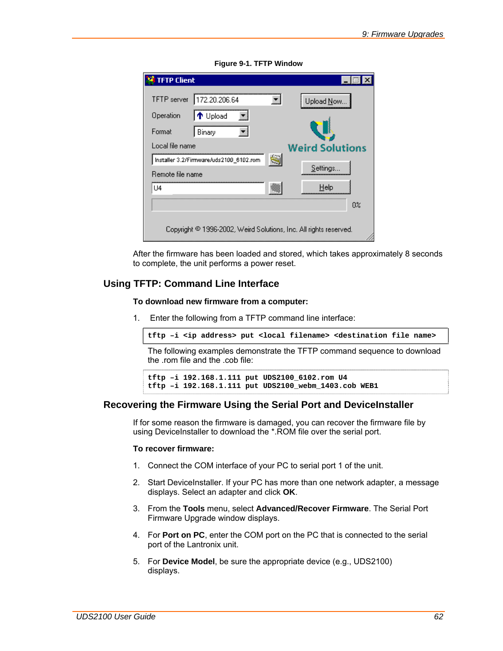| <b>TFTP Client</b>                                                |                        |
|-------------------------------------------------------------------|------------------------|
| 172.20.206.64<br><b>TFTP</b> server                               | Upload Now             |
| ↑ Upload<br>Operation                                             |                        |
| Format<br>Binary                                                  |                        |
| Local file name                                                   | <b>Weird Solutions</b> |
| Installer 3.2/Firmware/uds2100_6102.rom                           | q                      |
| Remote file name                                                  | Settings               |
| U4                                                                | Help                   |
|                                                                   | 0%                     |
|                                                                   |                        |
| Copyright © 1996-2002, Weird Solutions, Inc. All rights reserved. |                        |

**Figure 9-1. TFTP Window** 

After the firmware has been loaded and stored, which takes approximately 8 seconds to complete, the unit performs a power reset.

### **Using TFTP: Command Line Interface**

**To download new firmware from a computer:** 

1. Enter the following from a TFTP command line interface:

**tftp –i <ip address> put <local filename> <destination file name>**

The following examples demonstrate the TFTP command sequence to download the .rom file and the .cob file:

```
tftp –i 192.168.1.111 put UDS2100_6102.rom U4 
tftp –i 192.168.1.111 put UDS2100_webm_1403.cob WEB1
```
#### **Recovering the Firmware Using the Serial Port and DeviceInstaller**

If for some reason the firmware is damaged, you can recover the firmware file by using DeviceInstaller to download the \*.ROM file over the serial port.

#### **To recover firmware:**

- 1. Connect the COM interface of your PC to serial port 1 of the unit.
- 2. Start DeviceInstaller. If your PC has more than one network adapter, a message displays. Select an adapter and click **OK**.
- 3. From the **Tools** menu, select **Advanced/Recover Firmware**. The Serial Port Firmware Upgrade window displays.
- 4. For **Port on PC**, enter the COM port on the PC that is connected to the serial port of the Lantronix unit.
- 5. For **Device Model**, be sure the appropriate device (e.g., UDS2100) displays.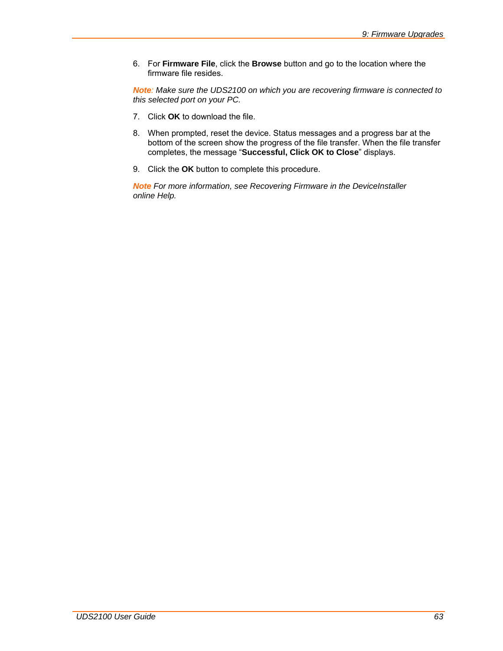6. For **Firmware File**, click the **Browse** button and go to the location where the firmware file resides.

*Note: Make sure the UDS2100 on which you are recovering firmware is connected to this selected port on your PC.* 

- 7. Click **OK** to download the file.
- 8. When prompted, reset the device. Status messages and a progress bar at the bottom of the screen show the progress of the file transfer. When the file transfer completes, the message "**Successful, Click OK to Close**" displays.
- 9. Click the **OK** button to complete this procedure.

*Note For more information, see Recovering Firmware in the DeviceInstaller online Help.*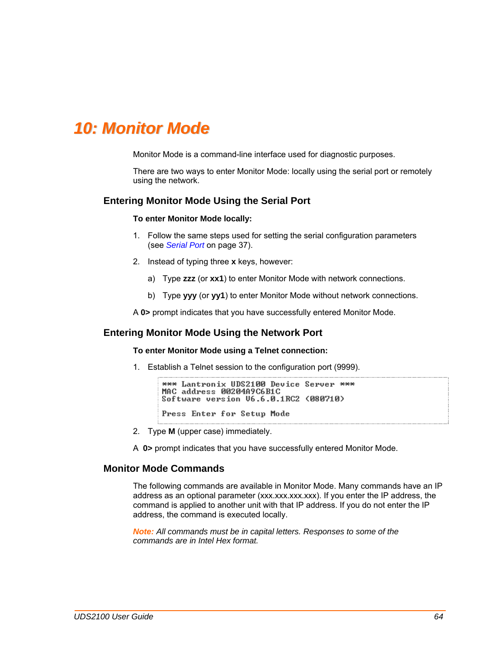# <span id="page-63-0"></span>*10: Monitor Mode*

Monitor Mode is a command-line interface used for diagnostic purposes.

There are two ways to enter Monitor Mode: locally using the serial port or remotely using the network.

#### **Entering Monitor Mode Using the Serial Port**

#### **To enter Monitor Mode locally:**

- 1. Follow the same steps used for setting the serial configuration parameters (see *[Serial Port](#page-36-0)* on page [37\)](#page-36-0).
- 2. Instead of typing three **x** keys, however:
	- a) Type **zzz** (or **xx1**) to enter Monitor Mode with network connections.
	- b) Type **yyy** (or **yy1**) to enter Monitor Mode without network connections.

A **0>** prompt indicates that you have successfully entered Monitor Mode.

#### **Entering Monitor Mode Using the Network Port**

#### **To enter Monitor Mode using a Telnet connection:**

1. Establish a Telnet session to the configuration port (9999).

```
*** Lantronix UDS2100 Device Server ***
MAC address 00204A9C6B1C
Software version U6.6.0.1RC2 (080710)
Press Enter for Setup Mode
```
- 2. Type **M** (upper case) immediately.
- A **0>** prompt indicates that you have successfully entered Monitor Mode.

#### **Monitor Mode Commands**

The following commands are available in Monitor Mode. Many commands have an IP address as an optional parameter (xxx.xxx.xxx.xxx). If you enter the IP address, the command is applied to another unit with that IP address. If you do not enter the IP address, the command is executed locally.

*Note: All commands must be in capital letters. Responses to some of the commands are in Intel Hex format.*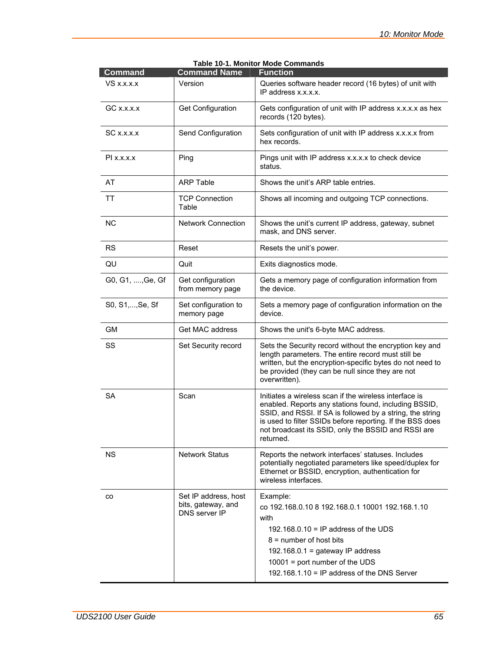| <b>Command</b>   | <b>Command Name</b>                                         | <b>Function</b>                                                                                                                                                                                                                                                                                               |
|------------------|-------------------------------------------------------------|---------------------------------------------------------------------------------------------------------------------------------------------------------------------------------------------------------------------------------------------------------------------------------------------------------------|
| $VS$ x.x.x. $x$  | Version                                                     | Queries software header record (16 bytes) of unit with<br>IP address x.x.x.x.                                                                                                                                                                                                                                 |
| $GC$ x.x.x. $x$  | <b>Get Configuration</b>                                    | Gets configuration of unit with IP address x.x.x.x as hex<br>records (120 bytes).                                                                                                                                                                                                                             |
| SC x.x.x.x       | Send Configuration                                          | Sets configuration of unit with IP address x.x.x.x from<br>hex records.                                                                                                                                                                                                                                       |
| $PI$ x.x.x.x     | Ping                                                        | Pings unit with IP address x.x.x.x to check device<br>status.                                                                                                                                                                                                                                                 |
| AT               | <b>ARP Table</b>                                            | Shows the unit's ARP table entries.                                                                                                                                                                                                                                                                           |
| <b>TT</b>        | <b>TCP Connection</b><br>Table                              | Shows all incoming and outgoing TCP connections.                                                                                                                                                                                                                                                              |
| <b>NC</b>        | <b>Network Connection</b>                                   | Shows the unit's current IP address, gateway, subnet<br>mask, and DNS server.                                                                                                                                                                                                                                 |
| <b>RS</b>        | Reset                                                       | Resets the unit's power.                                                                                                                                                                                                                                                                                      |
| QU               | Quit                                                        | Exits diagnostics mode.                                                                                                                                                                                                                                                                                       |
| G0, G1, , Ge, Gf | Get configuration<br>from memory page                       | Gets a memory page of configuration information from<br>the device.                                                                                                                                                                                                                                           |
| S0, S1, , Se, Sf | Set configuration to<br>memory page                         | Sets a memory page of configuration information on the<br>device.                                                                                                                                                                                                                                             |
| GМ               | Get MAC address                                             | Shows the unit's 6-byte MAC address.                                                                                                                                                                                                                                                                          |
| SS               | Set Security record                                         | Sets the Security record without the encryption key and<br>length parameters. The entire record must still be<br>written, but the encryption-specific bytes do not need to<br>be provided (they can be null since they are not<br>overwritten).                                                               |
| <b>SA</b>        | Scan                                                        | Initiates a wireless scan if the wireless interface is<br>enabled. Reports any stations found, including BSSID,<br>SSID, and RSSI. If SA is followed by a string, the string<br>is used to filter SSIDs before reporting. If the BSS does<br>not broadcast its SSID, only the BSSID and RSSI are<br>returned. |
| <b>NS</b>        | <b>Network Status</b>                                       | Reports the network interfaces' statuses. Includes<br>potentially negotiated parameters like speed/duplex for<br>Ethernet or BSSID, encryption, authentication for<br>wireless interfaces.                                                                                                                    |
| CO               | Set IP address, host<br>bits, gateway, and<br>DNS server IP | Example:<br>co 192.168.0.10 8 192.168.0.1 10001 192.168.1.10<br>with<br>192.168.0.10 = IP address of the UDS<br>$8 =$ number of host bits<br>192.168.0.1 = gateway IP address<br>$10001$ = port number of the UDS<br>192.168.1.10 = IP address of the DNS Server                                              |

| <b>Table 10-1. Monitor Mode Commands</b> |  |
|------------------------------------------|--|
|------------------------------------------|--|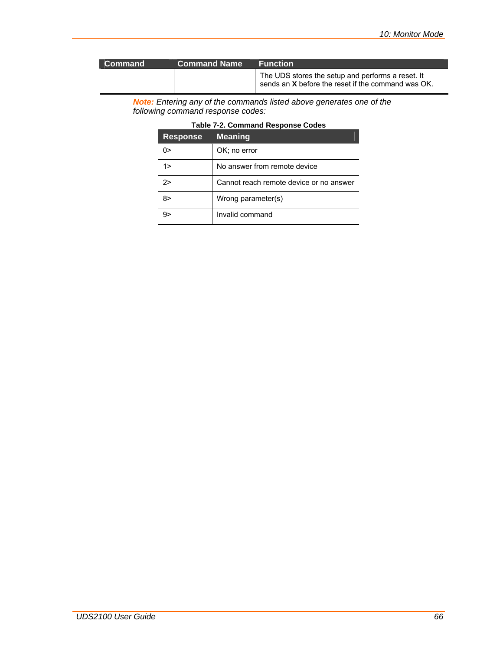| l Command | <b>Command Name</b> | <b>Function</b>                                                                                         |
|-----------|---------------------|---------------------------------------------------------------------------------------------------------|
|           |                     | The UDS stores the setup and performs a reset. It<br>sends an X before the reset if the command was OK. |

*Note: Entering any of the commands listed above generates one of the following command response codes:* 

| Table 7-2. Command Response Codes |
|-----------------------------------|
|-----------------------------------|

| <b>Response</b> | <b>Meaning</b>                          |
|-----------------|-----------------------------------------|
| ∩>              | OK; no error                            |
| 1>              | No answer from remote device            |
| 2>              | Cannot reach remote device or no answer |
| 8>              | Wrong parameter(s)                      |
| 9>              | Invalid command                         |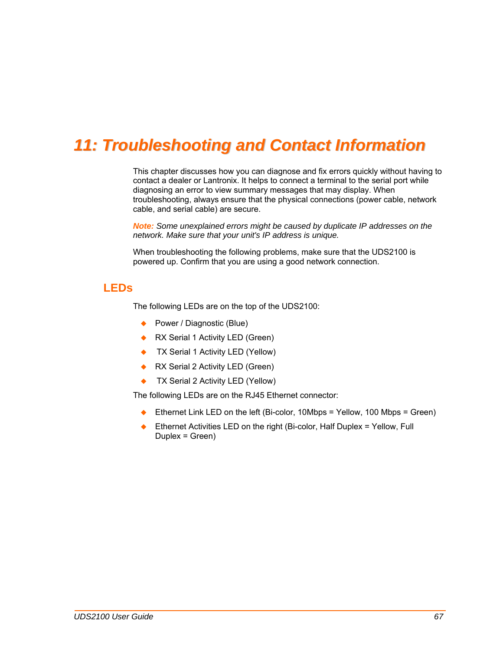# *11: Troubleshooting and Contact Information*

This chapter discusses how you can diagnose and fix errors quickly without having to contact a dealer or Lantronix. It helps to connect a terminal to the serial port while diagnosing an error to view summary messages that may display. When troubleshooting, always ensure that the physical connections (power cable, network cable, and serial cable) are secure.

*Note: Some unexplained errors might be caused by duplicate IP addresses on the network. Make sure that your unit's IP address is unique.* 

When troubleshooting the following problems, make sure that the UDS2100 is powered up. Confirm that you are using a good network connection.

### **LEDs**

The following LEDs are on the top of the UDS2100:

- Power / Diagnostic (Blue)
- RX Serial 1 Activity LED (Green)
- ◆ TX Serial 1 Activity LED (Yellow)
- ◆ RX Serial 2 Activity LED (Green)
- ◆ TX Serial 2 Activity LED (Yellow)

The following LEDs are on the RJ45 Ethernet connector:

- Ethernet Link LED on the left (Bi-color, 10Mbps = Yellow, 100 Mbps = Green)
- Ethernet Activities LED on the right (Bi-color, Half Duplex = Yellow, Full Duplex = Green)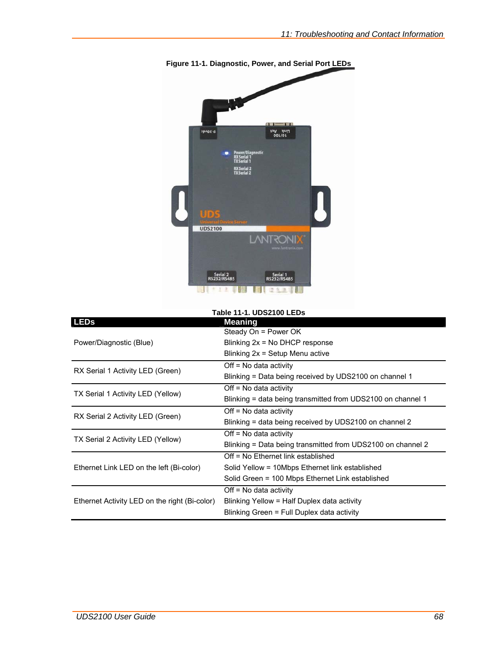

**Figure 11-1. Diagnostic, Power, and Serial Port LEDs** 

| <b>Table 11-1, UDS2100 LEDs</b>               |                                                             |  |  |
|-----------------------------------------------|-------------------------------------------------------------|--|--|
| <b>LEDs</b>                                   | <b>Meaning</b>                                              |  |  |
|                                               | Steady On = Power OK                                        |  |  |
| Power/Diagnostic (Blue)                       | Blinking $2x = No$ DHCP response                            |  |  |
|                                               | Blinking 2x = Setup Menu active                             |  |  |
| RX Serial 1 Activity LED (Green)              | Off = No data activity                                      |  |  |
|                                               | Blinking = Data being received by UDS2100 on channel 1      |  |  |
| TX Serial 1 Activity LED (Yellow)             | $Off = No data activity$                                    |  |  |
|                                               | Blinking = data being transmitted from UDS2100 on channel 1 |  |  |
|                                               | $Off = No data activity$                                    |  |  |
| RX Serial 2 Activity LED (Green)              | Blinking = data being received by UDS2100 on channel 2      |  |  |
| TX Serial 2 Activity LED (Yellow)             | $Off = No data activity$                                    |  |  |
|                                               | Blinking = Data being transmitted from UDS2100 on channel 2 |  |  |
|                                               | Off = No Ethernet link established                          |  |  |
| Ethernet Link LED on the left (Bi-color)      | Solid Yellow = 10Mbps Ethernet link established             |  |  |
|                                               | Solid Green = 100 Mbps Ethernet Link established            |  |  |
|                                               | Off = No data activity                                      |  |  |
| Ethernet Activity LED on the right (Bi-color) | Blinking Yellow = Half Duplex data activity                 |  |  |
|                                               | Blinking Green = Full Duplex data activity                  |  |  |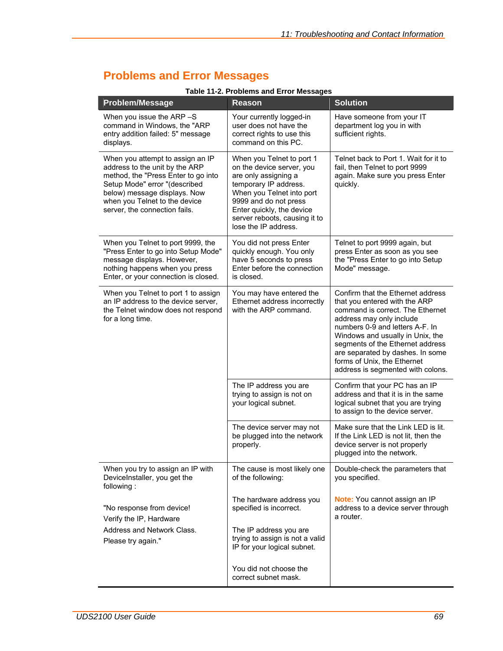# **Problems and Error Messages**

| <b>Problem/Message</b>                                                                                                                                                                                                                       | <b>Reason</b>                                                                                                                                                                                                                                       | <b>Solution</b>                                                                                                                                                                                                                                                                                                                                       |
|----------------------------------------------------------------------------------------------------------------------------------------------------------------------------------------------------------------------------------------------|-----------------------------------------------------------------------------------------------------------------------------------------------------------------------------------------------------------------------------------------------------|-------------------------------------------------------------------------------------------------------------------------------------------------------------------------------------------------------------------------------------------------------------------------------------------------------------------------------------------------------|
| When you issue the ARP-S<br>command in Windows, the "ARP<br>entry addition failed: 5" message<br>displays.                                                                                                                                   | Your currently logged-in<br>user does not have the<br>correct rights to use this<br>command on this PC.                                                                                                                                             | Have someone from your IT<br>department log you in with<br>sufficient rights.                                                                                                                                                                                                                                                                         |
| When you attempt to assign an IP<br>address to the unit by the ARP<br>method, the "Press Enter to go into<br>Setup Mode" error "(described<br>below) message displays. Now<br>when you Telnet to the device<br>server, the connection fails. | When you Telnet to port 1<br>on the device server, you<br>are only assigning a<br>temporary IP address.<br>When you Telnet into port<br>9999 and do not press<br>Enter quickly, the device<br>server reboots, causing it to<br>lose the IP address. | Telnet back to Port 1. Wait for it to<br>fail, then Telnet to port 9999<br>again. Make sure you press Enter<br>quickly.                                                                                                                                                                                                                               |
| When you Telnet to port 9999, the<br>"Press Enter to go into Setup Mode"<br>message displays. However,<br>nothing happens when you press<br>Enter, or your connection is closed.                                                             | You did not press Enter<br>quickly enough. You only<br>have 5 seconds to press<br>Enter before the connection<br>is closed.                                                                                                                         | Telnet to port 9999 again, but<br>press Enter as soon as you see<br>the "Press Enter to go into Setup<br>Mode" message.                                                                                                                                                                                                                               |
| When you Telnet to port 1 to assign<br>an IP address to the device server,<br>the Telnet window does not respond<br>for a long time.                                                                                                         | You may have entered the<br>Ethernet address incorrectly<br>with the ARP command.                                                                                                                                                                   | Confirm that the Ethernet address<br>that you entered with the ARP<br>command is correct. The Ethernet<br>address may only include<br>numbers 0-9 and letters A-F. In<br>Windows and usually in Unix, the<br>segments of the Ethernet address<br>are separated by dashes. In some<br>forms of Unix, the Ethernet<br>address is segmented with colons. |
|                                                                                                                                                                                                                                              | The IP address you are<br>trying to assign is not on<br>your logical subnet.                                                                                                                                                                        | Confirm that your PC has an IP<br>address and that it is in the same<br>logical subnet that you are trying<br>to assign to the device server.                                                                                                                                                                                                         |
|                                                                                                                                                                                                                                              | The device server may not<br>be plugged into the network<br>properly.                                                                                                                                                                               | Make sure that the Link LED is lit.<br>If the Link LED is not lit, then the<br>device server is not properly<br>plugged into the network.                                                                                                                                                                                                             |
| When you try to assign an IP with<br>DeviceInstaller, you get the<br>following:                                                                                                                                                              | The cause is most likely one<br>of the following:                                                                                                                                                                                                   | Double-check the parameters that<br>you specified.                                                                                                                                                                                                                                                                                                    |
| "No response from device!<br>Verify the IP, Hardware                                                                                                                                                                                         | The hardware address you<br>specified is incorrect.                                                                                                                                                                                                 | Note: You cannot assign an IP<br>address to a device server through<br>a router.                                                                                                                                                                                                                                                                      |
| Address and Network Class.<br>Please try again."                                                                                                                                                                                             | The IP address you are<br>trying to assign is not a valid<br>IP for your logical subnet.                                                                                                                                                            |                                                                                                                                                                                                                                                                                                                                                       |
|                                                                                                                                                                                                                                              | You did not choose the<br>correct subnet mask.                                                                                                                                                                                                      |                                                                                                                                                                                                                                                                                                                                                       |

#### **Table 11-2. Problems and Error Messages**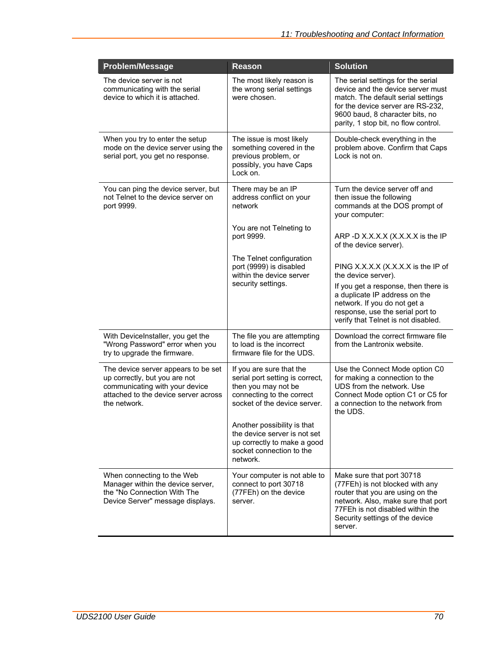| <b>Problem/Message</b>                                                                                                                                         | <b>Reason</b>                                                                                                                                   | <b>Solution</b>                                                                                                                                                                                                               |
|----------------------------------------------------------------------------------------------------------------------------------------------------------------|-------------------------------------------------------------------------------------------------------------------------------------------------|-------------------------------------------------------------------------------------------------------------------------------------------------------------------------------------------------------------------------------|
| The device server is not<br>communicating with the serial<br>device to which it is attached.                                                                   | The most likely reason is<br>the wrong serial settings<br>were chosen.                                                                          | The serial settings for the serial<br>device and the device server must<br>match. The default serial settings<br>for the device server are RS-232,<br>9600 baud, 8 character bits, no<br>parity, 1 stop bit, no flow control. |
| When you try to enter the setup<br>mode on the device server using the<br>serial port, you get no response.                                                    | The issue is most likely<br>something covered in the<br>previous problem, or<br>possibly, you have Caps<br>Lock on.                             | Double-check everything in the<br>problem above. Confirm that Caps<br>Lock is not on.                                                                                                                                         |
| You can ping the device server, but<br>not Telnet to the device server on<br>port 9999.                                                                        | There may be an IP<br>address conflict on your<br>network                                                                                       | Turn the device server off and<br>then issue the following<br>commands at the DOS prompt of<br>your computer:                                                                                                                 |
|                                                                                                                                                                | You are not Telneting to<br>port 9999.                                                                                                          | ARP -D X.X.X.X (X.X.X.X is the IP<br>of the device server).                                                                                                                                                                   |
|                                                                                                                                                                | The Telnet configuration<br>port (9999) is disabled<br>within the device server<br>security settings.                                           | PING X.X.X.X (X.X.X.X is the IP of<br>the device server).                                                                                                                                                                     |
|                                                                                                                                                                |                                                                                                                                                 | If you get a response, then there is<br>a duplicate IP address on the<br>network. If you do not get a<br>response, use the serial port to<br>verify that Telnet is not disabled.                                              |
| With DeviceInstaller, you get the<br>"Wrong Password" error when you<br>try to upgrade the firmware.                                                           | The file you are attempting<br>to load is the incorrect<br>firmware file for the UDS.                                                           | Download the correct firmware file<br>from the Lantronix website.                                                                                                                                                             |
| The device server appears to be set<br>up correctly, but you are not<br>communicating with your device<br>attached to the device server across<br>the network. | If you are sure that the<br>serial port setting is correct,<br>then you may not be<br>connecting to the correct<br>socket of the device server. | Use the Connect Mode option C0<br>for making a connection to the<br>UDS from the network. Use<br>Connect Mode option C1 or C5 for<br>a connection to the network from<br>the UDS.                                             |
|                                                                                                                                                                | Another possibility is that<br>the device server is not set<br>up correctly to make a good<br>socket connection to the<br>network.              |                                                                                                                                                                                                                               |
| When connecting to the Web<br>Manager within the device server,<br>the "No Connection With The<br>Device Server" message displays.                             | Your computer is not able to<br>connect to port 30718<br>(77FEh) on the device<br>server.                                                       | Make sure that port 30718<br>(77FEh) is not blocked with any<br>router that you are using on the<br>network. Also, make sure that port<br>77FEh is not disabled within the<br>Security settings of the device<br>server.      |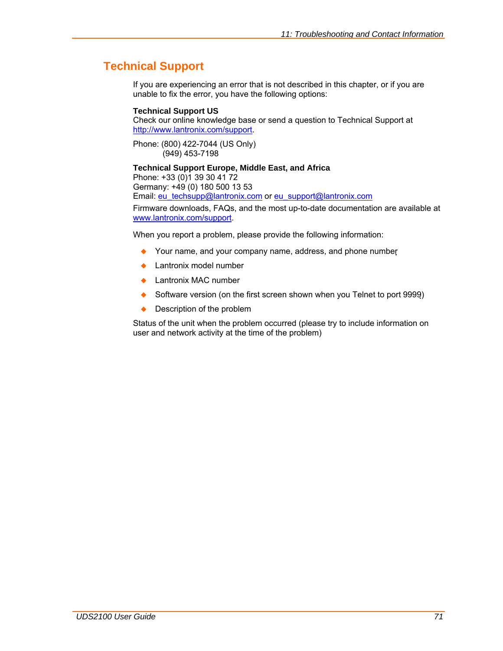# **Technical Support**

If you are experiencing an error that is not described in this chapter, or if you are unable to fix the error, you have the following options:

#### **Technical Support US**

Check our online knowledge base or send a question to Technical Support at <http://www.lantronix.com/support>.

Phone: (800) 422-7044 (US Only) (949) 453-7198

#### **Technical Support Europe, Middle East, and Africa**

Phone: +33 (0)1 39 30 41 72 Germany: +49 (0) 180 500 13 53

Email: [eu\\_techsupp@lantronix.com](mailto:eu_techsupp@lantronix.com) or [eu\\_support@lantronix.com](mailto:eu_support@lantronix.com)

Firmware downloads, FAQs, and the most up-to-date documentation are available at [www.lantronix.com/support](http://www.lantronix.com/support).

When you report a problem, please provide the following information:

- ◆ Your name, and your company name, address, and phone number
- ◆ Lantronix model number
- Lantronix MAC number
- Software version (on the first screen shown when you Telnet to port 9999)
- ◆ Description of the problem

Status of the unit when the problem occurred (please try to include information on user and network activity at the time of the problem)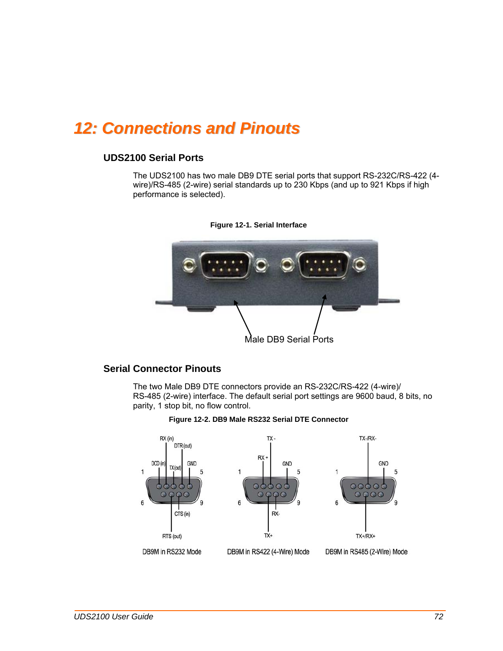# *12: Connections and Pinouts*

### **UDS2100 Serial Ports**

The UDS2100 has two male DB9 DTE serial ports that support RS-232C/RS-422 (4 wire)/RS-485 (2-wire) serial standards up to 230 Kbps (and up to 921 Kbps if high performance is selected).





### **Serial Connector Pinouts**

The two Male DB9 DTE connectors provide an RS-232C/RS-422 (4-wire)/ RS-485 (2-wire) interface. The default serial port settings are 9600 baud, 8 bits, no parity, 1 stop bit, no flow control.



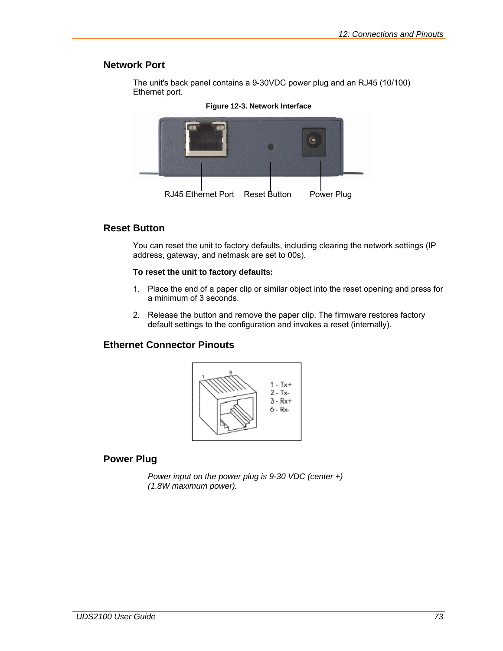## **Network Port**

The unit's back panel contains a 9-30VDC power plug and an RJ45 (10/100) Ethernet port.



#### **Figure 12-3. Network Interface**

## **Reset Button**

You can reset the unit to factory defaults, including clearing the network settings (IP address, gateway, and netmask are set to 00s).

### **To reset the unit to factory defaults:**

- 1. Place the end of a paper clip or similar object into the reset opening and press for a minimum of 3 seconds.
- 2. Release the button and remove the paper clip. The firmware restores factory default settings to the configuration and invokes a reset (internally).

## **Ethernet Connector Pinouts**



## **Power Plug**

*Power input on the power plug is 9-30 VDC (center +) (1.8W maximum power).*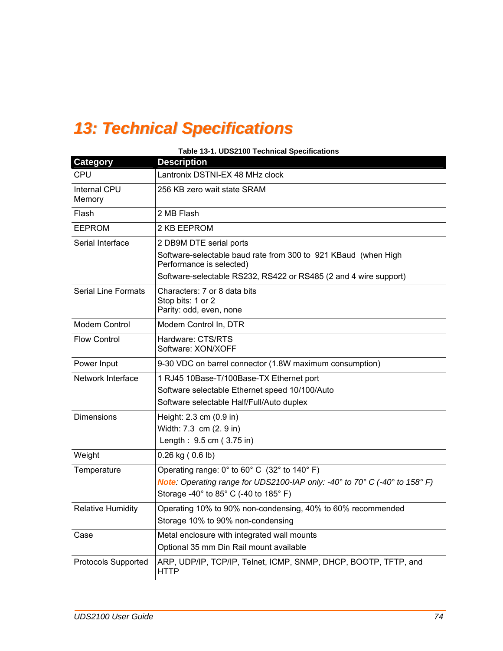# *13: Technical Specifications*

| Table 13-1. UDS2100 Technical Specifications |                                                                                                                                                                                                                                                  |  |  |  |  |
|----------------------------------------------|--------------------------------------------------------------------------------------------------------------------------------------------------------------------------------------------------------------------------------------------------|--|--|--|--|
| <b>Category</b>                              | <b>Description</b>                                                                                                                                                                                                                               |  |  |  |  |
| <b>CPU</b>                                   | Lantronix DSTNI-EX 48 MHz clock                                                                                                                                                                                                                  |  |  |  |  |
| <b>Internal CPU</b><br>Memory                | 256 KB zero wait state SRAM                                                                                                                                                                                                                      |  |  |  |  |
| Flash                                        | 2 MB Flash                                                                                                                                                                                                                                       |  |  |  |  |
| <b>EEPROM</b>                                | 2 KB EEPROM                                                                                                                                                                                                                                      |  |  |  |  |
| Serial Interface                             | 2 DB9M DTE serial ports<br>Software-selectable baud rate from 300 to 921 KBaud (when High<br>Performance is selected)<br>Software-selectable RS232, RS422 or RS485 (2 and 4 wire support)                                                        |  |  |  |  |
| <b>Serial Line Formats</b>                   | Characters: 7 or 8 data bits<br>Stop bits: 1 or 2<br>Parity: odd, even, none                                                                                                                                                                     |  |  |  |  |
| Modem Control                                | Modem Control In, DTR                                                                                                                                                                                                                            |  |  |  |  |
| <b>Flow Control</b>                          | Hardware: CTS/RTS<br>Software: XON/XOFF                                                                                                                                                                                                          |  |  |  |  |
| Power Input                                  | 9-30 VDC on barrel connector (1.8W maximum consumption)                                                                                                                                                                                          |  |  |  |  |
| Network Interface                            | 1 RJ45 10Base-T/100Base-TX Ethernet port<br>Software selectable Ethernet speed 10/100/Auto<br>Software selectable Half/Full/Auto duplex                                                                                                          |  |  |  |  |
| <b>Dimensions</b>                            | Height: 2.3 cm (0.9 in)<br>Width: 7.3 cm (2. 9 in)<br>Length: 9.5 cm (3.75 in)                                                                                                                                                                   |  |  |  |  |
| Weight                                       | $0.26$ kg ( $0.6$ lb)                                                                                                                                                                                                                            |  |  |  |  |
| Temperature                                  | Operating range: $0^\circ$ to $60^\circ$ C (32 $^\circ$ to 140 $^\circ$ F)<br><b>Note:</b> Operating range for UDS2100-IAP only: -40 $^{\circ}$ to 70 $^{\circ}$ C (-40 $^{\circ}$ to 158 $^{\circ}$ F)<br>Storage -40° to 85° C (-40 to 185° F) |  |  |  |  |
| <b>Relative Humidity</b>                     | Operating 10% to 90% non-condensing, 40% to 60% recommended<br>Storage 10% to 90% non-condensing                                                                                                                                                 |  |  |  |  |
| Case                                         | Metal enclosure with integrated wall mounts<br>Optional 35 mm Din Rail mount available                                                                                                                                                           |  |  |  |  |
| <b>Protocols Supported</b>                   | ARP, UDP/IP, TCP/IP, Telnet, ICMP, SNMP, DHCP, BOOTP, TFTP, and<br><b>HTTP</b>                                                                                                                                                                   |  |  |  |  |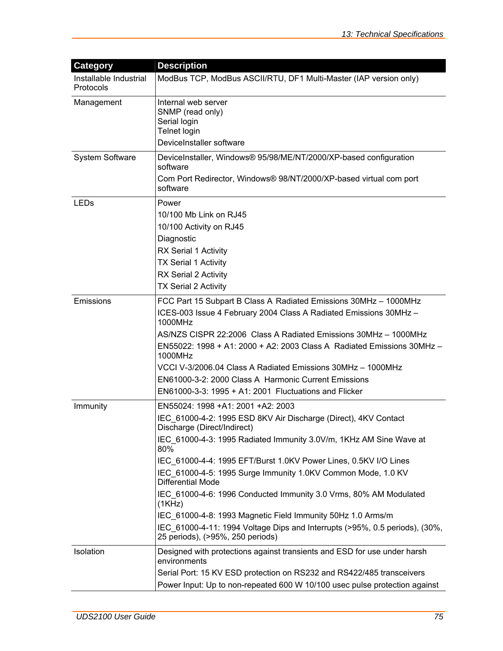| <b>Category</b>                     | <b>Description</b>                                                                                                                                                                                                                                                                                                                                                                                                                                                                                                                                                                                                                                |
|-------------------------------------|---------------------------------------------------------------------------------------------------------------------------------------------------------------------------------------------------------------------------------------------------------------------------------------------------------------------------------------------------------------------------------------------------------------------------------------------------------------------------------------------------------------------------------------------------------------------------------------------------------------------------------------------------|
| Installable Industrial<br>Protocols | ModBus TCP, ModBus ASCII/RTU, DF1 Multi-Master (IAP version only)                                                                                                                                                                                                                                                                                                                                                                                                                                                                                                                                                                                 |
| Management                          | Internal web server<br>SNMP (read only)<br>Serial login<br>Telnet login<br>DeviceInstaller software                                                                                                                                                                                                                                                                                                                                                                                                                                                                                                                                               |
| <b>System Software</b>              | DeviceInstaller, Windows® 95/98/ME/NT/2000/XP-based configuration<br>software<br>Com Port Redirector, Windows® 98/NT/2000/XP-based virtual com port<br>software                                                                                                                                                                                                                                                                                                                                                                                                                                                                                   |
| LEDs                                | Power<br>10/100 Mb Link on RJ45<br>10/100 Activity on RJ45<br>Diagnostic<br>RX Serial 1 Activity<br><b>TX Serial 1 Activity</b><br>RX Serial 2 Activity<br><b>TX Serial 2 Activity</b>                                                                                                                                                                                                                                                                                                                                                                                                                                                            |
| Emissions                           | FCC Part 15 Subpart B Class A Radiated Emissions 30MHz - 1000MHz<br>ICES-003 Issue 4 February 2004 Class A Radiated Emissions 30MHz -<br>1000MHz<br>AS/NZS CISPR 22:2006 Class A Radiated Emissions 30MHz - 1000MHz<br>EN55022: 1998 + A1: 2000 + A2: 2003 Class A Radiated Emissions 30MHz -<br>1000MHz<br>VCCI V-3/2006.04 Class A Radiated Emissions 30MHz - 1000MHz<br>EN61000-3-2: 2000 Class A Harmonic Current Emissions<br>EN61000-3-3: 1995 + A1: 2001 Fluctuations and Flicker                                                                                                                                                          |
| Immunity                            | EN55024: 1998 +A1: 2001 +A2: 2003<br>IEC_61000-4-2: 1995 ESD 8KV Air Discharge (Direct), 4KV Contact<br>Discharge (Direct/Indirect)<br>IEC 61000-4-3: 1995 Radiated Immunity 3.0V/m, 1KHz AM Sine Wave at<br>80%<br>IEC 61000-4-4: 1995 EFT/Burst 1.0KV Power Lines, 0.5KV I/O Lines<br>IEC 61000-4-5: 1995 Surge Immunity 1.0KV Common Mode, 1.0 KV<br><b>Differential Mode</b><br>IEC_61000-4-6: 1996 Conducted Immunity 3.0 Vrms, 80% AM Modulated<br>(1KHz)<br>IEC 61000-4-8: 1993 Magnetic Field Immunity 50Hz 1.0 Arms/m<br>IEC 61000-4-11: 1994 Voltage Dips and Interrupts (>95%, 0.5 periods), (30%,<br>25 periods), (>95%, 250 periods) |
| Isolation                           | Designed with protections against transients and ESD for use under harsh<br>environments<br>Serial Port: 15 KV ESD protection on RS232 and RS422/485 transceivers<br>Power Input: Up to non-repeated 600 W 10/100 usec pulse protection against                                                                                                                                                                                                                                                                                                                                                                                                   |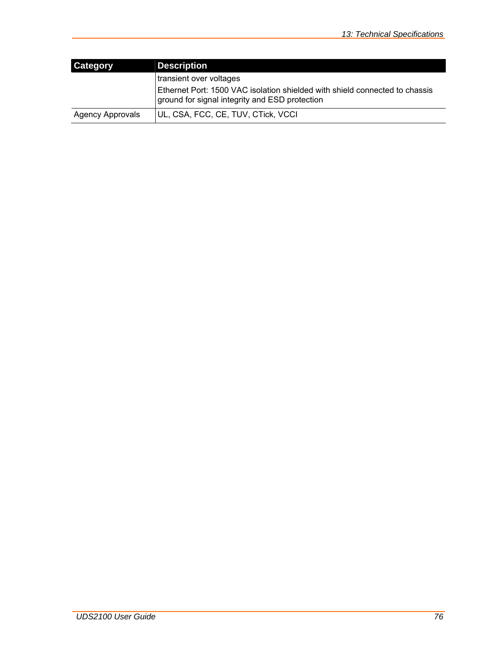| <b>Category</b>         | <b>Description</b>                                                                                                            |
|-------------------------|-------------------------------------------------------------------------------------------------------------------------------|
|                         | transient over voltages                                                                                                       |
|                         | Ethernet Port: 1500 VAC isolation shielded with shield connected to chassis<br>ground for signal integrity and ESD protection |
| <b>Agency Approvals</b> | UL, CSA, FCC, CE, TUV, CTick, VCCI                                                                                            |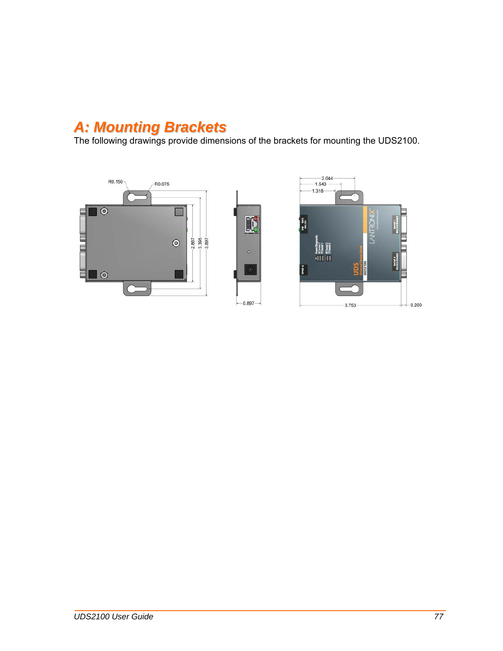## *A: Mounting Brackets*

The following drawings provide dimensions of the brackets for mounting the UDS2100.





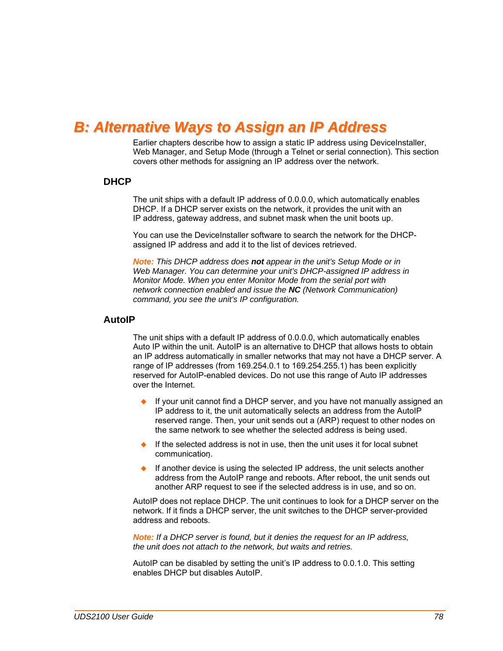## *B: Alternative Ways to Assign an IP Address*

Earlier chapters describe how to assign a static IP address using DeviceInstaller, Web Manager, and Setup Mode (through a Telnet or serial connection). This section covers other methods for assigning an IP address over the network.

### **DHCP**

The unit ships with a default IP address of 0.0.0.0, which automatically enables DHCP. If a DHCP server exists on the network, it provides the unit with an IP address, gateway address, and subnet mask when the unit boots up.

You can use the DeviceInstaller software to search the network for the DHCPassigned IP address and add it to the list of devices retrieved.

*Note: This DHCP address does not appear in the unit's Setup Mode or in Web Manager. You can determine your unit's DHCP-assigned IP address in Monitor Mode. When you enter Monitor Mode from the serial port with network connection enabled and issue the NC (Network Communication) command, you see the unit's IP configuration.* 

#### **AutoIP**

The unit ships with a default IP address of 0.0.0.0, which automatically enables Auto IP within the unit. AutoIP is an alternative to DHCP that allows hosts to obtain an IP address automatically in smaller networks that may not have a DHCP server. A range of IP addresses (from 169.254.0.1 to 169.254.255.1) has been explicitly reserved for AutoIP-enabled devices. Do not use this range of Auto IP addresses over the Internet.

- If your unit cannot find a DHCP server, and you have not manually assigned an IP address to it, the unit automatically selects an address from the AutoIP reserved range. Then, your unit sends out a (ARP) request to other nodes on the same network to see whether the selected address is being used.
- If the selected address is not in use, then the unit uses it for local subnet communication.
- If another device is using the selected IP address, the unit selects another address from the AutoIP range and reboots. After reboot, the unit sends out another ARP request to see if the selected address is in use, and so on.

AutoIP does not replace DHCP. The unit continues to look for a DHCP server on the network. If it finds a DHCP server, the unit switches to the DHCP server-provided address and reboots.

*Note: If a DHCP server is found, but it denies the request for an IP address, the unit does not attach to the network, but waits and retries.* 

AutoIP can be disabled by setting the unit's IP address to 0.0.1.0. This setting enables DHCP but disables AutoIP.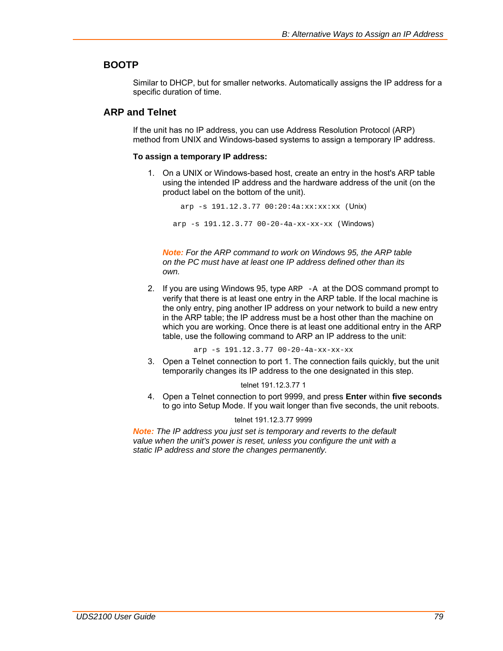## **BOOTP**

Similar to DHCP, but for smaller networks. Automatically assigns the IP address for a specific duration of time.

## **ARP and Telnet**

If the unit has no IP address, you can use Address Resolution Protocol (ARP) method from UNIX and Windows-based systems to assign a temporary IP address.

#### **To assign a temporary IP address:**

1. On a UNIX or Windows-based host, create an entry in the host's ARP table using the intended IP address and the hardware address of the unit (on the product label on the bottom of the unit).

arp -s  $191.12.3.77 00:20:4a:xx:xx:xx$  (Unix) arp -s 191.12.3.77 00-20-4a-xx-xx-xx (Windows)

*Note: For the ARP command to work on Windows 95, the ARP table on the PC must have at least one IP address defined other than its own.* 

2. If you are using Windows 95, type ARP -A at the DOS command prompt to verify that there is at least one entry in the ARP table. If the local machine is the only entry, ping another IP address on your network to build a new entry in the ARP table; the IP address must be a host other than the machine on which you are working. Once there is at least one additional entry in the ARP table, use the following command to ARP an IP address to the unit:

arp -s 191.12.3.77 00-20-4a-xx-xx-xx

3. Open a Telnet connection to port 1. The connection fails quickly, but the unit temporarily changes its IP address to the one designated in this step.

#### telnet 191.12.3.77 1

4. Open a Telnet connection to port 9999, and press **Enter** within **five seconds** to go into Setup Mode. If you wait longer than five seconds, the unit reboots.

#### telnet 191.12.3.77 9999

*Note: The IP address you just set is temporary and reverts to the default value when the unit's power is reset, unless you configure the unit with a static IP address and store the changes permanently.*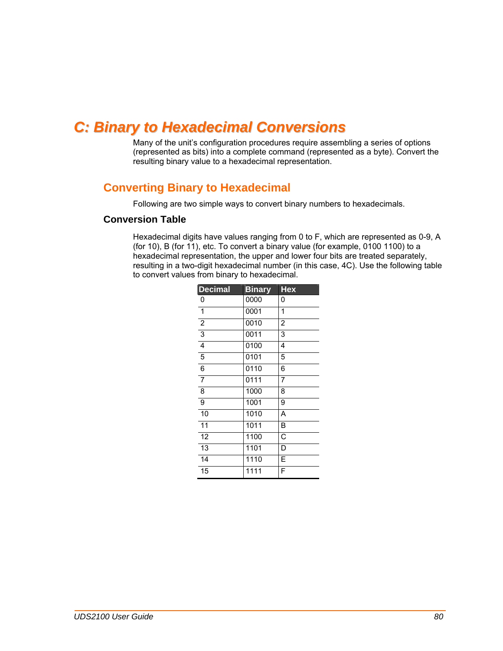## *C: Binary to Hexadecimal Conversions*

Many of the unit's configuration procedures require assembling a series of options (represented as bits) into a complete command (represented as a byte). Convert the resulting binary value to a hexadecimal representation.

## **Converting Binary to Hexadecimal**

Following are two simple ways to convert binary numbers to hexadecimals.

#### **Conversion Table**

Hexadecimal digits have values ranging from 0 to F, which are represented as 0-9, A (for 10), B (for 11), etc. To convert a binary value (for example, 0100 1100) to a hexadecimal representation, the upper and lower four bits are treated separately, resulting in a two-digit hexadecimal number (in this case, 4C). Use the following table to convert values from binary to hexadecimal.

| <b>Decimal</b>  | <b>Binary</b> | <b>Hex</b>            |
|-----------------|---------------|-----------------------|
| $\pmb{0}$       | 0000          | 0                     |
| $\overline{1}$  | 0001          | 1                     |
| $\overline{2}$  | 0010          | $\overline{2}$        |
| $\overline{3}$  | 0011          | 3                     |
| $\overline{4}$  | 0100          | 4                     |
| $\overline{5}$  | 0101          | 5                     |
| $\overline{6}$  | 0110          | 6                     |
|                 | 0111          | $\overline{7}$        |
| $\overline{8}$  | 1000          | 8                     |
| $\overline{9}$  | 1001          | 9                     |
| $\overline{10}$ | 1010          | Α                     |
| $\overline{11}$ | 1011          | $\overline{B}$        |
| $\overline{12}$ | 1100          | $\overline{\text{c}}$ |
| $\overline{13}$ | 1101          | $\overline{D}$        |
| 14              | 1110          | Ē                     |
| 15              | 1111          | F                     |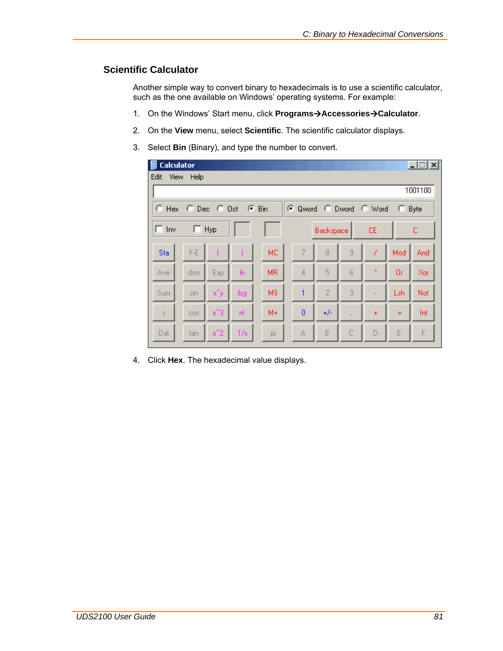## **Scientific Calculator**

Another simple way to convert binary to hexadecimals is to use a scientific calculator, such as the one available on Windows' operating systems. For example:

- 1. On the Windows' Start menu, click **Programs→Accessories→Calculator**.
- 2. On the **View** menu, select **Scientific**. The scientific calculator displays.
- 3. Select **Bin** (Binary), and type the number to convert.

| Edit<br><b>View</b>                                                      | Calculator<br>Help |         |     |           |          |                |             |           |          | $\vert x \vert$ |
|--------------------------------------------------------------------------|--------------------|---------|-----|-----------|----------|----------------|-------------|-----------|----------|-----------------|
|                                                                          |                    |         |     |           |          |                |             |           |          | 1001100         |
| C Dec C Oct<br>$G$ Bin<br>C Qword C Dword C Word<br>$C$ Hex<br>o<br>Byte |                    |         |     |           |          |                |             |           |          |                 |
| $\Box$ Inv                                                               | $\Box$ Hyp         |         |     |           |          | Backspace      |             | CE        |          | c               |
| Sta                                                                      | $F-E$              |         |     | <b>MC</b> | 7        | 8              | 9           | 1         | Mod      | And             |
| Ave                                                                      | dms                | Exp     | ln  | <b>MR</b> | 4        | 5              | 6           | ×         | Or       | Xor             |
| Sum                                                                      | sin                | x^y     | log | <b>MS</b> | 1        | $\overline{2}$ | 3           |           | Lsh      | Not             |
| $\mathbb{S}$                                                             | cos                | $x^2$ 3 | 'n  | $M +$     | $\bf{0}$ | $+/-$          |             | $\ddot{}$ | $\equiv$ | Int             |
| Dat                                                                      | tan                | $x^2$   | 1/x | pi        | А        | B              | $\mathbb C$ | D         | E        | F               |

4. Click **Hex**. The hexadecimal value displays.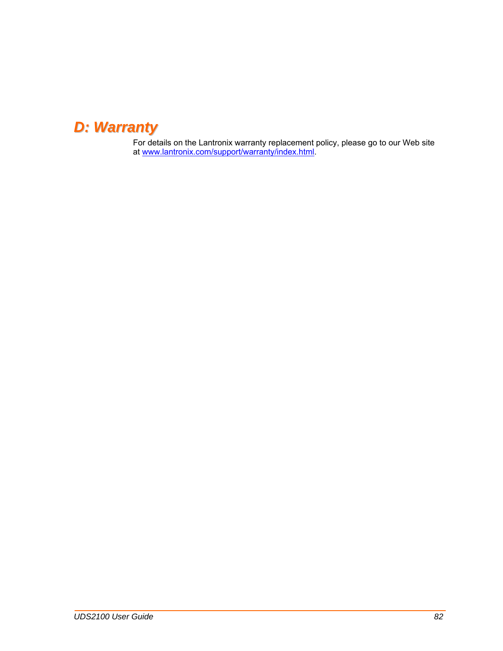## *D: Warranty*

For details on the Lantronix warranty replacement policy, please go to our Web site at [www.lantronix.com/support/warranty/index.html.](http://www.lantronix.com/support/warranty/index.html)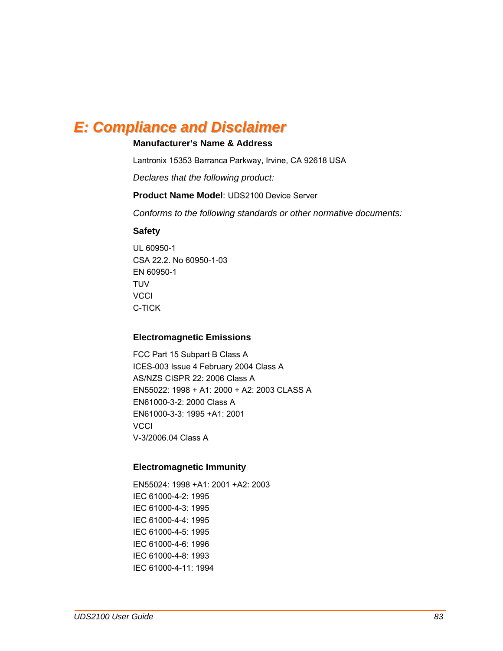## *E: Compliance and Disclaimer*

## **Manufacturer's Name & Address**

Lantronix 15353 Barranca Parkway, Irvine, CA 92618 USA

*Declares that the following product:* 

### **Product Name Model**: UDS2100 Device Server

*Conforms to the following standards or other normative documents:* 

### **Safety**

UL 60950-1 CSA 22.2. No 60950-1-03 EN 60950-1 **TUV VCCI** C-TICK

### **Electromagnetic Emissions**

FCC Part 15 Subpart B Class A ICES-003 Issue 4 February 2004 Class A AS/NZS CISPR 22: 2006 Class A EN55022: 1998 + A1: 2000 + A2: 2003 CLASS A EN61000-3-2: 2000 Class A EN61000-3-3: 1995 +A1: 2001 **VCCI** V-3/2006.04 Class A

### **Electromagnetic Immunity**

EN55024: 1998 +A1: 2001 +A2: 2003 IEC 61000-4-2: 1995 IEC 61000-4-3: 1995 IEC 61000-4-4: 1995 IEC 61000-4-5: 1995 IEC 61000-4-6: 1996 IEC 61000-4-8: 1993 IEC 61000-4-11: 1994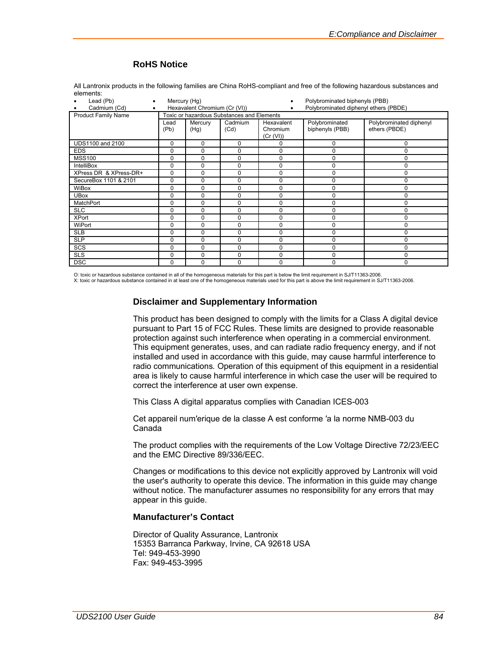## **RoHS Notice**

All Lantronix products in the following families are China RoHS-compliant and free of the following hazardous substances and elements:

| Lead (Pb)                  | Mercury (Hg)                                                           |                 |                 | Polybrominated biphenyls (PBB)      |                                   |                                          |
|----------------------------|------------------------------------------------------------------------|-----------------|-----------------|-------------------------------------|-----------------------------------|------------------------------------------|
| Cadmium (Cd)<br>٠          | Polybrominated diphenyl ethers (PBDE)<br>Hexavalent Chromium (Cr (VI)) |                 |                 |                                     |                                   |                                          |
| <b>Product Family Name</b> | Toxic or hazardous Substances and Elements                             |                 |                 |                                     |                                   |                                          |
|                            | Lead<br>(Pb)                                                           | Mercury<br>(Hg) | Cadmium<br>(Cd) | Hexavalent<br>Chromium<br>(Cr (VI)) | Polybrominated<br>biphenyls (PBB) | Polybrominated diphenyl<br>ethers (PBDE) |
| <b>UDS1100 and 2100</b>    | 0                                                                      | 0               | 0               | 0                                   | 0                                 | 0                                        |
| <b>EDS</b>                 | 0                                                                      | 0               | 0               | 0                                   | $\mathbf 0$                       | 0                                        |
| <b>MSS100</b>              | 0                                                                      | 0               | 0               | 0                                   | $\mathbf 0$                       | 0                                        |
| <b>IntelliBox</b>          | 0                                                                      | $\mathbf 0$     | 0               | $\Omega$                            | $\mathbf 0$                       | 0                                        |
| XPress DR & XPress-DR+     | 0                                                                      | 0               | 0               | $\Omega$                            | 0                                 | 0                                        |
| SecureBox 1101 & 2101      | $\mathbf 0$                                                            | 0               | $\Omega$        | 0                                   | $\mathbf 0$                       | 0                                        |
| WiBox                      | 0                                                                      | 0               | 0               | $\Omega$                            | $\mathbf 0$                       | 0                                        |
| <b>UBox</b>                | 0                                                                      | 0               | 0               | $\Omega$                            | 0                                 | 0                                        |
| MatchPort                  | 0                                                                      | 0               | $\Omega$        | $\Omega$                            | 0                                 | 0                                        |
| <b>SLC</b>                 | 0                                                                      | 0               | 0               | 0                                   | 0                                 | 0                                        |
| <b>XPort</b>               | 0                                                                      | 0               | $\Omega$        | 0                                   | $\mathbf 0$                       | 0                                        |
| WiPort                     | $\Omega$                                                               | $\Omega$        | 0               | $\Omega$                            | $\mathbf 0$                       | 0                                        |
| <b>SLB</b>                 | 0                                                                      | $\mathbf 0$     | $\Omega$        | $\Omega$                            | 0                                 | 0                                        |
| <b>SLP</b>                 | 0                                                                      | 0               | 0               | 0                                   | $\mathbf 0$                       | 0                                        |
| SCS                        | $\mathbf 0$                                                            | 0               | $\Omega$        | 0                                   | $\mathbf 0$                       | 0                                        |
| <b>SLS</b>                 | 0                                                                      | $\mathbf 0$     | 0               | 0                                   | $\mathbf 0$                       | 0                                        |
| <b>DSC</b>                 | 0                                                                      | $\Omega$        | 0               | $\Omega$                            | 0                                 | 0                                        |

O: toxic or hazardous substance contained in all of the homogeneous materials for this part is below the limit requirement in SJ/T11363-2006.<br>X: toxic or hazardous substance contained in at least one of the homogeneous mat

#### **Disclaimer and Supplementary Information**

This product has been designed to comply with the limits for a Class A digital device pursuant to Part 15 of FCC Rules. These limits are designed to provide reasonable protection against such interference when operating in a commercial environment. This equipment generates, uses, and can radiate radio frequency energy, and if not installed and used in accordance with this guide, may cause harmful interference to radio communications*.* Operation of this equipment of this equipment in a residential area is likely to cause harmful interference in which case the user will be required to correct the interference at user own expense.

This Class A digital apparatus complies with Canadian ICES-003

Cet appareil num′erique de la classe A est conforme ′a la norme NMB-003 du Canada

The product complies with the requirements of the Low Voltage Directive 72/23/EEC and the EMC Directive 89/336/EEC.

Changes or modifications to this device not explicitly approved by Lantronix will void the user's authority to operate this device. The information in this guide may change without notice. The manufacturer assumes no responsibility for any errors that may appear in this guide.

#### **Manufacturer's Contact**

Director of Quality Assurance, Lantronix 15353 Barranca Parkway, Irvine, CA 92618 USA Tel: 949-453-3990 Fax: 949-453-3995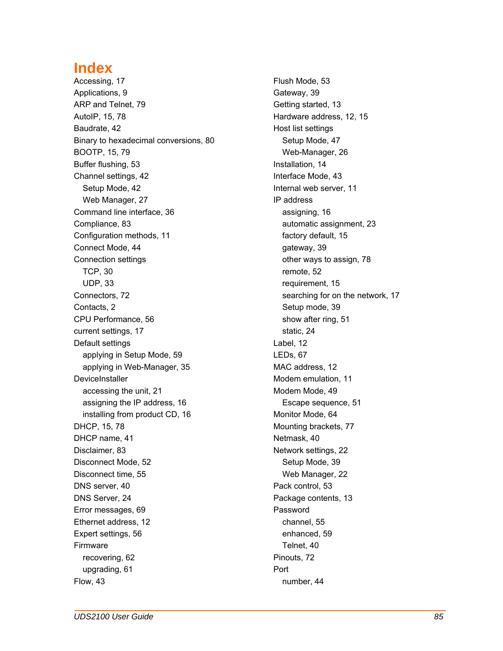## **Index**

Accessing, 17 Applications, 9 ARP and Telnet, 79 AutoIP, 15, 78 Baudrate, 42 Binary to hexadecimal conversions, 80 BOOTP, 15, 79 Buffer flushing, 53 Channel settings, 42 Setup Mode, 42 Web Manager, 27 Command line interface, 36 Compliance, 83 Configuration methods, 11 Connect Mode, 44 Connection settings TCP, 30 UDP, 33 Connectors, 72 Contacts, 2 CPU Performance, 56 current settings, 17 Default settings applying in Setup Mode, 59 applying in Web-Manager, 35 DeviceInstaller accessing the unit, 21 assigning the IP address, 16 installing from product CD, 16 DHCP, 15, 78 DHCP name, 41 Disclaimer, 83 Disconnect Mode, 52 Disconnect time, 55 DNS server, 40 DNS Server, 24 Error messages, 69 Ethernet address, 12 Expert settings, 56 Firmware recovering, 62 upgrading, 61 Flow, 43

Flush Mode, 53 Gateway, 39 Getting started, 13 Hardware address, 12, 15 Host list settings Setup Mode, 47 Web-Manager, 26 Installation, 14 Interface Mode, 43 Internal web server, 11 IP address assigning, 16 automatic assignment, 23 factory default, 15 gateway, 39 other ways to assign, 78 remote, 52 requirement, 15 searching for on the network, 17 Setup mode, 39 show after ring, 51 static, 24 Label, 12 LEDs, 67 MAC address, 12 Modem emulation, 11 Modem Mode, 49 Escape sequence, 51 Monitor Mode, 64 Mounting brackets, 77 Netmask, 40 Network settings, 22 Setup Mode, 39 Web Manager, 22 Pack control, 53 Package contents, 13 Password channel, 55 enhanced, 59 Telnet, 40 Pinouts, 72 Port number, 44